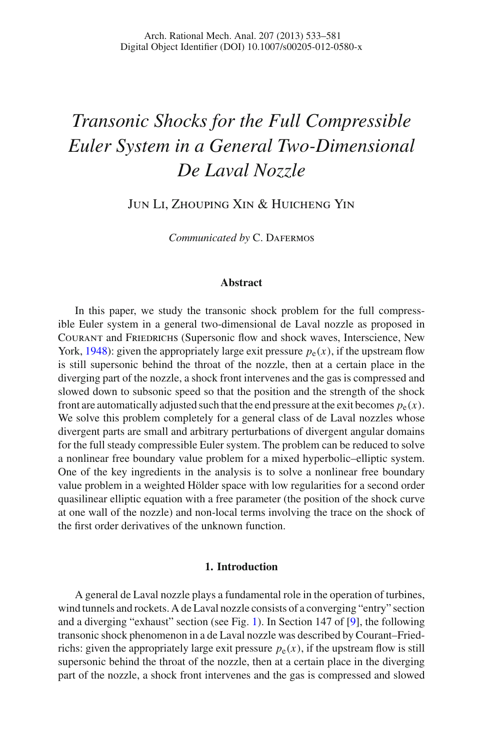# *Transonic Shocks for the Full Compressible Euler System in a General Two-Dimensional De Laval Nozzle*

Jun Li, Zhouping Xin & Huicheng Yin

*Communicated by* **C. DAFERMOS** 

### **Abstract**

In this paper, we study the transonic shock problem for the full compressible Euler system in a general two-dimensional de Laval nozzle as proposed in Courant and Friedrichs (Supersonic flow and shock waves, Interscience, New York, [1948\)](#page-47-0): given the appropriately large exit pressure  $p_e(x)$ , if the upstream flow is still supersonic behind the throat of the nozzle, then at a certain place in the diverging part of the nozzle, a shock front intervenes and the gas is compressed and slowed down to subsonic speed so that the position and the strength of the shock front are automatically adjusted such that the end pressure at the exit becomes  $p_e(x)$ . We solve this problem completely for a general class of de Laval nozzles whose divergent parts are small and arbitrary perturbations of divergent angular domains for the full steady compressible Euler system. The problem can be reduced to solve a nonlinear free boundary value problem for a mixed hyperbolic–elliptic system. One of the key ingredients in the analysis is to solve a nonlinear free boundary value problem in a weighted Hölder space with low regularities for a second order quasilinear elliptic equation with a free parameter (the position of the shock curve at one wall of the nozzle) and non-local terms involving the trace on the shock of the first order derivatives of the unknown function.

## **1. Introduction**

A general de Laval nozzle plays a fundamental role in the operation of turbines, wind tunnels and rockets. A de Laval nozzle consists of a converging "entry" section and a diverging "exhaust" section (see Fig. [1\)](#page-1-0). In Section 147 of [\[9](#page-47-0)], the following transonic shock phenomenon in a de Laval nozzle was described by Courant–Friedrichs: given the appropriately large exit pressure  $p_e(x)$ , if the upstream flow is still supersonic behind the throat of the nozzle, then at a certain place in the diverging part of the nozzle, a shock front intervenes and the gas is compressed and slowed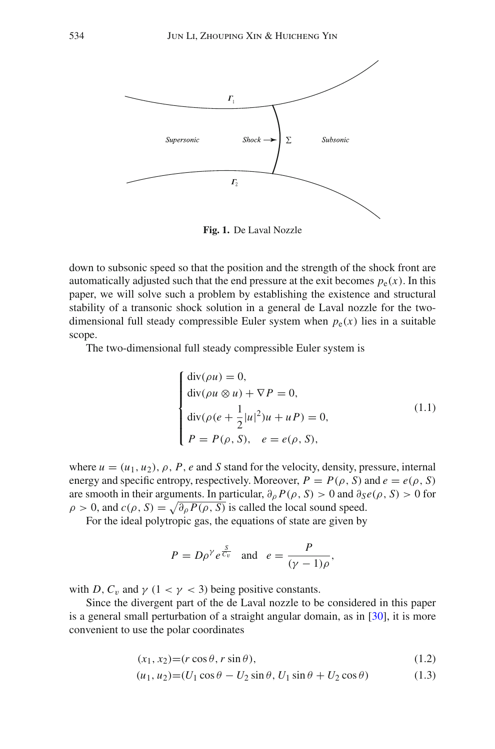

<span id="page-1-0"></span>**Fig. 1.** De Laval Nozzle

down to subsonic speed so that the position and the strength of the shock front are automatically adjusted such that the end pressure at the exit becomes  $p_e(x)$ . In this paper, we will solve such a problem by establishing the existence and structural stability of a transonic shock solution in a general de Laval nozzle for the twodimensional full steady compressible Euler system when  $p_e(x)$  lies in a suitable scope.

<span id="page-1-1"></span>The two-dimensional full steady compressible Euler system is

$$
\begin{cases}\n\text{div}(\rho u) = 0, \\
\text{div}(\rho u \otimes u) + \nabla P = 0, \\
\text{div}(\rho (e + \frac{1}{2}|u|^2)u + uP) = 0, \\
P = P(\rho, S), \quad e = e(\rho, S),\n\end{cases} (1.1)
$$

where  $u = (u_1, u_2), \rho, P, e$  and *S* stand for the velocity, density, pressure, internal energy and specific entropy, respectively. Moreover,  $P = P(\rho, S)$  and  $e = e(\rho, S)$ are smooth in their arguments. In particular,  $\partial_{\rho} P(\rho, S) > 0$  and  $\partial_{S} e(\rho, S) > 0$  for  $\rho > 0$ , and  $c(\rho, S) = \sqrt{\partial_{\rho} P(\rho, S)}$  is called the local sound speed.

For the ideal polytropic gas, the equations of state are given by

$$
P = D\rho^{\gamma} e^{\frac{S}{C_v}} \quad \text{and} \quad e = \frac{P}{(\gamma - 1)\rho},
$$

with *D*,  $C_v$  and  $\gamma$  (1 <  $\gamma$  < 3) being positive constants.

Since the divergent part of the de Laval nozzle to be considered in this paper is a general small perturbation of a straight angular domain, as in [\[30](#page-48-0)], it is more convenient to use the polar coordinates

$$
(x_1, x_2) = (r \cos \theta, r \sin \theta), \tag{1.2}
$$

$$
(u_1, u_2) = (U_1 \cos \theta - U_2 \sin \theta, U_1 \sin \theta + U_2 \cos \theta)
$$
 (1.3)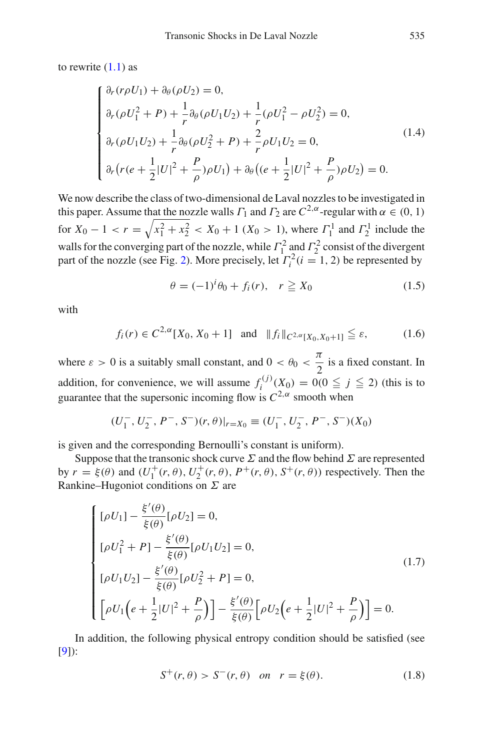<span id="page-2-2"></span>to rewrite  $(1.1)$  as

$$
\begin{cases} \partial_r(r\rho U_1) + \partial_\theta(\rho U_2) = 0, \\ \partial_r(\rho U_1^2 + P) + \frac{1}{r} \partial_\theta(\rho U_1 U_2) + \frac{1}{r} (\rho U_1^2 - \rho U_2^2) = 0, \\ \partial_r(\rho U_1 U_2) + \frac{1}{r} \partial_\theta(\rho U_2^2 + P) + \frac{2}{r} \rho U_1 U_2 = 0, \\ \partial_r(r(e + \frac{1}{2}|U|^2 + \frac{P}{\rho})\rho U_1) + \partial_\theta((e + \frac{1}{2}|U|^2 + \frac{P}{\rho})\rho U_2) = 0. \end{cases} (1.4)
$$

We now describe the class of two-dimensional de Laval nozzles to be investigated in this paper. Assume that the nozzle walls  $\Gamma_1$  and  $\Gamma_2$  are  $C^{2,\alpha}$ -regular with  $\alpha \in (0, 1)$ for  $X_0 - 1 < r = \sqrt{x_1^2 + x_2^2} < X_0 + 1$  ( $X_0 > 1$ ), where  $\Gamma_1^1$  and  $\Gamma_2^1$  include the walls for the converging part of the nozzle, while  $\Gamma_1^2$  and  $\Gamma_2^2$  consist of the divergent part of the nozzle (see Fig. [2\)](#page-3-0). More precisely, let  $\Gamma_i^2(i=1, 2)$  be represented by

$$
\theta = (-1)^{i} \theta_0 + f_i(r), \quad r \ge X_0 \tag{1.5}
$$

<span id="page-2-1"></span><span id="page-2-0"></span>with

$$
f_i(r) \in C^{2,\alpha}[X_0, X_0+1]
$$
 and  $||f_i||_{C^{2,\alpha}[X_0, X_0+1]} \leq \varepsilon,$  (1.6)

where  $\varepsilon > 0$  is a suitably small constant, and  $0 < \theta_0 < \frac{\pi}{2}$  $\frac{1}{2}$  is a fixed constant. In addition, for convenience, we will assume  $f_i^{(j)}(X_0) = 0(0 \le j \le 2)$  (this is to guarantee that the supersonic incoming flow is  $C^{2,\alpha}$  smooth when

$$
(U_1^-, U_2^-, P^-, S^-)(r, \theta)|_{r=X_0} \equiv (U_1^-, U_2^-, P^-, S^-)(X_0)
$$

is given and the corresponding Bernoulli's constant is uniform).

Suppose that the transonic shock curve  $\Sigma$  and the flow behind  $\Sigma$  are represented by  $r = \xi(\theta)$  and  $(U_1^+(r, \theta), U_2^+(r, \theta), P^+(r, \theta), S^+(r, \theta))$  respectively. Then the Rankine–Hugoniot conditions on  $\Sigma$  are

$$
\begin{cases}\n[\rho U_1] - \frac{\xi'(\theta)}{\xi(\theta)} [\rho U_2] = 0, \\
[\rho U_1^2 + P] - \frac{\xi'(\theta)}{\xi(\theta)} [\rho U_1 U_2] = 0, \\
[\rho U_1 U_2] - \frac{\xi'(\theta)}{\xi(\theta)} [\rho U_2^2 + P] = 0, \\
[\rho U_1 (e + \frac{1}{2} |U|^2 + \frac{P}{\rho})] - \frac{\xi'(\theta)}{\xi(\theta)} [\rho U_2 (e + \frac{1}{2} |U|^2 + \frac{P}{\rho})] = 0.\n\end{cases}
$$
\n(1.7)

<span id="page-2-4"></span><span id="page-2-3"></span>In addition, the following physical entropy condition should be satisfied (see [\[9\]](#page-47-0)):

$$
S^{+}(r, \theta) > S^{-}(r, \theta) \quad on \quad r = \xi(\theta). \tag{1.8}
$$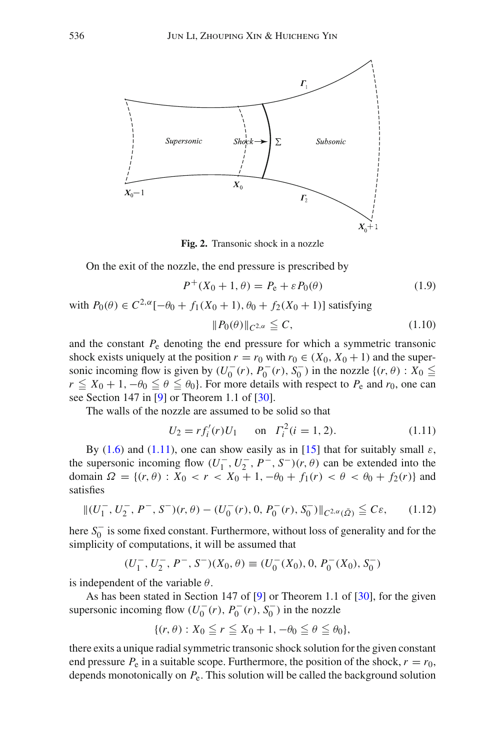

**Fig. 2.** Transonic shock in a nozzle

<span id="page-3-3"></span><span id="page-3-0"></span>On the exit of the nozzle, the end pressure is prescribed by

$$
P^{+}(X_0 + 1, \theta) = P_e + \varepsilon P_0(\theta)
$$
 (1.9)

<span id="page-3-4"></span>with  $P_0(\theta) \in C^{2,\alpha}[-\theta_0 + f_1(X_0 + 1), \theta_0 + f_2(X_0 + 1)]$  satisfying

$$
||P_0(\theta)||_{C^{2,\alpha}} \leqq C,\tag{1.10}
$$

and the constant  $P_e$  denoting the end pressure for which a symmetric transonic shock exists uniquely at the position  $r = r_0$  with  $r_0 \in (X_0, X_0 + 1)$  and the supersonic incoming flow is given by  $(U_0^-(r), P_0^-(r), S_0^-)$  in the nozzle  $\{(r, \theta) : X_0 \leq$  $r \leq X_0 + 1$ ,  $-\theta_0 \leq \theta \leq \theta_0$ . For more details with respect to  $P_e$  and  $r_0$ , one can see Section 147 in [\[9](#page-47-0)] or Theorem 1.1 of [\[30](#page-48-0)].

<span id="page-3-1"></span>The walls of the nozzle are assumed to be solid so that

$$
U_2 = r f_i'(r) U_1 \quad \text{on} \quad \Gamma_i^2(i = 1, 2). \tag{1.11}
$$

By [\(1.6\)](#page-2-0) and [\(1.11\)](#page-3-1), one can show easily as in [\[15](#page-47-1)] that for suitably small  $\varepsilon$ , the supersonic incoming flow  $(U_1^-, U_2^-, P^-, S^-)(r, \theta)$  can be extended into the domain  $\Omega = \{(r, \theta) : X_0 < r < X_0 + 1, -\theta_0 + f_1(r) < \theta < \theta_0 + f_2(r)\}\$ and satisfies

$$
||(U_1^-, U_2^-, P^-, S^-)(r, \theta) - (U_0^-(r), 0, P_0^-(r), S_0^-)||_{C^{2,\alpha}(\bar{\Omega})} \leq C\varepsilon, \qquad (1.12)
$$

<span id="page-3-2"></span>here *S*<sub>0</sub><sup>−</sup> is some fixed constant. Furthermore, without loss of generality and for the simplicity of computations, it will be assumed that

$$
(U_1^-, U_2^-, P^-, S^-)(X_0, \theta) \equiv (U_0^-(X_0), 0, P_0^-(X_0), S_0^-)
$$

is independent of the variable  $\theta$ .

As has been stated in Section 147 of [\[9](#page-47-0)] or Theorem 1.1 of [\[30\]](#page-48-0), for the given supersonic incoming flow  $(U_0^-(r), P_0^-(r), S_0^-)$  in the nozzle

$$
\{(r,\theta): X_0 \leqq r \leqq X_0 + 1, -\theta_0 \leqq \theta \leqq \theta_0\},\
$$

there exits a unique radial symmetric transonic shock solution for the given constant end pressure  $P_e$  in a suitable scope. Furthermore, the position of the shock,  $r = r_0$ , depends monotonically on *P*e. This solution will be called the background solution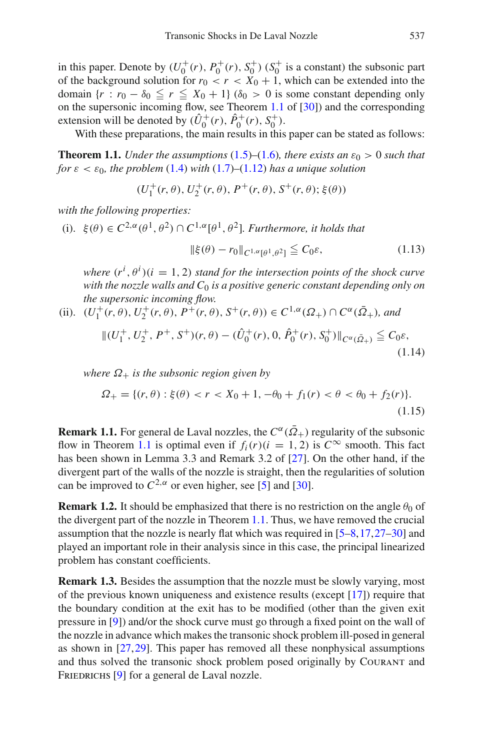in this paper. Denote by  $(U_0^+(r), P_0^+(r), S_0^+)$   $(S_0^+$  is a constant) the subsonic part of the background solution for  $r_0 \le r \le \tilde{X}_0 + \tilde{1}$ , which can be extended into the domain  $\{r : r_0 - \delta_0 \le r \le X_0 + 1\}$  ( $\delta_0 > 0$  is some constant depending only on the supersonic incoming flow, see Theorem [1.1](#page-4-0) of [\[30](#page-48-0)]) and the corresponding extension will be denoted by  $(\hat{U}_0^+(r), \hat{P}_0^+(r), S_0^+)$ .

With these preparations, the main results in this paper can be stated as follows:

<span id="page-4-0"></span>**Theorem 1.1.** *Under the assumptions* [\(1.5\)](#page-2-1)–[\(1.6\)](#page-2-0)*, there exists an*  $\varepsilon_0 > 0$  *such that for*  $\varepsilon < \varepsilon_0$ *, the problem* [\(1.4\)](#page-2-2) *with* [\(1.7\)](#page-2-3)–[\(1.12\)](#page-3-2) *has a unique solution* 

 $(U_1^+(r, \theta), U_2^+(r, \theta), P^+(r, \theta), S^+(r, \theta); \xi(\theta))$ 

*with the following properties:*

(i).  $\xi(\theta) \in C^{2,\alpha}(\theta^1, \theta^2) \cap C^{1,\alpha}[\theta^1, \theta^2]$ *. Furthermore, it holds that*  $\|\xi(\theta) - r_0\|_{C^{1,\alpha}[\theta^1, \theta^2]} \leq C_0 \varepsilon,$  (1.13)

*where*  $(r^{i}, \theta^{i})$  (*i* = 1, 2) *stand for the intersection points of the shock curve* 

*with the nozzle walls and C*<sup>0</sup> *is a positive generic constant depending only on the supersonic incoming flow.*

(ii). 
$$
(U_1^+(\hat{r}, \theta), U_2^+(r, \theta), P^+(r, \theta), S^+(r, \theta)) \in C^{1,\alpha}(\Omega_+) \cap C^{\alpha}(\bar{\Omega}_+), \text{ and}
$$
  
\n
$$
\|(U_1^+, U_2^+, P^+, S^+)(r, \theta) - (\hat{U}_0^+(r), 0, \hat{P}_0^+(r), S_0^+) \|_{C^{\alpha}(\bar{\Omega}_+)} \leq C_0 \varepsilon,
$$
\n(1.14)

*where*  $\Omega_+$  *is the subsonic region given by* 

$$
\Omega_+ = \{ (r, \theta) : \xi(\theta) < r < X_0 + 1, -\theta_0 + f_1(r) < \theta < \theta_0 + f_2(r) \}. \tag{1.15}
$$

<span id="page-4-1"></span>**Remark 1.1.** For general de Laval nozzles, the  $C^{\alpha}(\overline{\Omega}_{+})$  regularity of the subsonic flow in Theorem [1.1](#page-4-0) is optimal even if  $f_i(r)(i = 1, 2)$  is  $C^{\infty}$  smooth. This fact has been shown in Lemma 3.3 and Remark 3.2 of [\[27](#page-48-1)]. On the other hand, if the divergent part of the walls of the nozzle is straight, then the regularities of solution can be improved to  $C^{2,\alpha}$  or even higher, see [\[5](#page-47-2)] and [\[30](#page-48-0)].

**Remark 1.2.** It should be emphasized that there is no restriction on the angle  $\theta_0$  of the divergent part of the nozzle in Theorem [1.1.](#page-4-0) Thus, we have removed the crucial assumption that the nozzle is nearly flat which was required in [\[5](#page-47-2)[–8](#page-47-3)[,17](#page-47-4),[27](#page-48-1)[–30\]](#page-48-0) and played an important role in their analysis since in this case, the principal linearized problem has constant coefficients.

<span id="page-4-2"></span>**Remark 1.3.** Besides the assumption that the nozzle must be slowly varying, most of the previous known uniqueness and existence results (except [\[17](#page-47-4)]) require that the boundary condition at the exit has to be modified (other than the given exit pressure in [\[9](#page-47-0)]) and/or the shock curve must go through a fixed point on the wall of the nozzle in advance which makes the transonic shock problem ill-posed in general as shown in [\[27,](#page-48-1)[29\]](#page-48-2). This paper has removed all these nonphysical assumptions and thus solved the transonic shock problem posed originally by Courant and FRIEDRICHS [\[9\]](#page-47-0) for a general de Laval nozzle.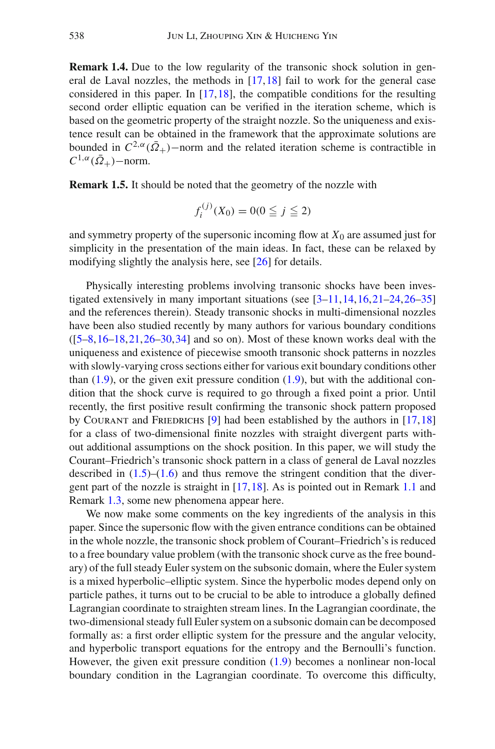**Remark 1.4.** Due to the low regularity of the transonic shock solution in general de Laval nozzles, the methods in [\[17](#page-47-4),[18\]](#page-47-5) fail to work for the general case considered in this paper. In [\[17](#page-47-4)[,18](#page-47-5)], the compatible conditions for the resulting second order elliptic equation can be verified in the iteration scheme, which is based on the geometric property of the straight nozzle. So the uniqueness and existence result can be obtained in the framework that the approximate solutions are bounded in  $C^{2,\alpha}(\bar{\Omega}_+)$ −norm and the related iteration scheme is contractible in  $C^{1,\alpha}(\overline{\Omega}_+)-$ norm.

**Remark 1.5.** It should be noted that the geometry of the nozzle with

$$
f_i^{(j)}(X_0) = 0(0 \leqq j \leqq 2)
$$

and symmetry property of the supersonic incoming flow at *X*<sup>0</sup> are assumed just for simplicity in the presentation of the main ideas. In fact, these can be relaxed by modifying slightly the analysis here, see [\[26\]](#page-48-3) for details.

Physically interesting problems involving transonic shocks have been investigated extensively in many important situations (see [\[3](#page-47-6)[–11](#page-47-7)[,14](#page-47-8),[16,](#page-47-9)[21](#page-47-10)[–24,](#page-47-11)[26](#page-48-3)[–35\]](#page-48-4) and the references therein). Steady transonic shocks in multi-dimensional nozzles have been also studied recently by many authors for various boundary conditions  $(5-8, 16-18, 21, 26-30, 34]$  $(5-8, 16-18, 21, 26-30, 34]$  $(5-8, 16-18, 21, 26-30, 34]$  $(5-8, 16-18, 21, 26-30, 34]$  and so on). Most of these known works deal with the uniqueness and existence of piecewise smooth transonic shock patterns in nozzles with slowly-varying cross sections either for various exit boundary conditions other than  $(1.9)$ , or the given exit pressure condition  $(1.9)$ , but with the additional condition that the shock curve is required to go through a fixed point a prior. Until recently, the first positive result confirming the transonic shock pattern proposed by COURANT and FRIEDRICHS  $[9]$  had been established by the authors in  $[17,18]$  $[17,18]$ for a class of two-dimensional finite nozzles with straight divergent parts without additional assumptions on the shock position. In this paper, we will study the Courant–Friedrich's transonic shock pattern in a class of general de Laval nozzles described in  $(1.5)$ – $(1.6)$  and thus remove the stringent condition that the divergent part of the nozzle is straight in [\[17](#page-47-4)[,18](#page-47-5)]. As is pointed out in Remark [1.1](#page-4-1) and Remark [1.3,](#page-4-2) some new phenomena appear here.

We now make some comments on the key ingredients of the analysis in this paper. Since the supersonic flow with the given entrance conditions can be obtained in the whole nozzle, the transonic shock problem of Courant–Friedrich's is reduced to a free boundary value problem (with the transonic shock curve as the free boundary) of the full steady Euler system on the subsonic domain, where the Euler system is a mixed hyperbolic–elliptic system. Since the hyperbolic modes depend only on particle pathes, it turns out to be crucial to be able to introduce a globally defined Lagrangian coordinate to straighten stream lines. In the Lagrangian coordinate, the two-dimensional steady full Euler system on a subsonic domain can be decomposed formally as: a first order elliptic system for the pressure and the angular velocity, and hyperbolic transport equations for the entropy and the Bernoulli's function. However, the given exit pressure condition [\(1.9\)](#page-3-3) becomes a nonlinear non-local boundary condition in the Lagrangian coordinate. To overcome this difficulty,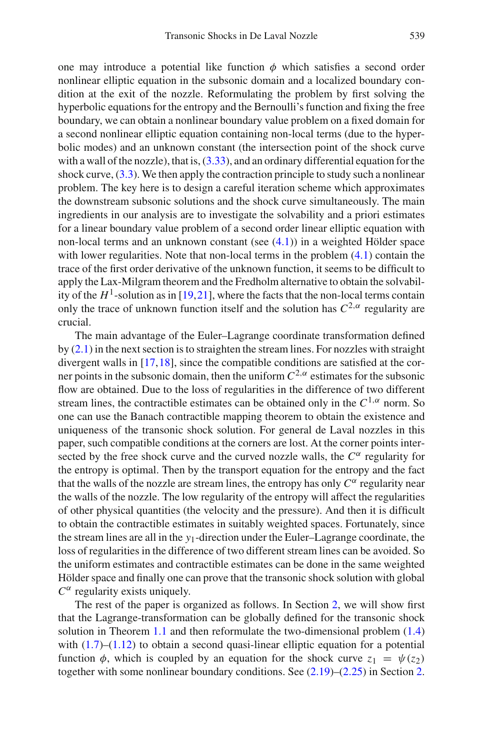one may introduce a potential like function  $\phi$  which satisfies a second order nonlinear elliptic equation in the subsonic domain and a localized boundary condition at the exit of the nozzle. Reformulating the problem by first solving the hyperbolic equations for the entropy and the Bernoulli's function and fixing the free boundary, we can obtain a nonlinear boundary value problem on a fixed domain for a second nonlinear elliptic equation containing non-local terms (due to the hyperbolic modes) and an unknown constant (the intersection point of the shock curve with a wall of the nozzle), that is,  $(3.33)$ , and an ordinary differential equation for the shock curve, [\(3.3\)](#page-14-0). We then apply the contraction principle to study such a nonlinear problem. The key here is to design a careful iteration scheme which approximates the downstream subsonic solutions and the shock curve simultaneously. The main ingredients in our analysis are to investigate the solvability and a priori estimates for a linear boundary value problem of a second order linear elliptic equation with non-local terms and an unknown constant (see [\(4.1\)](#page-23-0)) in a weighted Hölder space with lower regularities. Note that non-local terms in the problem  $(4.1)$  contain the trace of the first order derivative of the unknown function, it seems to be difficult to apply the Lax-Milgram theorem and the Fredholm alternative to obtain the solvability of the  $H^1$ -solution as in [\[19](#page-47-12)[,21](#page-47-10)], where the facts that the non-local terms contain only the trace of unknown function itself and the solution has  $C^{2,\alpha}$  regularity are crucial.

The main advantage of the Euler–Lagrange coordinate transformation defined by  $(2.1)$  in the next section is to straighten the stream lines. For nozzles with straight divergent walls in [\[17](#page-47-4)[,18](#page-47-5)], since the compatible conditions are satisfied at the corner points in the subsonic domain, then the uniform  $C^{2,\alpha}$  estimates for the subsonic flow are obtained. Due to the loss of regularities in the difference of two different stream lines, the contractible estimates can be obtained only in the  $C^{1,\alpha}$  norm. So one can use the Banach contractible mapping theorem to obtain the existence and uniqueness of the transonic shock solution. For general de Laval nozzles in this paper, such compatible conditions at the corners are lost. At the corner points intersected by the free shock curve and the curved nozzle walls, the  $C^{\alpha}$  regularity for the entropy is optimal. Then by the transport equation for the entropy and the fact that the walls of the nozzle are stream lines, the entropy has only  $C^{\alpha}$  regularity near the walls of the nozzle. The low regularity of the entropy will affect the regularities of other physical quantities (the velocity and the pressure). And then it is difficult to obtain the contractible estimates in suitably weighted spaces. Fortunately, since the stream lines are all in the *y*1-direction under the Euler–Lagrange coordinate, the loss of regularities in the difference of two different stream lines can be avoided. So the uniform estimates and contractible estimates can be done in the same weighted Hölder space and finally one can prove that the transonic shock solution with global  $C^{\alpha}$  regularity exists uniquely.

The rest of the paper is organized as follows. In Section [2,](#page-7-1) we will show first that the Lagrange-transformation can be globally defined for the transonic shock solution in Theorem [1.1](#page-4-0) and then reformulate the two-dimensional problem [\(1.4\)](#page-2-2) with  $(1.7)$ – $(1.12)$  to obtain a second quasi-linear elliptic equation for a potential function  $\phi$ , which is coupled by an equation for the shock curve  $z_1 = \psi(z_2)$ together with some nonlinear boundary conditions. See [\(2.19\)](#page-11-0)–[\(2.25\)](#page-12-0) in Section [2.](#page-7-1)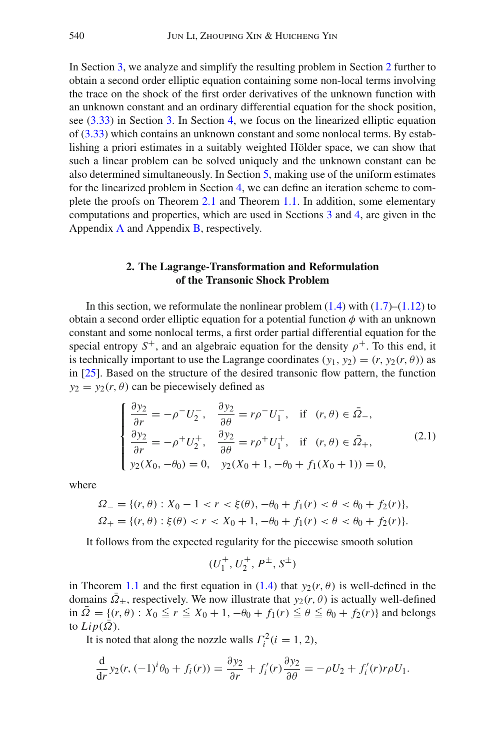In Section [3,](#page-14-1) we analyze and simplify the resulting problem in Section [2](#page-7-1) further to obtain a second order elliptic equation containing some non-local terms involving the trace on the shock of the first order derivatives of the unknown function with an unknown constant and an ordinary differential equation for the shock position, see [\(3.33\)](#page-22-0) in Section [3.](#page-14-1) In Section [4,](#page-23-1) we focus on the linearized elliptic equation of [\(3.33\)](#page-22-0) which contains an unknown constant and some nonlocal terms. By establishing a priori estimates in a suitably weighted Hölder space, we can show that such a linear problem can be solved uniquely and the unknown constant can be also determined simultaneously. In Section [5,](#page-37-0) making use of the uniform estimates for the linearized problem in Section [4,](#page-23-1) we can define an iteration scheme to complete the proofs on Theorem [2.1](#page-13-0) and Theorem [1.1.](#page-4-0) In addition, some elementary computations and properties, which are used in Sections [3](#page-14-1) and [4,](#page-23-1) are given in the Appendix [A](#page-40-0) and Appendix [B,](#page-43-0) respectively.

## **2. The Lagrange-Transformation and Reformulation of the Transonic Shock Problem**

<span id="page-7-1"></span>In this section, we reformulate the nonlinear problem  $(1.4)$  with  $(1.7)$ – $(1.12)$  to obtain a second order elliptic equation for a potential function  $\phi$  with an unknown constant and some nonlocal terms, a first order partial differential equation for the special entropy  $S^+$ , and an algebraic equation for the density  $\rho^+$ . To this end, it is technically important to use the Lagrange coordinates  $(y_1, y_2) = (r, y_2(r, \theta))$  as in [\[25](#page-47-13)]. Based on the structure of the desired transonic flow pattern, the function  $y_2 = y_2(r, \theta)$  can be piecewisely defined as

$$
\begin{cases}\n\frac{\partial y_2}{\partial r} = -\rho^- U_2^-, & \frac{\partial y_2}{\partial \theta} = r\rho^- U_1^-, & \text{if } (r, \theta) \in \bar{\Omega}_-, \\
\frac{\partial y_2}{\partial r} = -\rho^+ U_2^+, & \frac{\partial y_2}{\partial \theta} = r\rho^+ U_1^+, & \text{if } (r, \theta) \in \bar{\Omega}_+, \\
y_2(X_0, -\theta_0) = 0, & y_2(X_0 + 1, -\theta_0 + f_1(X_0 + 1)) = 0,\n\end{cases}
$$
\n(2.1)

<span id="page-7-0"></span>where

$$
\Omega_{-} = \{ (r, \theta) : X_0 - 1 < r < \xi(\theta), -\theta_0 + f_1(r) < \theta < \theta_0 + f_2(r) \},
$$
\n
$$
\Omega_{+} = \{ (r, \theta) : \xi(\theta) < r < X_0 + 1, -\theta_0 + f_1(r) < \theta < \theta_0 + f_2(r) \}.
$$

It follows from the expected regularity for the piecewise smooth solution

$$
(U_1^\pm,U_2^\pm,\,P^\pm,\,S^\pm)
$$

in Theorem [1.1](#page-4-0) and the first equation in [\(1.4\)](#page-2-2) that  $y_2(r, \theta)$  is well-defined in the domains  $\Omega_{\pm}$ , respectively. We now illustrate that  $y_2(r, \theta)$  is actually well-defined in  $\overline{\Omega} = \{(r, \theta) : X_0 \le r \le X_0 + 1, -\theta_0 + f_1(r) \le \theta \le \theta_0 + f_2(r)\}\$ and belongs to  $Lip(\Omega)$ .

It is noted that along the nozzle walls  $\Gamma_i^2(i = 1, 2)$ ,

$$
\frac{\mathrm{d}}{\mathrm{d}r} y_2(r, (-1)^i \theta_0 + f_i(r)) = \frac{\partial y_2}{\partial r} + f'_i(r) \frac{\partial y_2}{\partial \theta} = -\rho U_2 + f'_i(r) r \rho U_1.
$$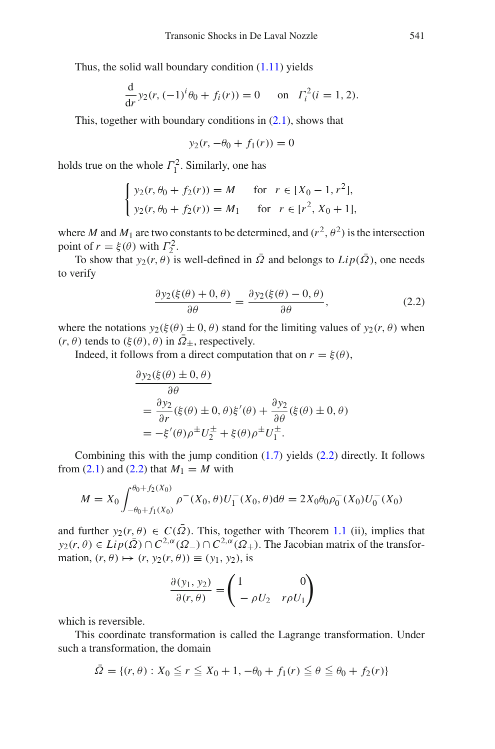Thus, the solid wall boundary condition  $(1.11)$  yields

$$
\frac{d}{dr} y_2(r, (-1)^i \theta_0 + f_i(r)) = 0 \quad \text{on} \quad \Gamma_i^2(i = 1, 2).
$$

This, together with boundary conditions in  $(2.1)$ , shows that

$$
y_2(r, -\theta_0 + f_1(r)) = 0
$$

holds true on the whole  $\Gamma_1^2$ . Similarly, one has

$$
\begin{cases}\ny_2(r, \theta_0 + f_2(r)) = M & \text{for } r \in [X_0 - 1, r^2], \\
y_2(r, \theta_0 + f_2(r)) = M_1 & \text{for } r \in [r^2, X_0 + 1],\n\end{cases}
$$

where *M* and  $M_1$  are two constants to be determined, and  $(r^2, \theta^2)$  is the intersection point of  $r = \xi(\theta)$  with  $\Gamma_2^2$ .

To show that  $y_2(r, \theta)$  is well-defined in  $\overline{\Omega}$  and belongs to  $Lip(\overline{\Omega})$ , one needs to verify

$$
\frac{\partial y_2(\xi(\theta) + 0, \theta)}{\partial \theta} = \frac{\partial y_2(\xi(\theta) - 0, \theta)}{\partial \theta},
$$
\n(2.2)

<span id="page-8-0"></span>where the notations  $y_2(\xi(\theta) \pm 0, \theta)$  stand for the limiting values of  $y_2(r, \theta)$  when  $(r, \theta)$  tends to  $(\xi(\theta), \theta)$  in  $\overline{Q}_+$ , respectively.

Indeed, it follows from a direct computation that on  $r = \xi(\theta)$ ,

$$
\frac{\partial y_2(\xi(\theta) \pm 0, \theta)}{\partial \theta} \n= \frac{\partial y_2}{\partial r} (\xi(\theta) \pm 0, \theta) \xi'(\theta) + \frac{\partial y_2}{\partial \theta} (\xi(\theta) \pm 0, \theta) \n= -\xi'(\theta) \rho^{\pm} U_2^{\pm} + \xi(\theta) \rho^{\pm} U_1^{\pm}.
$$

Combining this with the jump condition  $(1.7)$  yields  $(2.2)$  directly. It follows from  $(2.1)$  and  $(2.2)$  that  $M_1 = M$  with

$$
M = X_0 \int_{-\theta_0 + f_1(X_0)}^{\theta_0 + f_2(X_0)} \rho^{-}(X_0, \theta) U_1^{-}(X_0, \theta) d\theta = 2X_0 \theta_0 \rho_0^{-}(X_0) U_0^{-}(X_0)
$$

and further  $y_2(r, \theta) \in C(\overline{\Omega})$ . This, together with Theorem [1.1](#page-4-0) (ii), implies that  $y_2(r, \theta) \in Lip(\overline{\Omega}) \cap C^{2,\alpha}(\Omega_-) \cap C^{2,\alpha}(\Omega_+)$ . The Jacobian matrix of the transformation,  $(r, \theta) \mapsto (r, y_2(r, \theta)) \equiv (y_1, y_2)$ , is

$$
\frac{\partial(y_1, y_2)}{\partial(r, \theta)} = \begin{pmatrix} 1 & 0 \\ -\rho U_2 & r\rho U_1 \end{pmatrix}
$$

which is reversible.

This coordinate transformation is called the Lagrange transformation. Under such a transformation, the domain

$$
\bar{\Omega} = \{ (r, \theta) : X_0 \le r \le X_0 + 1, -\theta_0 + f_1(r) \le \theta \le \theta_0 + f_2(r) \}
$$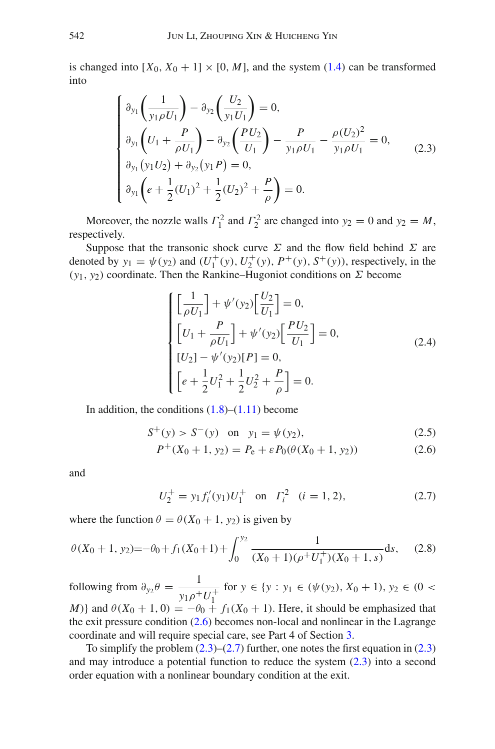is changed into  $[X_0, X_0 + 1] \times [0, M]$ , and the system [\(1.4\)](#page-2-2) can be transformed into

$$
\begin{cases}\n\frac{\partial_{y_1} \left(\frac{1}{y_1 \rho U_1}\right) - \partial_{y_2} \left(\frac{U_2}{y_1 U_1}\right) = 0, \\
\frac{\partial_{y_1} \left(U_1 + \frac{P}{\rho U_1}\right) - \partial_{y_2} \left(\frac{P U_2}{U_1}\right) - \frac{P}{y_1 \rho U_1} - \frac{\rho (U_2)^2}{y_1 \rho U_1} = 0, \\
\frac{\partial_{y_1} \left(y_1 U_2\right) + \partial_{y_2} \left(y_1 P\right) = 0, \\
\frac{\partial_{y_1} \left(e + \frac{1}{2} (U_1)^2 + \frac{1}{2} (U_2)^2 + \frac{P}{\rho}\right) = 0.\n\end{cases}
$$
\n(2.3)

<span id="page-9-1"></span>Moreover, the nozzle walls  $\Gamma_1^2$  and  $\Gamma_2^2$  are changed into  $y_2 = 0$  and  $y_2 = M$ , respectively.

Suppose that the transonic shock curve  $\Sigma$  and the flow field behind  $\Sigma$  are denoted by  $y_1 = \psi(y_2)$  and  $(U_1^+(y), U_2^+(y), P^+(y), S^+(y))$ , respectively, in the  $(y_1, y_2)$  coordinate. Then the Rankine–Hugoniot conditions on  $\Sigma$  become

$$
\begin{cases}\n\left[\frac{1}{\rho U_1}\right] + \psi'(y_2)\left[\frac{U_2}{U_1}\right] = 0, \\
\left[U_1 + \frac{P}{\rho U_1}\right] + \psi'(y_2)\left[\frac{P U_2}{U_1}\right] = 0, \\
\left[U_2\right] - \psi'(y_2)[P] = 0, \\
\left[e + \frac{1}{2}U_1^2 + \frac{1}{2}U_2^2 + \frac{P}{\rho}\right] = 0.\n\end{cases} (2.4)
$$

<span id="page-9-3"></span><span id="page-9-0"></span>In addition, the conditions  $(1.8)$ – $(1.11)$  become

$$
S^{+}(y) > S^{-}(y) \quad \text{on} \quad y_1 = \psi(y_2), \tag{2.5}
$$

$$
P^{+}(X_0 + 1, y_2) = P_e + \varepsilon P_0(\theta(X_0 + 1, y_2))
$$
\n(2.6)

<span id="page-9-2"></span>and

$$
U_2^+ = y_1 f_i'(y_1) U_1^+ \quad \text{on} \quad \Gamma_i^2 \quad (i = 1, 2), \tag{2.7}
$$

where the function  $\theta = \theta(X_0 + 1, y_2)$  is given by

<span id="page-9-4"></span>
$$
\theta(X_0+1, y_2) = -\theta_0 + f_1(X_0+1) + \int_0^{y_2} \frac{1}{(X_0+1)(\rho^+U_1^+)(X_0+1, s)} ds, \quad (2.8)
$$

following from  $\partial_{y_2} \theta = \frac{1}{y_1 \rho^+ U_1^+}$ for  $y \in \{y : y_1 \in (\psi(y_2), X_0 + 1), y_2 \in (0 \leq$ *M*)} and  $\theta$ (*X*<sub>0</sub> + 1, 0) =  $-\theta$ <sub>0</sub> + *f*<sub>1</sub>(*X*<sub>0</sub> + 1). Here, it should be emphasized that the exit pressure condition  $(2.6)$  becomes non-local and nonlinear in the Lagrange coordinate and will require special care, see Part 4 of Section [3.](#page-14-1)

To simplify the problem  $(2.3)$ – $(2.7)$  further, one notes the first equation in  $(2.3)$ and may introduce a potential function to reduce the system [\(2.3\)](#page-9-1) into a second order equation with a nonlinear boundary condition at the exit.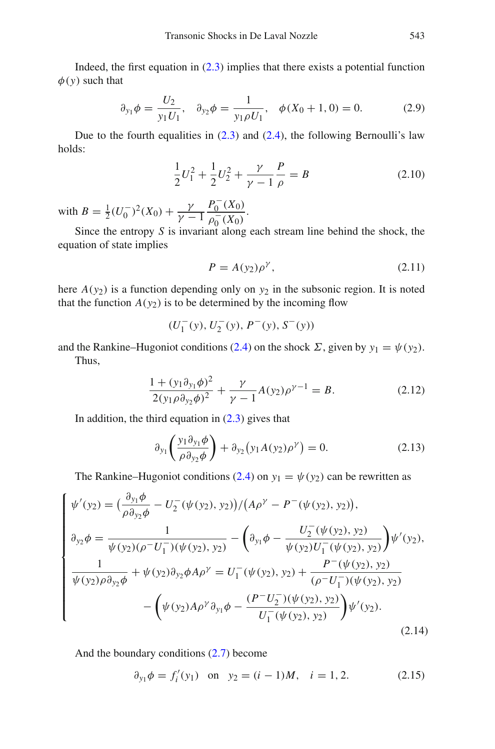Indeed, the first equation in  $(2.3)$  implies that there exists a potential function  $\phi(y)$  such that

$$
\partial_{y_1} \phi = \frac{U_2}{y_1 U_1}, \quad \partial_{y_2} \phi = \frac{1}{y_1 \rho U_1}, \quad \phi(X_0 + 1, 0) = 0. \tag{2.9}
$$

<span id="page-10-4"></span>Due to the fourth equalities in  $(2.3)$  and  $(2.4)$ , the following Bernoulli's law holds:

$$
\frac{1}{2}U_1^2 + \frac{1}{2}U_2^2 + \frac{\gamma}{\gamma - 1} \frac{P}{\rho} = B
$$
\n(2.10)

with  $B = \frac{1}{2}(U_0^{-})^2(X_0) + \frac{\gamma}{\gamma - 1}$  $P_0^-(X_0)$  $\frac{1}{\rho_0^-(X_0)}$ .

Since the entropy *S* is invariant along each stream line behind the shock, the equation of state implies

$$
P = A(y_2)\rho^{\gamma},\tag{2.11}
$$

here  $A(y_2)$  is a function depending only on  $y_2$  in the subsonic region. It is noted that the function  $A(y_2)$  is to be determined by the incoming flow

(*U*<sup>−</sup> <sup>1</sup> (*y*), *<sup>U</sup>*<sup>−</sup> <sup>2</sup> (*y*), *<sup>P</sup>*−(*y*), *<sup>S</sup>*−(*y*))

and the Rankine–Hugoniot conditions [\(2.4\)](#page-9-3) on the shock  $\Sigma$ , given by  $y_1 = \psi(y_2)$ . Thus,

$$
\frac{1 + (y_1 \partial_{y_1} \phi)^2}{2(y_1 \rho \partial_{y_2} \phi)^2} + \frac{\gamma}{\gamma - 1} A(y_2) \rho^{\gamma - 1} = B.
$$
 (2.12)

<span id="page-10-1"></span><span id="page-10-0"></span>In addition, the third equation in  $(2.3)$  gives that

$$
\partial_{y_1}\left(\frac{y_1 \partial_{y_1} \phi}{\rho \partial_{y_2} \phi}\right) + \partial_{y_2}\left(y_1 A(y_2) \rho^{\gamma}\right) = 0. \tag{2.13}
$$

The Rankine–Hugoniot conditions [\(2.4\)](#page-9-3) on  $y_1 = \psi(y_2)$  can be rewritten as

<span id="page-10-2"></span>
$$
\begin{cases}\n\psi'(y_2) = \left(\frac{\partial_{y_1}\phi}{\rho \partial_{y_2}\phi} - U_2^-(\psi(y_2), y_2)\right) / \left(A\rho^{\gamma} - P^-(\psi(y_2), y_2)\right), \\
\partial_{y_2}\phi = \frac{1}{\psi(y_2)(\rho^- U_1^-)(\psi(y_2), y_2)} - \left(\partial_{y_1}\phi - \frac{U_2^-(\psi(y_2), y_2)}{\psi(y_2)U_1^-(\psi(y_2), y_2)}\right)\psi'(y_2), \\
\frac{1}{\psi(y_2)\rho \partial_{y_2}\phi} + \psi(y_2)\partial_{y_2}\phi A\rho^{\gamma} = U_1^-(\psi(y_2), y_2) + \frac{P^-(\psi(y_2), y_2)}{(\rho^- U_1^-)(\psi(y_2), y_2)} \\
-\left(\psi(y_2)A\rho^{\gamma}\partial_{y_1}\phi - \frac{(P^- U_2^-)(\psi(y_2), y_2)}{U_1^-(\psi(y_2), y_2)}\right)\psi'(y_2).\n\end{cases}
$$
\n(2.14)

<span id="page-10-3"></span>And the boundary conditions [\(2.7\)](#page-9-2) become

$$
\partial_{y_1} \phi = f'_i(y_1)
$$
 on  $y_2 = (i - 1)M$ ,  $i = 1, 2$ . (2.15)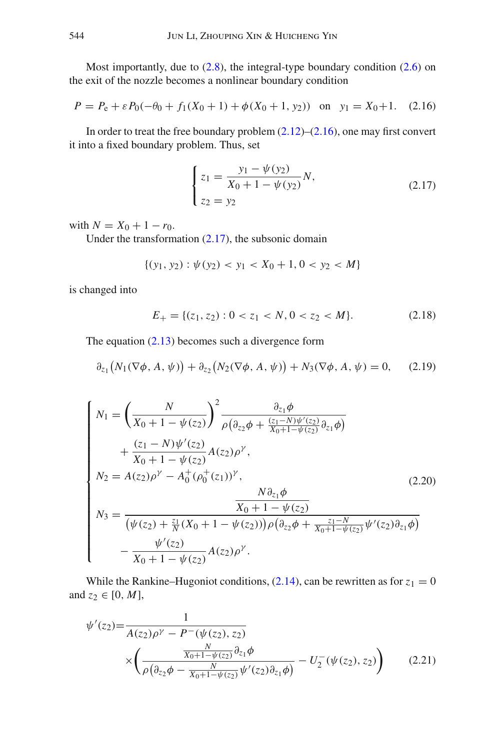Most importantly, due to  $(2.8)$ , the integral-type boundary condition  $(2.6)$  on the exit of the nozzle becomes a nonlinear boundary condition

$$
P = P_e + \varepsilon P_0(-\theta_0 + f_1(X_0 + 1) + \phi(X_0 + 1, y_2)) \quad \text{on} \quad y_1 = X_0 + 1. \tag{2.16}
$$

<span id="page-11-1"></span>In order to treat the free boundary problem  $(2.12)$ – $(2.16)$ , one may first convert it into a fixed boundary problem. Thus, set

$$
\begin{cases}\nz_1 = \frac{y_1 - \psi(y_2)}{X_0 + 1 - \psi(y_2)}N, \\
z_2 = y_2\n\end{cases}
$$
\n(2.17)

<span id="page-11-2"></span>with  $N = X_0 + 1 - r_0$ .

Under the transformation [\(2.17\)](#page-11-2), the subsonic domain

$$
\{(y_1, y_2) : \psi(y_2) < y_1 < X_0 + 1, 0 < y_2 < M\}
$$

is changed into

$$
E_{+} = \{ (z_1, z_2) : 0 < z_1 < N, 0 < z_2 < M \}. \tag{2.18}
$$

<span id="page-11-0"></span>The equation  $(2.13)$  becomes such a divergence form

$$
\partial_{z_1}(N_1(\nabla\phi, A, \psi)) + \partial_{z_2}(N_2(\nabla\phi, A, \psi)) + N_3(\nabla\phi, A, \psi) = 0, \quad (2.19)
$$

$$
\begin{cases}\nN_1 = \left(\frac{N}{X_0 + 1 - \psi(z_2)}\right)^2 \frac{\partial_{z_1} \phi}{\rho(\partial_{z_2} \phi + \frac{(z_1 - N)\psi'(z_2)}{X_0 + 1 - \psi(z_2)} \partial_{z_1} \phi)} \\
+ \frac{(z_1 - N)\psi'(z_2)}{X_0 + 1 - \psi(z_2)} A(z_2) \rho^{\gamma}, \\
N_2 = A(z_2) \rho^{\gamma} - A_0^+(\rho_0^+(z_1))^{\gamma}, \\
N_3 = \frac{N \partial_{z_1} \phi}{\left(\psi(z_2) + \frac{z_1}{N}(X_0 + 1 - \psi(z_2))\right) \rho(\partial_{z_2} \phi + \frac{z_1 - N}{X_0 + 1 - \psi(z_2)} \psi'(z_2) \partial_{z_1} \phi\right)} \\
- \frac{\psi'(z_2)}{X_0 + 1 - \psi(z_2)} A(z_2) \rho^{\gamma}.\n\end{cases} \tag{2.20}
$$

<span id="page-11-3"></span>While the Rankine–Hugoniot conditions,  $(2.14)$ , can be rewritten as for  $z_1 = 0$ and  $z_2 \in [0, M]$ ,

$$
\psi'(z_2) = \frac{1}{A(z_2)\rho^{\gamma} - P^-(\psi(z_2), z_2)} \times \left(\frac{\frac{N}{X_0 + 1 - \psi(z_2)} \partial_{z_1} \phi}{\rho \left(\partial_{z_2} \phi - \frac{N}{X_0 + 1 - \psi(z_2)} \psi'(z_2) \partial_{z_1} \phi\right)} - U_2^-(\psi(z_2), z_2)\right) \tag{2.21}
$$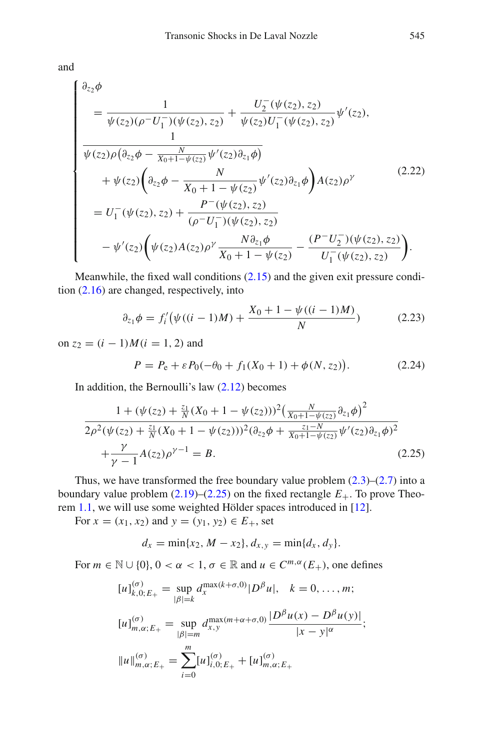and

<span id="page-12-1"></span>
$$
\begin{cases}\n\frac{\partial_{z_2}\phi}{\partial z_2} & \frac{1}{\psi(z_2)(\rho^-U_1^-)(\psi(z_2), z_2)} + \frac{U_2^-(\psi(z_2), z_2)}{\psi(z_2)U_1^-(\psi(z_2), z_2)}\psi'(z_2), \\
\frac{1}{\psi(z_2)\rho(\partial_{z_2}\phi - \frac{N}{X_0 + 1 - \psi(z_2)}\psi'(z_2)\partial_{z_1}\phi)} \\
+ \psi(z_2)\left(\frac{\partial_{z_2}\phi - \frac{N}{X_0 + 1 - \psi(z_2)}\psi'(z_2)\partial_{z_1}\phi\right)A(z_2)\rho^{\gamma}}{\rho^-(\psi(z_2), z_2)} \\
= U_1^-(\psi(z_2), z_2) + \frac{P^-(\psi(z_2), z_2)}{(\rho^-U_1^-)(\psi(z_2), z_2)} \\
- \psi'(z_2)\left(\psi(z_2)A(z_2)\rho^{\gamma}\frac{N\partial_{z_1}\phi}{X_0 + 1 - \psi(z_2)} - \frac{(P^-U_2^-)(\psi(z_2), z_2)}{U_1^-(\psi(z_2), z_2)}\right).\n\end{cases} (2.22)
$$

Meanwhile, the fixed wall conditions [\(2.15\)](#page-10-3) and the given exit pressure condition [\(2.16\)](#page-11-1) are changed, respectively, into

$$
\partial_{z_1} \phi = f'_i \big( \psi\left( (i-1)M \right) + \frac{X_0 + 1 - \psi\left( (i-1)M \right)}{N} \big) \tag{2.23}
$$

<span id="page-12-3"></span><span id="page-12-2"></span>on  $z_2 = (i - 1)M(i = 1, 2)$  and

$$
P = P_e + \varepsilon P_0(-\theta_0 + f_1(X_0 + 1) + \phi(N, z_2)).
$$
 (2.24)

<span id="page-12-0"></span>In addition, the Bernoulli's law  $(2.12)$  becomes

$$
\frac{1 + (\psi(z_2) + \frac{z_1}{N}(X_0 + 1 - \psi(z_2)))^2 \left(\frac{N}{X_0 + 1 - \psi(z_2)} \partial_{z_1} \phi\right)^2}{2\rho^2 (\psi(z_2) + \frac{z_1}{N}(X_0 + 1 - \psi(z_2)))^2 (\partial_{z_2} \phi + \frac{z_1 - N}{X_0 + 1 - \psi(z_2)} \psi'(z_2) \partial_{z_1} \phi)^2} + \frac{\gamma}{\gamma - 1} A(z_2) \rho^{\gamma - 1} = B.
$$
\n(2.25)

Thus, we have transformed the free boundary value problem  $(2.3)$ – $(2.7)$  into a boundary value problem  $(2.19)$ – $(2.25)$  on the fixed rectangle  $E_{+}$ . To prove Theorem [1.1,](#page-4-0) we will use some weighted Hölder spaces introduced in [\[12\]](#page-47-14).

For  $x = (x_1, x_2)$  and  $y = (y_1, y_2) \in E_+$ , set

$$
d_x = \min\{x_2, M - x_2\}, d_{x,y} = \min\{d_x, d_y\}.
$$

For  $m \in \mathbb{N} \cup \{0\}$ ,  $0 < \alpha < 1$ ,  $\sigma \in \mathbb{R}$  and  $u \in C^{m,\alpha}(E_+)$ , one defines

$$
[u]_{k,0;E_{+}}^{(\sigma)} = \sup_{|\beta|=k} d_{x}^{\max(k+\sigma,0)} |D^{\beta}u|, \quad k = 0, ..., m;
$$
  
\n
$$
[u]_{m,\alpha;E_{+}}^{(\sigma)} = \sup_{|\beta|=m} d_{x,y}^{\max(m+\alpha+\sigma,0)} \frac{|D^{\beta}u(x) - D^{\beta}u(y)|}{|x - y|^{\alpha}};
$$
  
\n
$$
||u||_{m,\alpha;E_{+}}^{(\sigma)} = \sum_{i=0}^{m} [u]_{i,0;E_{+}}^{(\sigma)} + [u]_{m,\alpha;E_{+}}^{(\sigma)}
$$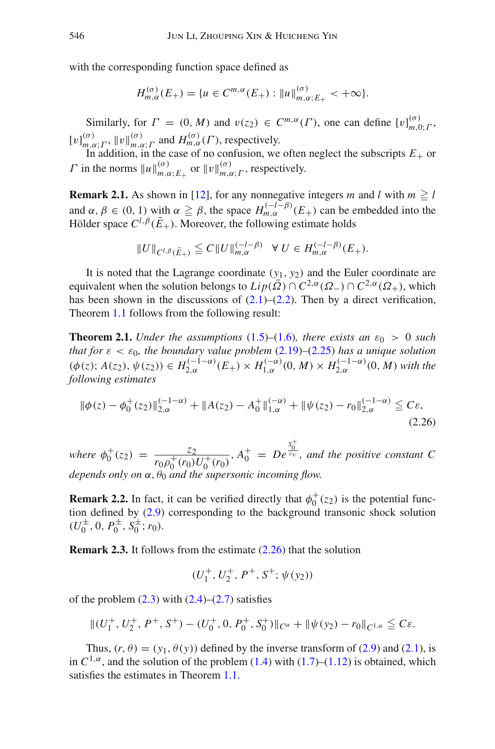with the corresponding function space defined as

$$
H_{m,\alpha}^{(\sigma)}(E_+) = \{ u \in C^{m,\alpha}(E_+) : ||u||_{m,\alpha;E_+}^{(\sigma)} < +\infty \}.
$$

Similarly, for  $\Gamma = (0, M)$  and  $v(z_2) \in C^{m, \alpha}(\Gamma)$ , one can define  $[v]_{m,0;\Gamma}^{(\sigma)}$ ,  $[v]_{m,\alpha; \Gamma}^{(\sigma)}$ ,  $||v||_{m,\alpha; \Gamma}^{(\sigma)}$  and  $H_{m,\alpha}^{(\sigma)}$  (*Γ*), respectively.

In addition, in the case of no confusion, we often neglect the subscripts  $E_{+}$  or *Γ* in the norms  $||u||_{m,\alpha;E_{+}}^{(\sigma)}$  or  $||v||_{m,\alpha;F}^{(\sigma)}$ , respectively.

**Remark 2.1.** As shown in [\[12\]](#page-47-14), for any nonnegative integers *m* and *l* with  $m \geq l$ and  $\alpha, \beta \in (0, 1)$  with  $\alpha \geq \beta$ , the space  $H_{m,\alpha}^{(-l-\beta)}(E_+)$  can be embedded into the Hölder space  $C^{l, \beta}(\overline{E}_+)$ . Moreover, the following estimate holds

$$
||U||_{C^{l,\beta}(\bar{E}_+)} \leqq C||U||_{m,\alpha}^{(-l-\beta)} \quad \forall \ U \in H_{m,\alpha}^{(-l-\beta)}(E_+).
$$

It is noted that the Lagrange coordinate  $(y_1, y_2)$  and the Euler coordinate are equivalent when the solution belongs to  $Lip(\overline{\Omega}) \cap C^{2,\alpha}(\Omega_-) \cap C^{2,\alpha}(\Omega_+),$  which has been shown in the discussions of  $(2.1)$ – $(2.2)$ . Then by a direct verification, Theorem [1.1](#page-4-0) follows from the following result:

<span id="page-13-0"></span>**Theorem 2.1.** *Under the assumptions* [\(1.5\)](#page-2-1)–[\(1.6\)](#page-2-0)*, there exists an*  $\varepsilon_0 > 0$  *such that for*  $\varepsilon < \varepsilon_0$ *, the boundary value problem* [\(2.19\)](#page-11-0)–[\(2.25\)](#page-12-0) *has a unique solution*  $(\phi(z); A(z_2), \psi(z_2)) \in H_{2,\alpha}^{(-1-\alpha)}(E_+) \times H_{1,\alpha}^{(-\alpha)}(0, M) \times H_{2,\alpha}^{(-1-\alpha)}(0, M)$  with the *following estimates*

<span id="page-13-1"></span>
$$
\|\phi(z) - \phi_0^+(z_2)\|_{2,\alpha}^{(-1-\alpha)} + \|A(z_2) - A_0^+\|_{1,\alpha}^{(-\alpha)} + \|\psi(z_2) - r_0\|_{2,\alpha}^{(-1-\alpha)} \leq C\varepsilon,
$$
\n(2.26)

*where*  $\phi_0^+(z_2) = \frac{z_2}{r_0 \rho_0^+(r_0) U_0^+(r_0)}$  $, A_0^+ = De$ *S*+ 0 *<sup>c</sup>*<sup>v</sup> *, and the positive constant C depends only on* α, θ<sup>0</sup> *and the supersonic incoming flow.*

**Remark 2.2.** In fact, it can be verified directly that  $\phi_0^+(z_2)$  is the potential function defined by [\(2.9\)](#page-10-4) corresponding to the background transonic shock solution  $(U_0^{\pm}, 0, P_0^{\pm}, S_0^{\pm}; r_0).$ 

**Remark 2.3.** It follows from the estimate [\(2.26\)](#page-13-1) that the solution

$$
(U_1^+,U_2^+,P^+,S^+;\psi(y_2))
$$

of the problem  $(2.3)$  with  $(2.4)$ – $(2.7)$  satisfies

$$
|| (U_1^+, U_2^+, P^+, S^+) - (U_0^+, 0, P_0^+, S_0^+) ||_{C^{\alpha}} + ||\psi(y_2) - r_0||_{C^{1,\alpha}} \leq C\varepsilon.
$$

Thus,  $(r, \theta) = (y_1, \theta(y))$  defined by the inverse transform of [\(2.9\)](#page-10-4) and [\(2.1\)](#page-7-0), is in  $C^{1,\alpha}$ , and the solution of the problem [\(1.4\)](#page-2-2) with [\(1.7\)](#page-2-3)–[\(1.12\)](#page-3-2) is obtained, which satisfies the estimates in Theorem [1.1.](#page-4-0)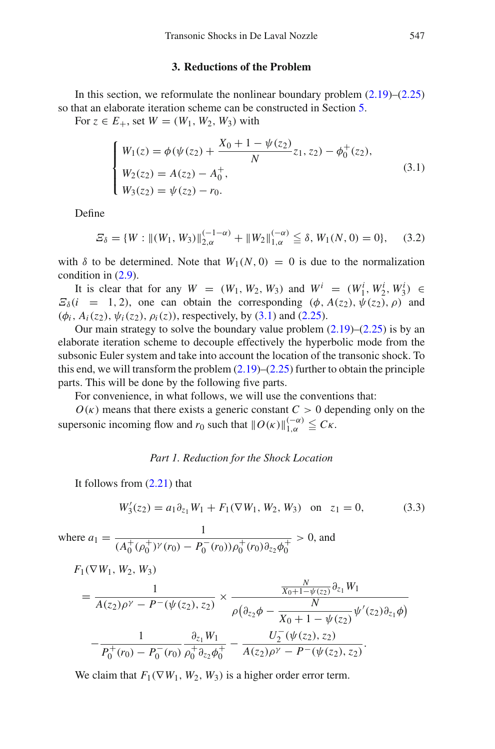#### **3. Reductions of the Problem**

<span id="page-14-1"></span>In this section, we reformulate the nonlinear boundary problem  $(2.19)$ – $(2.25)$ so that an elaborate iteration scheme can be constructed in Section [5.](#page-37-0)

<span id="page-14-2"></span>For  $z \in E_+$ , set  $W = (W_1, W_2, W_3)$  with

$$
\begin{cases}\nW_1(z) = \phi(\psi(z_2) + \frac{X_0 + 1 - \psi(z_2)}{N} z_1, z_2) - \phi_0^+(z_2), \nW_2(z_2) = A(z_2) - A_0^+, \nW_3(z_2) = \psi(z_2) - r_0.\n\end{cases}
$$
\n(3.1)

Define

$$
\mathcal{Z}_{\delta} = \{ W : \|(W_1, W_3)\|_{2,\alpha}^{(-1-\alpha)} + \|W_2\|_{1,\alpha}^{(-\alpha)} \leq \delta, W_1(N, 0) = 0 \},\tag{3.2}
$$

<span id="page-14-3"></span>with  $\delta$  to be determined. Note that  $W_1(N, 0) = 0$  is due to the normalization condition in [\(2.9\)](#page-10-4).

It is clear that for any *W* = (*W*<sub>1</sub>, *W*<sub>2</sub>, *W*<sub>3</sub>) and *W<sup><i>i*</sup> = (*W*<sub>1</sub><sup>*i*</sup>, *W*<sub>2</sub><sup>*i*</sup>, *W*<sub>3</sub><sup>*j*</sup>) ∈  $\mathcal{Z}_{\delta}(i = 1, 2)$ , one can obtain the corresponding  $(\phi, A(z_2), \psi(z_2), \rho)$  and  $(\phi_i, A_i(z_2), \psi_i(z_2), \rho_i(z))$ , respectively, by [\(3.1\)](#page-14-2) and [\(2.25\)](#page-12-0).

Our main strategy to solve the boundary value problem  $(2.19)$ – $(2.25)$  is by an elaborate iteration scheme to decouple effectively the hyperbolic mode from the subsonic Euler system and take into account the location of the transonic shock. To this end, we will transform the problem  $(2.19)$ – $(2.25)$  further to obtain the principle parts. This will be done by the following five parts.

For convenience, in what follows, we will use the conventions that:

 $O(\kappa)$  means that there exists a generic constant  $C > 0$  depending only on the supersonic incoming flow and  $r_0$  such that  $\|O(\kappa)\|_{1,\alpha}^{(-\alpha)} \leqq C\kappa$ .

## *Part 1. Reduction for the Shock Location*

It follows from [\(2.21\)](#page-11-3) that

$$
W_3'(z_2) = a_1 \partial_{z_1} W_1 + F_1(\nabla W_1, W_2, W_3) \quad \text{on} \quad z_1 = 0,\tag{3.3}
$$

<span id="page-14-0"></span>where 
$$
a_1 = \frac{1}{(A_0^+(\rho_0^+)^{\gamma}(r_0) - P_0^-(r_0))\rho_0^+(r_0)\partial_{z_2}\phi_0^+} > 0
$$
, and

$$
F_1(\nabla W_1, W_2, W_3)
$$
  
=  $\frac{1}{A(z_2)\rho^{\gamma} - P^-(\psi(z_2), z_2)} \times \frac{\frac{N}{X_0 + 1 - \psi(z_2)} \partial_{z_1} W_1}{\rho(\partial_{z_2}\phi - \frac{N}{X_0 + 1 - \psi(z_2)} \psi'(z_2) \partial_{z_1}\phi)}$   
-  $\frac{1}{P_0^+(r_0) - P_0^-(r_0)} \frac{\partial_{z_1} W_1}{\rho_0^+ \partial_{z_2}\phi_0^+} - \frac{U_2^-(\psi(z_2), z_2)}{A(z_2)\rho^{\gamma} - P^-(\psi(z_2), z_2)}.$ 

We claim that  $F_1(\nabla W_1, W_2, W_3)$  is a higher order error term.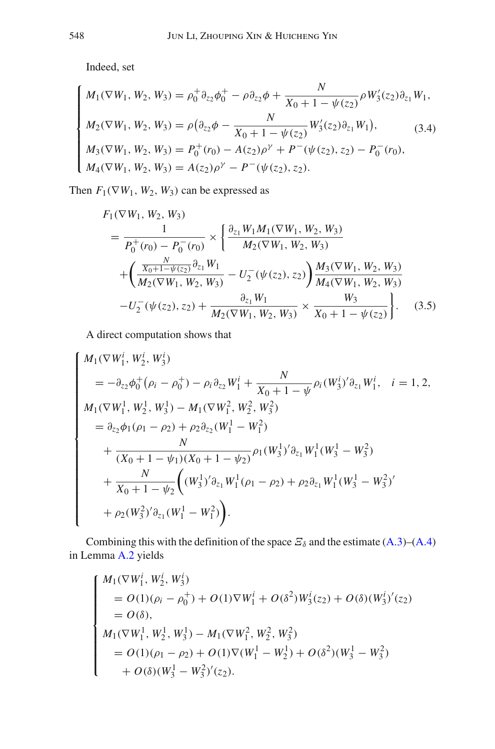Indeed, set

$$
M_1(\nabla W_1, W_2, W_3) = \rho_0^+ \partial_{z_2} \phi_0^+ - \rho \partial_{z_2} \phi + \frac{N}{X_0 + 1 - \psi(z_2)} \rho W_3'(z_2) \partial_{z_1} W_1,
$$
  
\n
$$
M_2(\nabla W_1, W_2, W_3) = \rho \left( \partial_{z_2} \phi - \frac{N}{X_0 + 1 - \psi(z_2)} W_3'(z_2) \partial_{z_1} W_1 \right),
$$
  
\n
$$
M_3(\nabla W_1, W_2, W_3) = P_0^+(r_0) - A(z_2) \rho^{\gamma} + P^-(\psi(z_2), z_2) - P_0^-(r_0),
$$
  
\n
$$
M_4(\nabla W_1, W_2, W_3) = A(z_2) \rho^{\gamma} - P^-(\psi(z_2), z_2).
$$
  
\n(3.4)

<span id="page-15-0"></span>Then  $F_1(\nabla W_1, W_2, W_3)$  can be expressed as

$$
F_1(\nabla W_1, W_2, W_3)
$$
  
=  $\frac{1}{P_0^+(r_0) - P_0^-(r_0)} \times \left\{ \frac{\partial_{z_1} W_1 M_1(\nabla W_1, W_2, W_3)}{M_2(\nabla W_1, W_2, W_3)} + \left( \frac{\frac{N}{X_0 + 1 - \psi(z_2)} \partial_{z_1} W_1}{M_2(\nabla W_1, W_2, W_3)} - U_2^-(\psi(z_2), z_2) \right) \frac{M_3(\nabla W_1, W_2, W_3)}{M_4(\nabla W_1, W_2, W_3)} - U_2^-(\psi(z_2), z_2) + \frac{\partial_{z_1} W_1}{M_2(\nabla W_1, W_2, W_3)} \times \frac{W_3}{X_0 + 1 - \psi(z_2)} \right\}.$  (3.5)

A direct computation shows that

$$
\begin{cases}\nM_1(\nabla W_1^i, W_2^i, W_3^i) \\
= -\partial_{z_2}\phi_0^+(\rho_i - \rho_0^+) - \rho_i \partial_{z_2} W_1^i + \frac{N}{X_0 + 1 - \psi} \rho_i (W_3^i)' \partial_{z_1} W_1^i, \quad i = 1, 2, \\
M_1(\nabla W_1^1, W_2^1, W_3^1) - M_1(\nabla W_1^2, W_2^2, W_3^2) \\
= \partial_{z_2}\phi_1(\rho_1 - \rho_2) + \rho_2 \partial_{z_2} (W_1^1 - W_1^2) \\
+ \frac{N}{(X_0 + 1 - \psi_1)(X_0 + 1 - \psi_2)} \rho_1 (W_3^1)' \partial_{z_1} W_1^1 (W_3^1 - W_3^2) \\
+ \frac{N}{X_0 + 1 - \psi_2} \left( (W_3^1)' \partial_{z_1} W_1^1 (\rho_1 - \rho_2) + \rho_2 \partial_{z_1} W_1^1 (W_3^1 - W_3^2)' \right. \\
+ \rho_2 (W_3^2)' \partial_{z_1} (W_1^1 - W_1^2) \right).\n\end{cases}
$$

Combining this with the definition of the space  $\mathcal{E}_{\delta}$  and the estimate [\(A.3\)](#page-41-0)–[\(A.4\)](#page-41-1) in Lemma [A.2](#page-41-2) yields

$$
\begin{cases}\nM_1(\nabla W_1^i, W_2^i, W_3^i) \\
= O(1)(\rho_i - \rho_0^+) + O(1)\nabla W_1^i + O(\delta^2)W_3^i(z_2) + O(\delta)(W_3^i)'(z_2) \\
= O(\delta), \\
M_1(\nabla W_1^1, W_2^1, W_3^1) - M_1(\nabla W_1^2, W_2^2, W_3^2) \\
= O(1)(\rho_1 - \rho_2) + O(1)\nabla(W_1^1 - W_2^1) + O(\delta^2)(W_3^1 - W_3^2) \\
+ O(\delta)(W_3^1 - W_3^2)'(z_2).\n\end{cases}
$$

 $\lceil$  $\frac{1}{2}$ 

<span id="page-15-1"></span> $\sqrt{\frac{1}{2}}$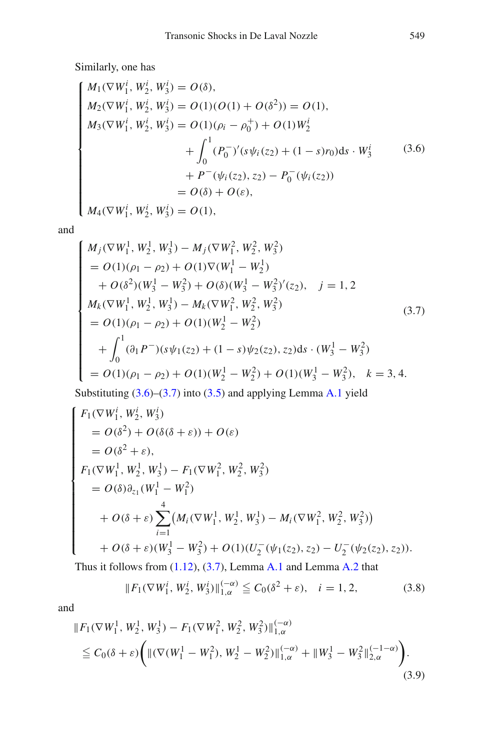Similarly, one has

$$
\begin{cases}\nM_1(\nabla W_1^i, W_2^i, W_3^i) = O(\delta), \\
M_2(\nabla W_1^i, W_2^i, W_3^i) = O(1)(O(1) + O(\delta^2)) = O(1), \\
M_3(\nabla W_1^i, W_2^i, W_3^i) = O(1)(\rho_i - \rho_0^+) + O(1)W_2^i \\
&+ \int_0^1 (P_0^-)'(s\psi_i(z_2) + (1 - s)r_0)ds \cdot W_3^i \\
&+ P^-(\psi_i(z_2), z_2) - P_0^-(\psi_i(z_2)) \\
&= O(\delta) + O(\varepsilon),\n\end{cases} \tag{3.6}
$$

<span id="page-16-0"></span> $<sub>1</sub>$ </sub>  $M_4(\nabla W_1^i, W_2^i, W_3^i) = O(1),$ 

<span id="page-16-1"></span>and

$$
\begin{cases}\nM_j(\nabla W_1^1, W_2^1, W_3^1) - M_j(\nabla W_1^2, W_2^2, W_3^2) \\
= O(1)(\rho_1 - \rho_2) + O(1)\nabla(W_1^1 - W_2^1) \\
+ O(\delta^2)(W_3^1 - W_3^2) + O(\delta)(W_3^1 - W_3^2)'(z_2), \quad j = 1, 2 \\
M_k(\nabla W_1^1, W_2^1, W_3^1) - M_k(\nabla W_1^2, W_2^2, W_3^2) \\
= O(1)(\rho_1 - \rho_2) + O(1)(W_2^1 - W_2^2) \\
+ \int_0^1 (\partial_1 P^-)(s\psi_1(z_2) + (1 - s)\psi_2(z_2), z_2)ds \cdot (W_3^1 - W_3^2) \\
= O(1)(\rho_1 - \rho_2) + O(1)(W_2^1 - W_2^2) + O(1)(W_3^1 - W_3^2), \quad k = 3, 4.\n\end{cases}
$$
\n(3.7)

Substituting [\(3.6\)](#page-16-0)–[\(3.7\)](#page-16-1) into [\(3.5\)](#page-15-0) and applying Lemma [A.1](#page-40-1) yield

$$
\begin{cases}\nF_1(\nabla W_1^i, W_2^i, W_3^i) \\
= O(\delta^2) + O(\delta(\delta + \varepsilon)) + O(\varepsilon) \\
= O(\delta^2 + \varepsilon), \\
F_1(\nabla W_1^1, W_2^1, W_3^1) - F_1(\nabla W_1^2, W_2^2, W_3^2) \\
= O(\delta)\partial_{z_1}(W_1^1 - W_1^2) \\
+ O(\delta + \varepsilon) \sum_{i=1}^4 (M_i(\nabla W_1^1, W_2^1, W_3^1) - M_i(\nabla W_1^2, W_2^2, W_3^2)) \\
+ O(\delta + \varepsilon)(W_3^1 - W_3^2) + O(1)(U_2^-(\psi_1(z_2), z_2) - U_2^-(\psi_2(z_2), z_2)).\n\end{cases}
$$

Thus it follows from [\(1.12\)](#page-3-2), [\(3.7\)](#page-16-1), Lemma [A.1](#page-40-1) and Lemma [A.2](#page-41-2) that

$$
||F_1(\nabla W_1^i, W_2^i, W_3^i)||_{1,\alpha}^{(-\alpha)} \leq C_0(\delta^2 + \varepsilon), \quad i = 1, 2,
$$
 (3.8)

<span id="page-16-3"></span><span id="page-16-2"></span>and

$$
\|F_1(\nabla W_1^1, W_2^1, W_3^1) - F_1(\nabla W_1^2, W_2^2, W_3^2)\|_{1,\alpha}^{(-\alpha)}
$$
  
\n
$$
\leq C_0(\delta + \varepsilon) \Biggl( \| (\nabla (W_1^1 - W_1^2), W_2^1 - W_2^2) \|_{1,\alpha}^{(-\alpha)} + \| W_3^1 - W_3^2 \|_{2,\alpha}^{(-1-\alpha)} \Biggr).
$$
\n(3.9)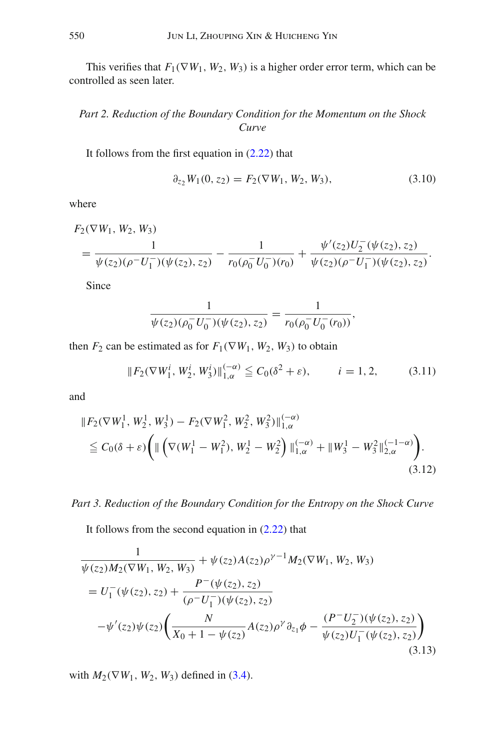This verifies that  $F_1(\nabla W_1, W_2, W_3)$  is a higher order error term, which can be controlled as seen later.

## *Part 2. Reduction of the Boundary Condition for the Momentum on the Shock Curve*

<span id="page-17-0"></span>It follows from the first equation in  $(2.22)$  that

$$
\partial_{z_2} W_1(0, z_2) = F_2(\nabla W_1, W_2, W_3), \tag{3.10}
$$

where

$$
F_2(\nabla W_1, W_2, W_3)
$$
  
=  $\frac{1}{\psi(z_2)(\rho^-U_1^-)(\psi(z_2), z_2)} - \frac{1}{r_0(\rho_0^-U_0^-)(r_0)} + \frac{\psi'(z_2)U_2^-(\psi(z_2), z_2)}{\psi(z_2)(\rho^-U_1^-)(\psi(z_2), z_2)}.$ 

Since

$$
\frac{1}{\psi(z_2)(\rho_0^- U_0^-)(\psi(z_2), z_2)} = \frac{1}{r_0(\rho_0^- U_0^-(r_0))},
$$

<span id="page-17-2"></span>then  $F_2$  can be estimated as for  $F_1(\nabla W_1, W_2, W_3)$  to obtain

$$
||F_2(\nabla W_1^i, W_2^i, W_3^i)||_{1,\alpha}^{(-\alpha)} \le C_0(\delta^2 + \varepsilon), \qquad i = 1, 2,
$$
 (3.11)

<span id="page-17-3"></span>and

$$
\begin{split} &\|F_{2}(\nabla W_{1}^{1}, W_{2}^{1}, W_{3}^{1}) - F_{2}(\nabla W_{1}^{2}, W_{2}^{2}, W_{3}^{2})\|_{1,\alpha}^{(-\alpha)}\\ &\leq C_{0}(\delta + \varepsilon) \Biggl( \| \left( \nabla (W_{1}^{1} - W_{1}^{2}), W_{2}^{1} - W_{2}^{2} \right) \|_{1,\alpha}^{(-\alpha)} + \|W_{3}^{1} - W_{3}^{2} \|_{2,\alpha}^{(-1-\alpha)} \Biggr). \end{split} \tag{3.12}
$$

*Part 3. Reduction of the Boundary Condition for the Entropy on the Shock Curve*

It follows from the second equation in  $(2.22)$  that

<span id="page-17-1"></span>
$$
\frac{1}{\psi(z_2)M_2(\nabla W_1, W_2, W_3)} + \psi(z_2)A(z_2)\rho^{\gamma-1}M_2(\nabla W_1, W_2, W_3)
$$
\n
$$
= U_1^-(\psi(z_2), z_2) + \frac{P^-(\psi(z_2), z_2)}{(\rho^-U_1^-)(\psi(z_2), z_2)}
$$
\n
$$
-\psi'(z_2)\psi(z_2)\left(\frac{N}{X_0 + 1 - \psi(z_2)}A(z_2)\rho^{\gamma}\partial_{z_1}\phi - \frac{(P^-U_2^-)(\psi(z_2), z_2)}{\psi(z_2)U_1^-(\psi(z_2), z_2)}\right)
$$
\n(3.13)

with  $M_2(\nabla W_1, W_2, W_3)$  defined in [\(3.4\)](#page-15-1).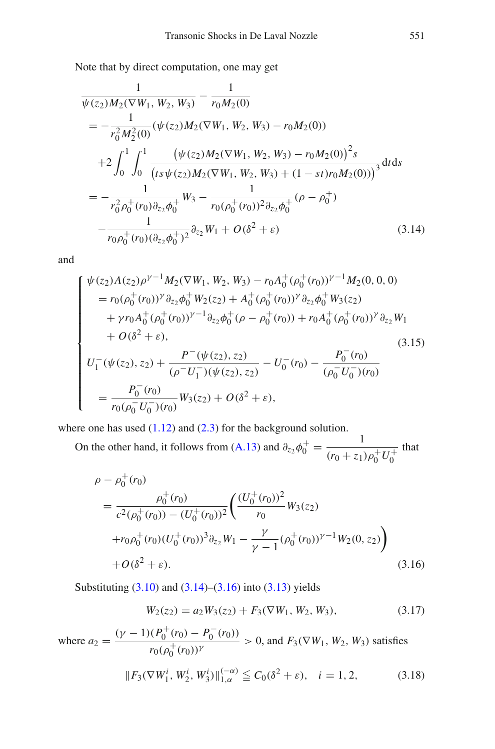<span id="page-18-0"></span>Note that by direct computation, one may get

$$
\frac{1}{\psi(z_2)M_2(\nabla W_1, W_2, W_3)} - \frac{1}{r_0M_2(0)} \n= -\frac{1}{r_0^2M_2^2(0)}(\psi(z_2)M_2(\nabla W_1, W_2, W_3) - r_0M_2(0)) \n+2\int_0^1 \int_0^1 \frac{(\psi(z_2)M_2(\nabla W_1, W_2, W_3) - r_0M_2(0))^2s}{(ts\psi(z_2)M_2(\nabla W_1, W_2, W_3) + (1 - st)r_0M_2(0)))^3} dt ds \n= -\frac{1}{r_0^2\rho_0^+(r_0)\partial_{z_2}\phi_0^+} W_3 - \frac{1}{r_0(\rho_0^+(r_0))^2\partial_{z_2}\phi_0^+} (\rho - \rho_0^+) \n- \frac{1}{r_0\rho_0^+(r_0)(\partial_{z_2}\phi_0^+)^2} \partial_{z_2}W_1 + O(\delta^2 + \varepsilon)
$$
\n(3.14)

and

$$
\begin{cases}\n\psi(z_2)A(z_2)\rho^{\gamma-1}M_2(\nabla W_1, W_2, W_3) - r_0A_0^+(\rho_0^+(r_0))^{\gamma-1}M_2(0, 0, 0) \\
= r_0(\rho_0^+(r_0))^{\gamma}\partial_{z_2}\phi_0^+W_2(z_2) + A_0^+(\rho_0^+(r_0))^{\gamma}\partial_{z_2}\phi_0^+W_3(z_2) \\
+ \gamma r_0A_0^+(\rho_0^+(r_0))^{\gamma-1}\partial_{z_2}\phi_0^+(\rho - \rho_0^+(r_0)) + r_0A_0^+(\rho_0^+(r_0))^{\gamma}\partial_{z_2}W_1 \\
+ O(\delta^2 + \varepsilon), \\
U_1^-(\psi(z_2), z_2) + \frac{P^-(\psi(z_2), z_2)}{(\rho^-U_1^-)(\psi(z_2), z_2)} - U_0^-(r_0) - \frac{P_0^-(r_0)}{(\rho_0^-U_0^-(r_0))} \\
= \frac{P_0^-(r_0)}{r_0(\rho_0^-U_0^-(r_0))^{\gamma}}W_3(z_2) + O(\delta^2 + \varepsilon),\n\end{cases} \tag{3.15}
$$

<span id="page-18-1"></span>where one has used  $(1.12)$  and  $(2.3)$  for the background solution.

On the other hand, it follows from [\(A.13\)](#page-43-1) and  $\partial_{z_2}\phi_0^+ = \frac{1}{(r_0 + z_1)\rho_0^+U_0^+}$ that

$$
\rho - \rho_0^+(r_0)
$$
\n
$$
= \frac{\rho_0^+(r_0)}{c^2(\rho_0^+(r_0)) - (U_0^+(r_0))^2} \left( \frac{(U_0^+(r_0))^2}{r_0} W_3(z_2) + r_0 \rho_0^+(r_0)(U_0^+(r_0))^3 \partial_{z_2} W_1 - \frac{\gamma}{\gamma - 1} (\rho_0^+(r_0))^{\gamma - 1} W_2(0, z_2) \right)
$$
\n
$$
+ O(\delta^2 + \varepsilon). \tag{3.16}
$$

Substituting  $(3.10)$  and  $(3.14)$ – $(3.16)$  into  $(3.13)$  yields

$$
W_2(z_2) = a_2 W_3(z_2) + F_3(\nabla W_1, W_2, W_3), \tag{3.17}
$$

<span id="page-18-3"></span><span id="page-18-2"></span>where  $a_2 = \frac{(\gamma - 1)(P_0^+(r_0) - P_0^-(r_0))}{(r_0^+(r_0))^2}$  $\frac{\partial^2 u}{\partial r^2}(\rho_0^+(r_0))^{\gamma}$  > 0, and  $F_3(\nabla W_1, W_2, W_3)$  satisfies  $||F_3(\nabla W_1^i, W_2^i, W_3^i)||_{1,\alpha}^{(-\alpha)} \le C_0(\delta^2 + \varepsilon), \quad i = 1, 2,$  (3.18)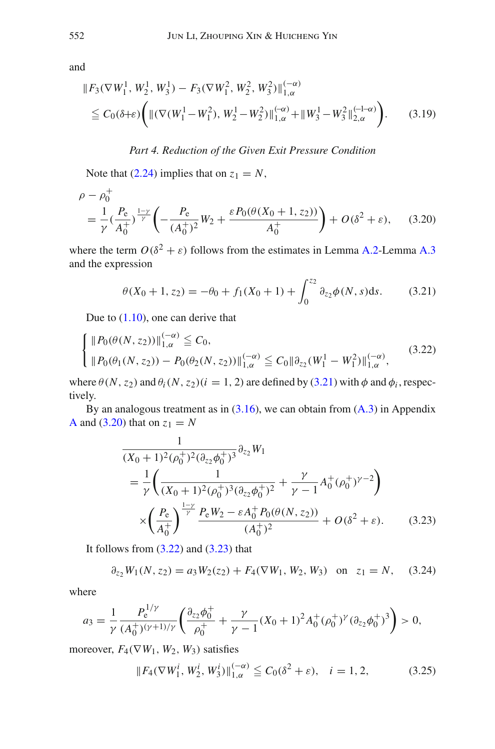<span id="page-19-4"></span>and

$$
\|F_3(\nabla W_1^1, W_2^1, W_3^1) - F_3(\nabla W_1^2, W_2^2, W_3^2)\|_{1,\alpha}^{(-\alpha)}\n\leq C_0(\delta + \varepsilon) \Big( \|(\nabla (W_1^1 - W_1^2), W_2^1 - W_2^2)\|_{1,\alpha}^{(-\alpha)} + \|W_3^1 - W_3^2\|_{2,\alpha}^{(-1-\alpha)} \Big). \tag{3.19}
$$

## *Part 4. Reduction of the Given Exit Pressure Condition*

Note that  $(2.24)$  implies that on  $z_1 = N$ ,

<span id="page-19-1"></span>
$$
\rho - \rho_0^+
$$
  
=  $\frac{1}{\gamma} \left( \frac{P_e}{A_0^+} \right)^{\frac{1-\gamma}{\gamma}} \left( -\frac{P_e}{(A_0^+)^2} W_2 + \frac{\varepsilon P_0(\theta(X_0+1, z_2))}{A_0^+} \right) + O(\delta^2 + \varepsilon),$  (3.20)

<span id="page-19-0"></span>where the term  $O(\delta^2 + \varepsilon)$  follows from the estimates in Lemma [A.2-](#page-41-2)Lemma [A.3](#page-42-0) and the expression

$$
\theta(X_0 + 1, z_2) = -\theta_0 + f_1(X_0 + 1) + \int_0^{z_2} \partial_{z_2} \phi(N, s) \, ds. \tag{3.21}
$$

Due to  $(1.10)$ , one can derive that

$$
\begin{cases} \|P_0(\theta(N,z_2))\|_{1,\alpha}^{(-\alpha)} \leq C_0, \\ \|P_0(\theta_1(N,z_2)) - P_0(\theta_2(N,z_2))\|_{1,\alpha}^{(-\alpha)} \leq C_0 \|\partial_{z_2}(W_1^1 - W_1^2)\|_{1,\alpha}^{(-\alpha)}, \end{cases} (3.22)
$$

<span id="page-19-2"></span>where  $\theta(N, z_2)$  and  $\theta_i(N, z_2)$  ( $i = 1, 2$ ) are defined by [\(3.21\)](#page-19-0) with  $\phi$  and  $\phi_i$ , respectively.

<span id="page-19-3"></span>By an analogous treatment as in  $(3.16)$ , we can obtain from  $(A.3)$  in Appendix [A](#page-40-0) and  $(3.20)$  that on  $z_1 = N$ 

$$
\frac{1}{(X_0+1)^2(\rho_0^+)^2(\partial_{z_2}\phi_0^+)^3} \partial_{z_2} W_1
$$
\n
$$
= \frac{1}{\gamma} \left( \frac{1}{(X_0+1)^2(\rho_0^+)^3(\partial_{z_2}\phi_0^+)^2} + \frac{\gamma}{\gamma-1} A_0^+(\rho_0^+)^{\gamma-2} \right)
$$
\n
$$
\times \left( \frac{P_e}{A_0^+} \right)^{\frac{1-\gamma}{\gamma}} \frac{P_e W_2 - \varepsilon A_0^+ P_0(\theta(N, z_2))}{(A_0^+)^2} + O(\delta^2 + \varepsilon).
$$
\n(3.23)

It follows from  $(3.22)$  and  $(3.23)$  that

$$
\partial_{z_2} W_1(N, z_2) = a_3 W_2(z_2) + F_4(\nabla W_1, W_2, W_3) \quad \text{on} \quad z_1 = N, \quad (3.24)
$$

where

$$
a_3 = \frac{1}{\gamma} \frac{P_e^{1/\gamma}}{(A_0^+)^{(\gamma+1)/\gamma}} \left( \frac{\partial_{z_2} \phi_0^+}{\rho_0^+} + \frac{\gamma}{\gamma-1} (X_0 + 1)^2 A_0^+ (\rho_0^+)^{\gamma} (\partial_{z_2} \phi_0^+)^3 \right) > 0,
$$

<span id="page-19-5"></span>moreover,  $F_4(\nabla W_1, W_2, W_3)$  satisfies

$$
||F_4(\nabla W_1^i, W_2^i, W_3^i)||_{1,\alpha}^{(-\alpha)} \le C_0(\delta^2 + \varepsilon), \quad i = 1, 2,
$$
 (3.25)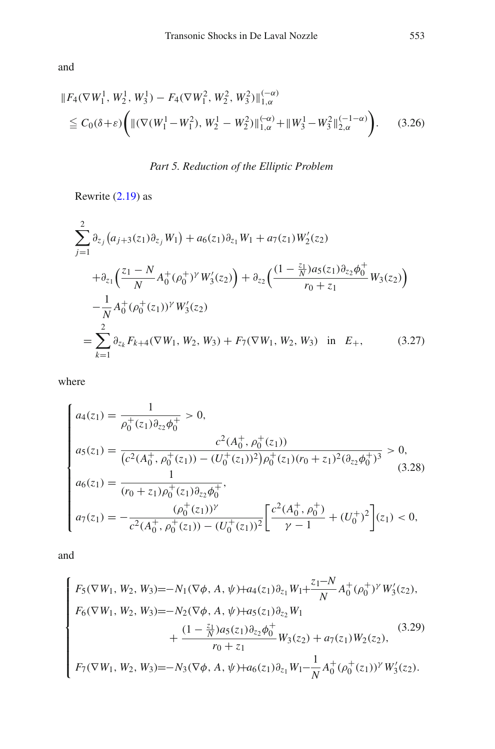and

<span id="page-20-2"></span>
$$
\|F_4(\nabla W_1^1, W_2^1, W_3^1) - F_4(\nabla W_1^2, W_2^2, W_3^2)\|_{1,\alpha}^{(-\alpha)}
$$
  
\n
$$
\leq C_0(\delta + \varepsilon) \Biggl( \| (\nabla (W_1^1 - W_1^2), W_2^1 - W_2^2) \|_{1,\alpha}^{(-\alpha)} + \| W_3^1 - W_3^2 \|_{2,\alpha}^{(-1-\alpha)} \Biggr).
$$
 (3.26)

# *Part 5. Reduction of the Elliptic Problem*

Rewrite [\(2.19\)](#page-11-0) as

<span id="page-20-0"></span>
$$
\sum_{j=1}^{2} \partial_{z_j} (a_{j+3}(z_1)\partial_{z_j} W_1) + a_6(z_1)\partial_{z_1} W_1 + a_7(z_1)W_2'(z_2)
$$
  
+  $\partial_{z_1} \left(\frac{z_1 - N}{N} A_0^+(\rho_0^+)^\gamma W_3'(z_2)\right) + \partial_{z_2} \left(\frac{(1 - \frac{z_1}{N})a_5(z_1)\partial_{z_2}\phi_0^+}{r_0 + z_1} W_3(z_2)\right)$   
-  $\frac{1}{N} A_0^+(\rho_0^+(z_1))^\gamma W_3'(z_2)$   
=  $\sum_{k=1}^{2} \partial_{z_k} F_{k+4}(\nabla W_1, W_2, W_3) + F_7(\nabla W_1, W_2, W_3)$  in  $E_+,$  (3.27)

where

$$
\begin{cases}\na_4(z_1) = \frac{1}{\rho_0^+(z_1)\partial_{z_2}\phi_0^+} > 0, \\
a_5(z_1) = \frac{c^2(A_0^+, \rho_0^+(z_1))}{(c^2(A_0^+, \rho_0^+(z_1)) - (U_0^+(z_1))^2)\rho_0^+(z_1)(r_0 + z_1)^2(\partial_{z_2}\phi_0^+)^3} > 0, \\
a_6(z_1) = \frac{1}{(r_0 + z_1)\rho_0^+(z_1)\partial_{z_2}\phi_0^+}, \\
a_7(z_1) = -\frac{(\rho_0^+(z_1))^{\gamma}}{c^2(A_0^+, \rho_0^+(z_1)) - (U_0^+(z_1))^2} \left[\frac{c^2(A_0^+, \rho_0^+)}{\gamma - 1} + (U_0^+)^2\right](z_1) < 0,\n\end{cases}
$$

and

<span id="page-20-1"></span>
$$
\begin{cases}\nF_5(\nabla W_1, W_2, W_3) = -N_1(\nabla \phi, A, \psi) + a_4(z_1) \partial_{z_1} W_1 + \frac{z_1 - N}{N} A_0^+(\rho_0^+)^\gamma W_3'(z_2), \\
F_6(\nabla W_1, W_2, W_3) = -N_2(\nabla \phi, A, \psi) + a_5(z_1) \partial_{z_2} W_1 \\
&+ \frac{(1 - \frac{z_1}{N}) a_5(z_1) \partial_{z_2} \phi_0^+}{r_0 + z_1} W_3(z_2) + a_7(z_1) W_2(z_2), \\
F_7(\nabla W_1, W_2, W_3) = -N_3(\nabla \phi, A, \psi) + a_6(z_1) \partial_{z_1} W_1 - \frac{1}{N} A_0^+(\rho_0^+(z_1))^\gamma W_3'(z_2).\n\end{cases}
$$
\n(3.29)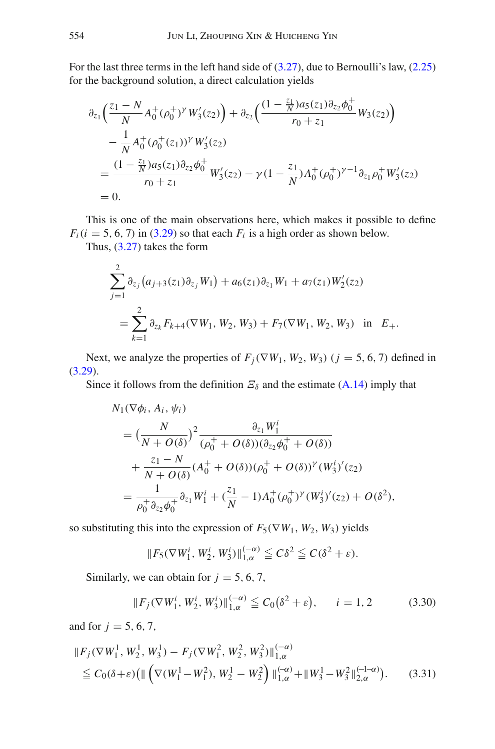For the last three terms in the left hand side of  $(3.27)$ , due to Bernoulli's law,  $(2.25)$ for the background solution, a direct calculation yields

$$
\partial_{z_1} \left( \frac{z_1 - N}{N} A_0^+(\rho_0^+)^\gamma W_3'(z_2) \right) + \partial_{z_2} \left( \frac{(1 - \frac{z_1}{N})a_5(z_1)\partial_{z_2}\phi_0^+}{r_0 + z_1} W_3(z_2) \right) \n- \frac{1}{N} A_0^+(\rho_0^+(z_1))^\gamma W_3'(z_2) \n= \frac{(1 - \frac{z_1}{N})a_5(z_1)\partial_{z_2}\phi_0^+}{r_0 + z_1} W_3'(z_2) - \gamma (1 - \frac{z_1}{N})A_0^+(\rho_0^+)^{\gamma - 1} \partial_{z_1}\rho_0^+ W_3'(z_2) \n= 0.
$$

This is one of the main observations here, which makes it possible to define  $F_i(i = 5, 6, 7)$  in [\(3.29\)](#page-20-1) so that each  $F_i$  is a high order as shown below.

Thus, [\(3.27\)](#page-20-0) takes the form

$$
\sum_{j=1}^{2} \partial_{z_j} (a_{j+3}(z_1) \partial_{z_j} W_1) + a_6(z_1) \partial_{z_1} W_1 + a_7(z_1) W_2'(z_2)
$$
  
= 
$$
\sum_{k=1}^{2} \partial_{z_k} F_{k+4}(\nabla W_1, W_2, W_3) + F_7(\nabla W_1, W_2, W_3)
$$
 in  $E_+$ .

Next, we analyze the properties of  $F_i(\nabla W_1, W_2, W_3)$  ( $j = 5, 6, 7$ ) defined in  $(3.29).$  $(3.29).$ 

Since it follows from the definition  $\mathcal{E}_{\delta}$  and the estimate [\(A.14\)](#page-43-2) imply that

$$
N_1(\nabla \phi_i, A_i, \psi_i)
$$
  
=  $\left(\frac{N}{N + O(\delta)}\right)^2 \frac{\partial_{z_1} W_1^i}{(\rho_0^+ + O(\delta))(\partial_{z_2} \phi_0^+ + O(\delta))}$   
+  $\frac{z_1 - N}{N + O(\delta)} (A_0^+ + O(\delta)) (\rho_0^+ + O(\delta))^{\gamma} (W_3^i)' (z_2)$   
=  $\frac{1}{\rho_0^+ \partial_{z_2} \phi_0^+} \partial_{z_1} W_1^i + (\frac{z_1}{N} - 1) A_0^+ (\rho_0^+)^{\gamma} (W_3^i)' (z_2) + O(\delta^2),$ 

so substituting this into the expression of  $F_5(\nabla W_1, W_2, W_3)$  yields

 $||F_5(\nabla W_1^i, W_2^i, W_3^i)||_{1,\alpha}^{(-\alpha)} \leq C\delta^2 \leq C(\delta^2 + \varepsilon).$ 

Similarly, we can obtain for  $j = 5, 6, 7$ ,

$$
||F_j(\nabla W_1^i, W_2^i, W_3^i)||_{1,\alpha}^{(-\alpha)} \leq C_0(\delta^2 + \varepsilon), \qquad i = 1, 2 \tag{3.30}
$$

<span id="page-21-1"></span><span id="page-21-0"></span>and for  $j = 5, 6, 7$ ,

$$
\|F_j(\nabla W_1^1, W_2^1, W_3^1) - F_j(\nabla W_1^2, W_2^2, W_3^2)\|_{1,\alpha}^{(-\alpha)}\n\le C_0(\delta + \varepsilon) \left( \|\left(\nabla (W_1^1 - W_1^2), W_2^1 - W_2^2\right) \|_{1,\alpha}^{(-\alpha)} + \|W_3^1 - W_3^2\|_{2,\alpha}^{(-1-\alpha)} \right). \tag{3.31}
$$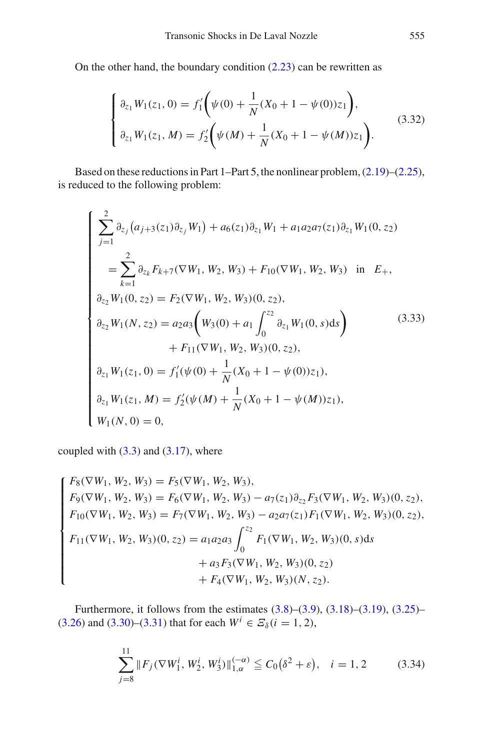On the other hand, the boundary condition  $(2.23)$  can be rewritten as

$$
\begin{cases} \partial_{z_1} W_1(z_1, 0) = f_1' \bigg( \psi(0) + \frac{1}{N} (X_0 + 1 - \psi(0)) z_1 \bigg), \\ \partial_{z_1} W_1(z_1, M) = f_2' \bigg( \psi(M) + \frac{1}{N} (X_0 + 1 - \psi(M)) z_1 \bigg). \end{cases}
$$
(3.32)

Based on these reductions in Part 1–Part 5, the nonlinear problem, [\(2.19\)](#page-11-0)–[\(2.25\)](#page-12-0), is reduced to the following problem:

<span id="page-22-0"></span>
$$
\begin{cases}\n\sum_{j=1}^{2} \partial_{z_j} (a_{j+3}(z_1) \partial_{z_j} W_1) + a_6(z_1) \partial_{z_1} W_1 + a_1 a_2 a_7(z_1) \partial_{z_1} W_1(0, z_2) \\
= \sum_{k=1}^{2} \partial_{z_k} F_{k+7}(\nabla W_1, W_2, W_3) + F_{10}(\nabla W_1, W_2, W_3) \text{ in } E_+, \\
\partial_{z_2} W_1(0, z_2) = F_2(\nabla W_1, W_2, W_3)(0, z_2), \\
\partial_{z_2} W_1(N, z_2) = a_2 a_3 \left( W_3(0) + a_1 \int_0^{z_2} \partial_{z_1} W_1(0, s) ds \right) \\
+ F_{11}(\nabla W_1, W_2, W_3)(0, z_2), \\
\partial_{z_1} W_1(z_1, 0) = f'_1(\psi(0) + \frac{1}{N}(X_0 + 1 - \psi(0))z_1), \\
\partial_{z_1} W_1(z_1, M) = f'_2(\psi(M) + \frac{1}{N}(X_0 + 1 - \psi(M))z_1), \\
W_1(N, 0) = 0,\n\end{cases}
$$
\n(3.33)

coupled with  $(3.3)$  and  $(3.17)$ , where

$$
\begin{cases}\nF_8(\nabla W_1, W_2, W_3) = F_5(\nabla W_1, W_2, W_3), \\
F_9(\nabla W_1, W_2, W_3) = F_6(\nabla W_1, W_2, W_3) - a_7(z_1)\partial_{z_2}F_3(\nabla W_1, W_2, W_3)(0, z_2), \\
F_{10}(\nabla W_1, W_2, W_3) = F_7(\nabla W_1, W_2, W_3) - a_2a_7(z_1)F_1(\nabla W_1, W_2, W_3)(0, z_2), \\
F_{11}(\nabla W_1, W_2, W_3)(0, z_2) = a_1a_2a_3 \int_0^{z_2} F_1(\nabla W_1, W_2, W_3)(0, s)ds \\
+ a_3F_3(\nabla W_1, W_2, W_3)(0, z_2) \\
+ F_4(\nabla W_1, W_2, W_3)(N, z_2).\n\end{cases}
$$

<span id="page-22-1"></span>Furthermore, it follows from the estimates  $(3.8)$ – $(3.9)$ ,  $(3.18)$ – $(3.19)$ ,  $(3.25)$ – [\(3.26\)](#page-20-2) and [\(3.30\)](#page-21-0)–[\(3.31\)](#page-21-1) that for each  $W^i \in \mathcal{Z}_\delta(i = 1, 2)$ ,

$$
\sum_{j=8}^{11} \|F_j(\nabla W_1^i, W_2^i, W_3^i)\|_{1,\alpha}^{(-\alpha)} \le C_0(\delta^2 + \varepsilon), \quad i = 1, 2 \tag{3.34}
$$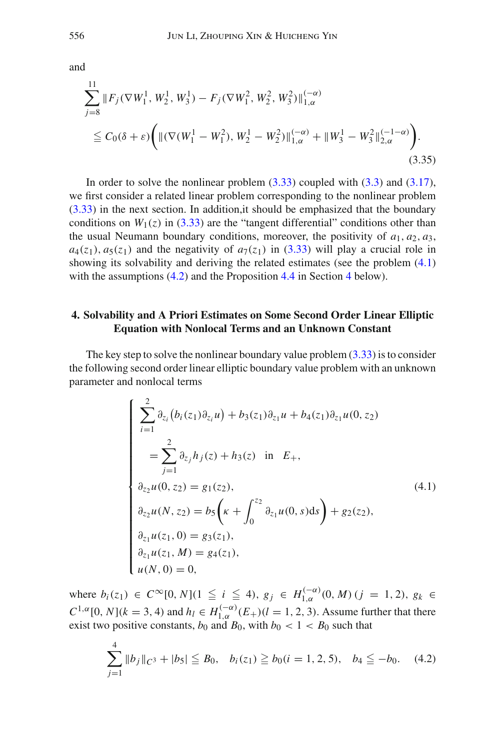<span id="page-23-3"></span>and

$$
\sum_{j=8}^{11} \|F_j(\nabla W_1^1, W_2^1, W_3^1) - F_j(\nabla W_1^2, W_2^2, W_3^2)\|_{1,\alpha}^{(-\alpha)}
$$
\n
$$
\leq C_0(\delta + \varepsilon) \Big( \| (\nabla (W_1^1 - W_1^2), W_2^1 - W_2^2) \|_{1,\alpha}^{(-\alpha)} + \| W_3^1 - W_3^2 \|_{2,\alpha}^{(-1-\alpha)} \Big). \tag{3.35}
$$

In order to solve the nonlinear problem  $(3.33)$  coupled with  $(3.3)$  and  $(3.17)$ , we first consider a related linear problem corresponding to the nonlinear problem [\(3.33\)](#page-22-0) in the next section. In addition,it should be emphasized that the boundary conditions on  $W_1(z)$  in [\(3.33\)](#page-22-0) are the "tangent differential" conditions other than the usual Neumann boundary conditions, moreover, the positivity of  $a_1, a_2, a_3$ ,  $a_4(z_1), a_5(z_1)$  and the negativity of  $a_7(z_1)$  in [\(3.33\)](#page-22-0) will play a crucial role in showing its solvability and deriving the related estimates (see the problem [\(4.1\)](#page-23-0) with the assumptions [\(4.2\)](#page-23-2) and the Proposition [4.4](#page-36-0) in Section [4](#page-23-1) below).

## <span id="page-23-1"></span>**4. Solvability and A Priori Estimates on Some Second Order Linear Elliptic Equation with Nonlocal Terms and an Unknown Constant**

The key step to solve the nonlinear boundary value problem  $(3.33)$  is to consider the following second order linear elliptic boundary value problem with an unknown parameter and nonlocal terms

$$
\begin{cases}\n\sum_{i=1}^{2} \partial_{z_i} (b_i(z_1) \partial_{z_i} u) + b_3(z_1) \partial_{z_1} u + b_4(z_1) \partial_{z_1} u(0, z_2) \\
= \sum_{j=1}^{2} \partial_{z_j} h_j(z) + h_3(z) \quad \text{in} \quad E_+, \\
\partial_{z_2} u(0, z_2) = g_1(z_2), \\
\partial_{z_2} u(N, z_2) = b_5 \left( \kappa + \int_0^{z_2} \partial_{z_1} u(0, s) \, ds \right) + g_2(z_2), \\
\partial_{z_1} u(z_1, 0) = g_3(z_1), \\
\partial_{z_1} u(z_1, M) = g_4(z_1), \\
u(N, 0) = 0,\n\end{cases} \tag{4.1}
$$

<span id="page-23-2"></span><span id="page-23-0"></span>where  $b_i(z_1) \in C^{\infty}[0, N](1 \leq i \leq 4), g_j \in H_{1,\alpha}^{(-\alpha)}(0, M) (j = 1, 2), g_k \in$  $C^{1,\alpha}[0, N](k = 3, 4)$  and  $h_l \in H^{(-\alpha)}_{1,\alpha}(E_+)(l = 1, 2, 3)$ . Assume further that there exist two positive constants,  $b_0$  and  $B_0$ , with  $b_0 < 1 < B_0$  such that

$$
\sum_{j=1}^{4} \|b_j\|_{C^3} + |b_5| \le B_0, \quad b_i(z_1) \ge b_0(i = 1, 2, 5), \quad b_4 \le -b_0. \tag{4.2}
$$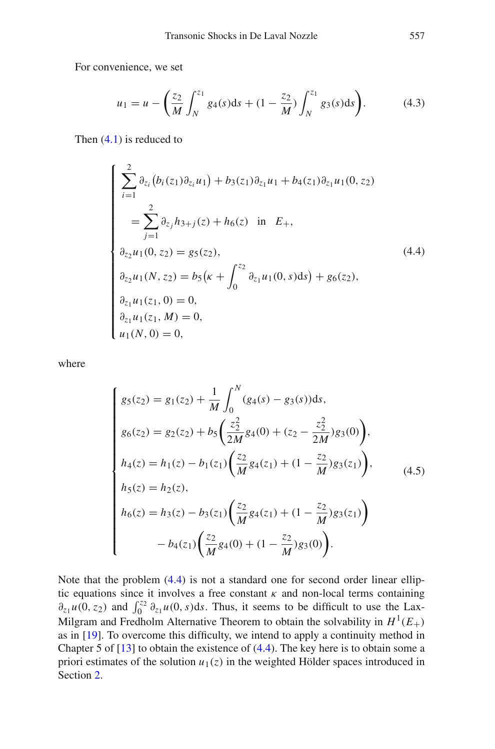<span id="page-24-1"></span>For convenience, we set

$$
u_1 = u - \left(\frac{z_2}{M} \int_N^{z_1} g_4(s) ds + (1 - \frac{z_2}{M}) \int_N^{z_1} g_3(s) ds\right).
$$
 (4.3)

Then [\(4.1\)](#page-23-0) is reduced to

<span id="page-24-0"></span>
$$
\begin{cases}\n\sum_{i=1}^{2} \partial_{z_i} (b_i(z_1) \partial_{z_i} u_1) + b_3(z_1) \partial_{z_1} u_1 + b_4(z_1) \partial_{z_1} u_1(0, z_2) \\
= \sum_{j=1}^{2} \partial_{z_j} h_{3+j}(z) + h_6(z) \quad \text{in} \quad E_+, \\
\partial_{z_2} u_1(0, z_2) = g_5(z_2), \\
\partial_{z_2} u_1(N, z_2) = b_5 \left( \kappa + \int_0^{z_2} \partial_{z_1} u_1(0, s) \, ds \right) + g_6(z_2), \\
\partial_{z_1} u_1(z_1, 0) = 0, \\
\partial_{z_1} u_1(z_1, M) = 0, \\
u_1(N, 0) = 0,\n\end{cases} \tag{4.4}
$$

<span id="page-24-2"></span>where

$$
\begin{cases}\ns_5(z_2) = g_1(z_2) + \frac{1}{M} \int_0^N (g_4(s) - g_3(s)) ds, \\
g_6(z_2) = g_2(z_2) + b_5 \left( \frac{z_2^2}{2M} g_4(0) + (z_2 - \frac{z_2^2}{2M}) g_3(0) \right), \\
h_4(z) = h_1(z) - b_1(z_1) \left( \frac{z_2}{M} g_4(z_1) + (1 - \frac{z_2}{M}) g_3(z_1) \right), \\
h_5(z) = h_2(z), \\
h_6(z) = h_3(z) - b_3(z_1) \left( \frac{z_2}{M} g_4(z_1) + (1 - \frac{z_2}{M}) g_3(z_1) \right) \\
- b_4(z_1) \left( \frac{z_2}{M} g_4(0) + (1 - \frac{z_2}{M}) g_3(0) \right).\n\end{cases} \tag{4.5}
$$

Note that the problem [\(4.4\)](#page-24-0) is not a standard one for second order linear elliptic equations since it involves a free constant  $\kappa$  and non-local terms containing  $\partial_{z_1} u(0, z_2)$  and  $\int_0^{z_2} \partial_{z_1} u(0, s) ds$ . Thus, it seems to be difficult to use the Lax-Milgram and Fredholm Alternative Theorem to obtain the solvability in  $H^1(E_+)$ as in [\[19\]](#page-47-12). To overcome this difficulty, we intend to apply a continuity method in Chapter 5 of  $[13]$  to obtain the existence of  $(4.4)$ . The key here is to obtain some a priori estimates of the solution  $u_1(z)$  in the weighted Hölder spaces introduced in Section [2.](#page-7-1)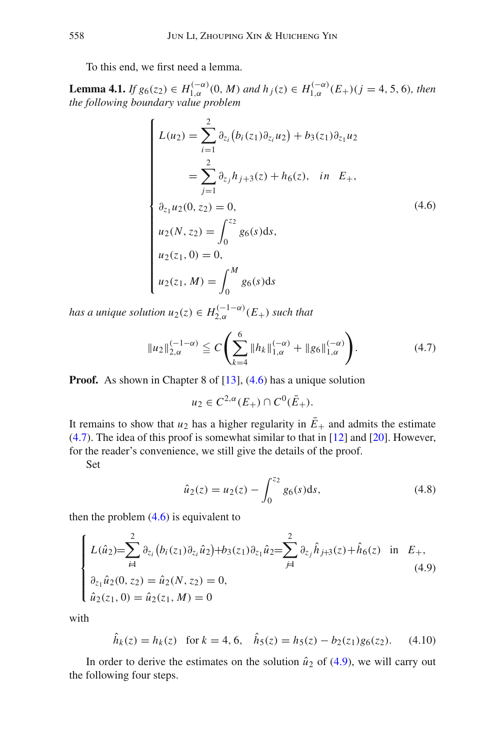To this end, we first need a lemma.

<span id="page-25-5"></span>**Lemma 4.1.** *If*  $g_6(z_2) \in H_{1,\alpha}^{(-\alpha)}(0,M)$  *and*  $h_j(z) \in H_{1,\alpha}^{(-\alpha)}(E_+)(j = 4, 5, 6)$ *, then the following boundary value problem*

$$
L(u_2) = \sum_{i=1}^{2} \partial_{z_i} (b_i(z_1) \partial_{z_i} u_2) + b_3(z_1) \partial_{z_1} u_2
$$
  
\n
$$
= \sum_{j=1}^{2} \partial_{z_j} h_{j+3}(z) + h_6(z), \text{ in } E_+,
$$
  
\n
$$
\partial_{z_1} u_2(0, z_2) = 0,
$$
  
\n
$$
u_2(N, z_2) = \int_0^{z_2} g_6(s) ds,
$$
  
\n
$$
u_2(z_1, 0) = 0,
$$
  
\n
$$
u_2(z_1, M) = \int_0^M g_6(s) ds
$$
 (4.6)

<span id="page-25-0"></span>*has a unique solution*  $u_2(z) \in H_{2,\alpha}^{(-1-\alpha)}(E_+)$  *such that* 

$$
||u_2||_{2,\alpha}^{(-1-\alpha)} \leq C \left( \sum_{k=4}^{6} ||h_k||_{1,\alpha}^{(-\alpha)} + ||g_6||_{1,\alpha}^{(-\alpha)} \right).
$$
 (4.7)

<span id="page-25-1"></span>**Proof.** As shown in Chapter 8 of [\[13](#page-47-15)], [\(4.6\)](#page-25-0) has a unique solution

 $u_2 \in C^{2,\alpha}(E_+) \cap C^0(\bar{E}_+).$ 

It remains to show that  $u_2$  has a higher regularity in  $\bar{E}_+$  and admits the estimate [\(4.7\)](#page-25-1). The idea of this proof is somewhat similar to that in [\[12\]](#page-47-14) and [\[20](#page-47-16)]. However, for the reader's convenience, we still give the details of the proof.

<span id="page-25-3"></span>Set

$$
\hat{u}_2(z) = u_2(z) - \int_0^{z_2} g_6(s) \, \mathrm{d}s,\tag{4.8}
$$

<span id="page-25-2"></span>then the problem  $(4.6)$  is equivalent to

$$
\begin{cases}\nL(\hat{u}_2) = \sum_{i=1}^{2} \partial_{z_i} (b_i(z_1) \partial_{z_i} \hat{u}_2) + b_3(z_1) \partial_{z_1} \hat{u}_2 = \sum_{j=1}^{2} \partial_{z_j} \hat{h}_{j+3}(z) + \hat{h}_6(z) & \text{in } E_+, \\
\partial_{z_1} \hat{u}_2(0, z_2) = \hat{u}_2(N, z_2) = 0, \\
\hat{u}_2(z_1, 0) = \hat{u}_2(z_1, M) = 0\n\end{cases}
$$
\n(4.9)

with

$$
\hat{h}_k(z) = h_k(z) \quad \text{for } k = 4, 6, \quad \hat{h}_5(z) = h_5(z) - b_2(z_1)g_6(z_2). \tag{4.10}
$$

<span id="page-25-4"></span>In order to derive the estimates on the solution  $\hat{u}_2$  of [\(4.9\)](#page-25-2), we will carry out the following four steps.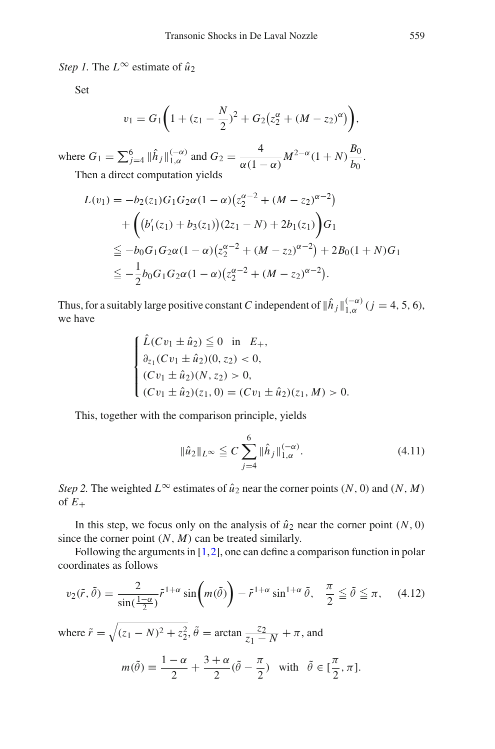*Step 1.* The  $L^{\infty}$  estimate of  $\hat{u}_2$ 

Set

$$
v_1 = G_1 \bigg( 1 + (z_1 - \frac{N}{2})^2 + G_2 \big( z_2^{\alpha} + (M - z_2)^{\alpha} \big) \bigg),
$$

where  $G_1 = \sum_{j=4}^{6} ||\hat{h}_j||_{1,\alpha}^{(-\alpha)}$  and  $G_2 = \frac{4}{\alpha(1-\alpha)} M^{2-\alpha}(1+N) \frac{B_0}{b_0}$  $\frac{6}{b_0}$ .

Then a direct computation yields

$$
L(v_1) = -b_2(z_1)G_1G_2\alpha(1-\alpha)\left(z_2^{\alpha-2} + (M - z_2)^{\alpha-2}\right)
$$
  
+ 
$$
\left((b'_1(z_1) + b_3(z_1))(2z_1 - N) + 2b_1(z_1)\right)G_1
$$
  

$$
\leq -b_0G_1G_2\alpha(1-\alpha)\left(z_2^{\alpha-2} + (M - z_2)^{\alpha-2}\right) + 2B_0(1+N)G_1
$$
  

$$
\leq -\frac{1}{2}b_0G_1G_2\alpha(1-\alpha)\left(z_2^{\alpha-2} + (M - z_2)^{\alpha-2}\right).
$$

Thus, for a suitably large positive constant *C* independent of  $\|\hat{h}_j\|_{1,\alpha}^{(-\alpha)}$  ( $j = 4, 5, 6$ ), we have

$$
\begin{cases} \n\hat{L}(Cv_1 \pm \hat{u}_2) \leq 0 & \text{in } E_+, \\ \n\partial_{z_1}(Cv_1 \pm \hat{u}_2)(0, z_2) < 0, \\ \n(Cv_1 \pm \hat{u}_2)(N, z_2) > 0, \\ \n(Cv_1 \pm \hat{u}_2)(z_1, 0) = (Cv_1 \pm \hat{u}_2)(z_1, M) > 0. \n\end{cases}
$$

<span id="page-26-0"></span>This, together with the comparison principle, yields

$$
\|\hat{u}_2\|_{L^{\infty}} \leq C \sum_{j=4}^{6} \|\hat{h}_j\|_{1,\alpha}^{(-\alpha)}.
$$
 (4.11)

*Step 2.* The weighted  $L^{\infty}$  estimates of  $\hat{u}_2$  near the corner points (*N*, 0) and (*N*, *M*) of  $E_+$ 

In this step, we focus only on the analysis of  $\hat{u}_2$  near the corner point  $(N, 0)$ since the corner point  $(N, M)$  can be treated similarly.

Following the arguments in [\[1](#page-47-17)[,2](#page-47-18)], one can define a comparison function in polar coordinates as follows

$$
v_2(\tilde{r}, \tilde{\theta}) = \frac{2}{\sin(\frac{1-\alpha}{2})} \tilde{r}^{1+\alpha} \sin\left(m(\tilde{\theta})\right) - \tilde{r}^{1+\alpha} \sin^{1+\alpha} \tilde{\theta}, \quad \frac{\pi}{2} \le \tilde{\theta} \le \pi, \quad (4.12)
$$

where  $\tilde{r} = \sqrt{(z_1 - N)^2 + z_2^2}$ ,  $\tilde{\theta} = \arctan \frac{z_2}{z_1 - N} + \pi$ , and

$$
m(\tilde{\theta}) \equiv \frac{1-\alpha}{2} + \frac{3+\alpha}{2}(\tilde{\theta} - \frac{\pi}{2}) \quad \text{with} \quad \tilde{\theta} \in [\frac{\pi}{2}, \pi].
$$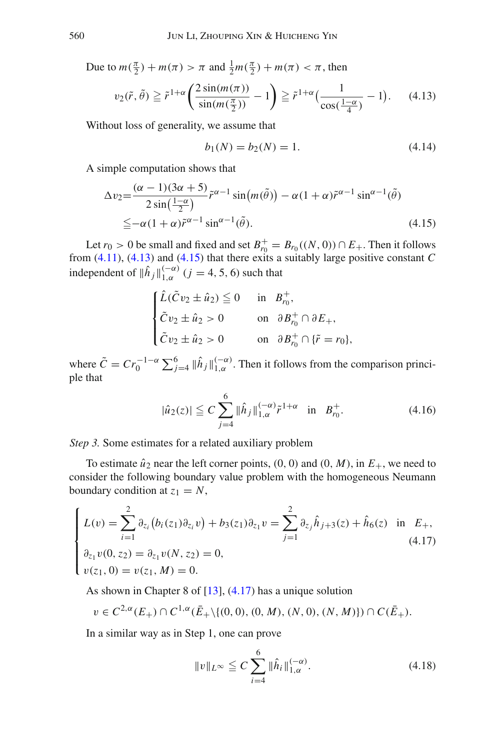<span id="page-27-0"></span>Due to  $m(\frac{\pi}{2}) + m(\pi) > \pi$  and  $\frac{1}{2}m(\frac{\pi}{2}) + m(\pi) < \pi$ , then

$$
v_2(\tilde{r},\tilde{\theta}) \ge \tilde{r}^{1+\alpha} \left( \frac{2\sin(m(\pi))}{\sin(m(\frac{\pi}{2}))} - 1 \right) \ge \tilde{r}^{1+\alpha} \left( \frac{1}{\cos(\frac{1-\alpha}{4})} - 1 \right). \tag{4.13}
$$

Without loss of generality, we assume that

$$
b_1(N) = b_2(N) = 1.
$$
\n(4.14)

A simple computation shows that

$$
\Delta v_2 = \frac{(\alpha - 1)(3\alpha + 5)}{2\sin(\frac{1-\alpha}{2})}\tilde{r}^{\alpha - 1}\sin(m(\tilde{\theta})) - \alpha(1 + \alpha)\tilde{r}^{\alpha - 1}\sin^{\alpha - 1}(\tilde{\theta})
$$
  
 
$$
\leq -\alpha(1 + \alpha)\tilde{r}^{\alpha - 1}\sin^{\alpha - 1}(\tilde{\theta}).
$$
 (4.15)

<span id="page-27-1"></span>Let *r*<sub>0</sub> > 0 be small and fixed and set  $B_{r_0}^+ = B_{r_0}((N, 0)) \cap E_+$ . Then it follows from [\(4.11\)](#page-26-0), [\(4.13\)](#page-27-0) and [\(4.15\)](#page-27-1) that there exits a suitably large positive constant *C* independent of  $\|\hat{h}_j\|_{1,\alpha}^{(-\alpha)}$  (*j* = 4, 5, 6) such that

$$
\begin{cases} \hat{L}(\tilde{C}v_2 \pm \hat{u}_2) \leq 0 & \text{in} \quad B_{r_0}^+, \\ \tilde{C}v_2 \pm \hat{u}_2 > 0 & \text{on} \quad \partial B_{r_0}^+ \cap \partial E_+, \\ \tilde{C}v_2 \pm \hat{u}_2 > 0 & \text{on} \quad \partial B_{r_0}^+ \cap \{\tilde{r} = r_0\}, \end{cases}
$$

where  $\tilde{C} = Cr_0^{-1-\alpha} \sum_{j=4}^6 \|\hat{h}_j\|_{1,\alpha}^{(-\alpha)}$ . Then it follows from the comparison principle that

$$
|\hat{u}_2(z)| \leqq C \sum_{j=4}^{6} ||\hat{h}_j||_{1,\alpha}^{(-\alpha)} \tilde{r}^{1+\alpha} \quad \text{in} \quad B_{r_0}^+.
$$
 (4.16)

*Step 3.* Some estimates for a related auxiliary problem

To estimate  $\hat{u}_2$  near the left corner points,  $(0, 0)$  and  $(0, M)$ , in  $E_+$ , we need to consider the following boundary value problem with the homogeneous Neumann boundary condition at  $z_1 = N$ ,

<span id="page-27-2"></span>
$$
\begin{cases}\nL(v) = \sum_{i=1}^{2} \partial_{z_i} (b_i(z_1)\partial_{z_i} v) + b_3(z_1)\partial_{z_1} v = \sum_{j=1}^{2} \partial_{z_j} \hat{h}_{j+3}(z) + \hat{h}_6(z) & \text{in } E_+, \\
\partial_{z_1} v(0, z_2) = \partial_{z_1} v(N, z_2) = 0, \\
v(z_1, 0) = v(z_1, M) = 0.\n\end{cases}
$$
\n(4.17)

As shown in Chapter 8 of  $[13]$  $[13]$ ,  $(4.17)$  has a unique solution

$$
v \in C^{2,\alpha}(E_+) \cap C^{1,\alpha}(\bar{E}_+\backslash \{(0,0), (0,M), (N,0), (N,M)\}) \cap C(\bar{E}_+).
$$

<span id="page-27-3"></span>In a similar way as in Step 1, one can prove

$$
||v||_{L^{\infty}} \leqq C \sum_{i=4}^{6} ||\hat{h}_i||_{1,\alpha}^{(-\alpha)}.
$$
 (4.18)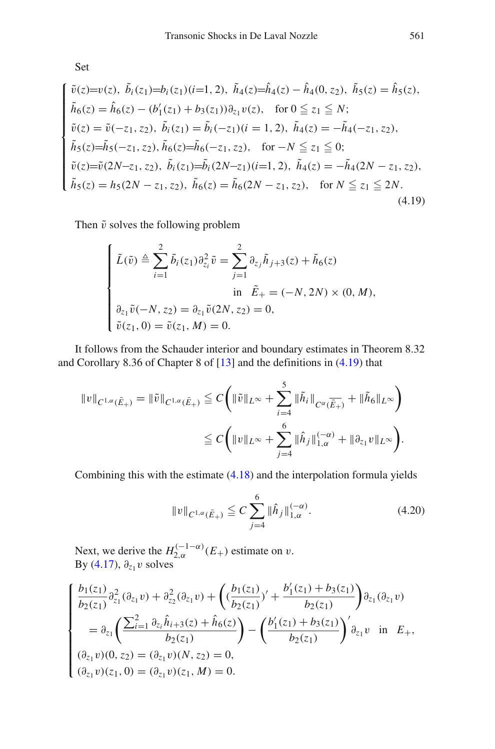Set

<span id="page-28-0"></span>
$$
\begin{cases}\n\tilde{v}(z)=v(z), \ \tilde{b}_i(z_1)=b_i(z_1)(i=1, 2), \ \tilde{h}_4(z)=\hat{h}_4(z) - \hat{h}_4(0, z_2), \ \tilde{h}_5(z) = \hat{h}_5(z), \\
\tilde{h}_6(z) = \hat{h}_6(z) - (b'_1(z_1) + b_3(z_1))\partial_{z_1}v(z), \quad \text{for } 0 \le z_1 \le N; \\
\tilde{v}(z) = \tilde{v}(-z_1, z_2), \ \tilde{b}_i(z_1) = \tilde{b}_i(-z_1)(i=1, 2), \ \tilde{h}_4(z) = -\tilde{h}_4(-z_1, z_2), \\
\tilde{h}_5(z)=\tilde{h}_5(-z_1, z_2), \ \tilde{h}_6(z)=\tilde{h}_6(-z_1, z_2), \quad \text{for } -N \le z_1 \le 0; \\
\tilde{v}(z)=\tilde{v}(2N-z_1, z_2), \ \tilde{b}_i(z_1)=\tilde{b}_i(2N-z_1)(i=1, 2), \ \tilde{h}_4(z) = -\tilde{h}_4(2N-z_1, z_2), \\
\tilde{h}_5(z) = h_5(2N-z_1, z_2), \ \tilde{h}_6(z) = \tilde{h}_6(2N-z_1, z_2), \quad \text{for } N \le z_1 \le 2N.\n\end{cases}
$$
\n(4.19)

Then  $\tilde{v}$  solves the following problem

$$
\begin{cases} \tilde{L}(\tilde{v}) \triangleq \sum_{i=1}^{2} \tilde{b}_i(z_1) \partial_{z_i}^2 \tilde{v} = \sum_{j=1}^{2} \partial_{z_j} \tilde{h}_{j+3}(z) + \tilde{h}_6(z) \\ \text{in } \tilde{E}_+ = (-N, 2N) \times (0, M), \\ \partial_{z_1} \tilde{v}(-N, z_2) = \partial_{z_1} \tilde{v}(2N, z_2) = 0, \\ \tilde{v}(z_1, 0) = \tilde{v}(z_1, M) = 0. \end{cases}
$$

It follows from the Schauder interior and boundary estimates in Theorem 8.32 and Corollary 8.36 of Chapter 8 of [\[13](#page-47-15)] and the definitions in [\(4.19\)](#page-28-0) that

$$
\|v\|_{C^{1,\alpha}(\bar{E}_{+})} = \|\tilde{v}\|_{C^{1,\alpha}(\bar{E}_{+})} \leq C \bigg( \|\tilde{v}\|_{L^{\infty}} + \sum_{i=4}^{5} \|\tilde{h}_{i}\|_{C^{\alpha}(\overline{\tilde{E}_{+}})} + \|\tilde{h}_{6}\|_{L^{\infty}} \bigg)
$$
  

$$
\leq C \bigg( \|v\|_{L^{\infty}} + \sum_{j=4}^{6} \|\hat{h}_{j}\|_{1,\alpha}^{(-\alpha)} + \|\partial_{z_{1}}v\|_{L^{\infty}} \bigg).
$$

<span id="page-28-1"></span>Combining this with the estimate [\(4.18\)](#page-27-3) and the interpolation formula yields

$$
||v||_{C^{1,\alpha}(\bar{E}_+)} \leqq C \sum_{j=4}^{6} ||\hat{h}_j||_{1,\alpha}^{(-\alpha)}.
$$
 (4.20)

Next, we derive the  $H_{2,\alpha}^{(-1-\alpha)}(E_+)$  estimate on v. By  $(4.17)$ ,  $\partial_{z_1} v$  solves

$$
\begin{cases}\n\frac{b_1(z_1)}{b_2(z_1)} \partial_{z_1}^2 (\partial_{z_1} v) + \partial_{z_2}^2 (\partial_{z_1} v) + \left( (\frac{b_1(z_1)}{b_2(z_1)})' + \frac{b_1'(z_1) + b_3(z_1)}{b_2(z_1)} \right) \partial_{z_1} (\partial_{z_1} v) \\
= \partial_{z_1} \left( \frac{\sum_{i=1}^2 \partial_{z_i} \hat{h}_{i+3}(z) + \hat{h}_6(z)}{b_2(z_1)} \right) - \left( \frac{b_1'(z_1) + b_3(z_1)}{b_2(z_1)} \right)' \partial_{z_1} v \text{ in } E_+, \\
(\partial_{z_1} v)(0, z_2) = (\partial_{z_1} v)(N, z_2) = 0, \\
(\partial_{z_1} v)(z_1, 0) = (\partial_{z_1} v)(z_1, M) = 0.\n\end{cases}
$$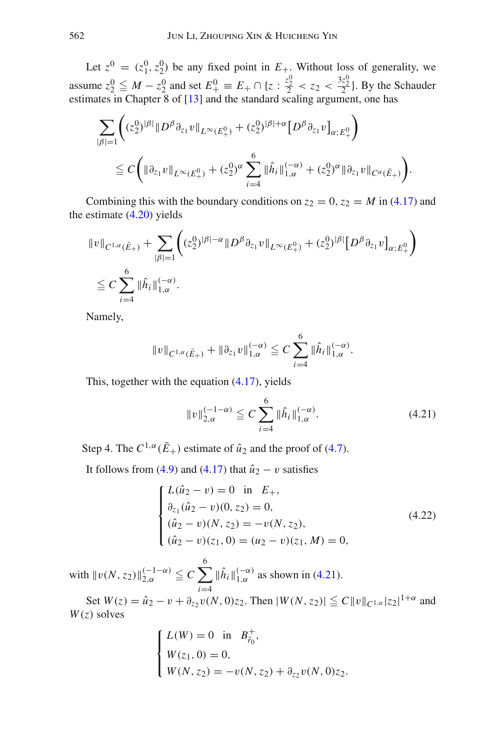Let  $z^0 = (z_1^0, z_2^0)$  be any fixed point in  $E_{+}$ . Without loss of generality, we assume  $z_2^0 \le M - z_2^0$  and set  $E_+^0 \equiv E_+ \cap \{z : \frac{z_2^0}{2} < z_2 < \frac{3z_2^0}{2}\}\.$  By the Schauder estimates in Chapter 8 of [\[13\]](#page-47-15) and the standard scaling argument, one has

$$
\sum_{|\beta|=1} \left( (z_2^0)^{|\beta|} \|D^\beta \partial_{z_1} v\|_{L^\infty(E_+^0)} + (z_2^0)^{|\beta|+\alpha} [D^\beta \partial_{z_1} v]_{\alpha;E_+^0} \right)
$$
  

$$
\leq C \left( \|\partial_{z_1} v\|_{L^\infty(E_+^0)} + (z_2^0)^{\alpha} \sum_{i=4}^6 \|\hat{h}_i\|_{1,\alpha}^{(-\alpha)} + (z_2^0)^{\alpha} \|\partial_{z_1} v\|_{C^{\alpha}(\bar{E}_+)} \right).
$$

Combining this with the boundary conditions on  $z_2 = 0$ ,  $z_2 = M$  in [\(4.17\)](#page-27-2) and the estimate [\(4.20\)](#page-28-1) yields

$$
\|v\|_{C^{1,\alpha}(\bar{E}_{+})} + \sum_{|\beta|=1} \left( (z_2^0)^{|\beta|-\alpha} \|D^\beta \partial_{z_1} v\|_{L^\infty(E_+^0)} + (z_2^0)^{|\beta|} [D^\beta \partial_{z_1} v]_{\alpha;E_+^0} \right)
$$
  

$$
\leq C \sum_{i=4}^6 \|\hat{h}_i\|_{1,\alpha}^{(-\alpha)}.
$$

Namely,

$$
||v||_{C^{1,\alpha}(\bar{E}_+)}+||\partial_{z_1}v||_{1,\alpha}^{(-\alpha)} \leq C \sum_{i=4}^{6} ||\hat{h}_i||_{1,\alpha}^{(-\alpha)}.
$$

<span id="page-29-0"></span>This, together with the equation [\(4.17\)](#page-27-2), yields

$$
||v||_{2,\alpha}^{(-1-\alpha)} \leq C \sum_{i=4}^{6} ||\hat{h}_i||_{1,\alpha}^{(-\alpha)}.
$$
 (4.21)

Step 4. The  $C^{1,\alpha}(\bar{E}_+)$  estimate of  $\hat{u}_2$  and the proof of [\(4.7\)](#page-25-1).

It follows from [\(4.9\)](#page-25-2) and [\(4.17\)](#page-27-2) that  $\hat{u}_2 - v$  satisfies

$$
\begin{cases}\nL(\hat{u}_2 - v) = 0 & \text{in } E_+, \\
\partial_{z_1}(\hat{u}_2 - v)(0, z_2) = 0, \\
(\hat{u}_2 - v)(N, z_2) = -v(N, z_2), \\
(\hat{u}_2 - v)(z_1, 0) = (u_2 - v)(z_1, M) = 0,\n\end{cases}
$$
\n(4.22)

with  $||v(N, z_2)||_{2,\alpha}^{(-1-\alpha)} \leq C \sum$ 6 *i*=4  $\|\hat{h}_i\|_{1,\alpha}^{(-\alpha)}$  as shown in [\(4.21\)](#page-29-0).

Set  $W(z) = \hat{u}_2 - v + \partial_{z_2} v(N, 0)z_2$ . Then  $|W(N, z_2)| \leq C ||v||_{C^{1, \alpha}} |z_2|^{1+\alpha}$  and *W*(*z*) solves

$$
\begin{cases}\nL(W) = 0 & \text{in } B_{\tilde{r}_0}^+, \\
W(z_1, 0) = 0, \\
W(N, z_2) = -v(N, z_2) + \partial_{z_2}v(N, 0)z_2.\n\end{cases}
$$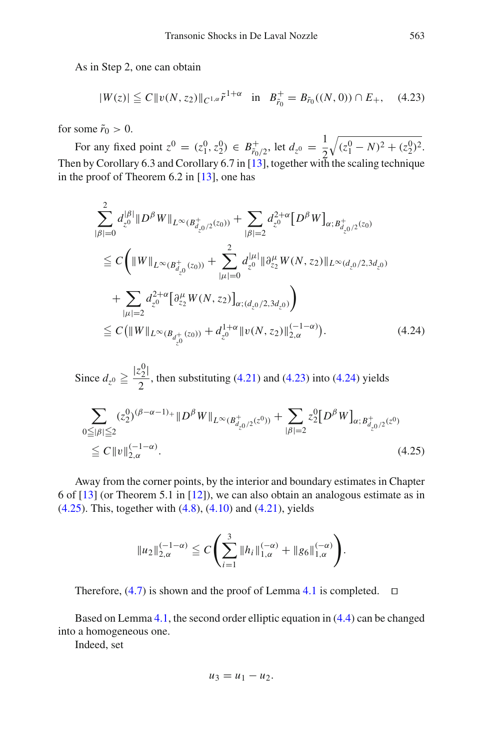As in Step 2, one can obtain

$$
|W(z)| \leqq C \|v(N, z_2)\|_{C^{1,\alpha}} \tilde{r}^{1+\alpha} \quad \text{in} \quad B_{\tilde{r}_0}^+ = B_{\tilde{r}_0}((N, 0)) \cap E_+, \quad (4.23)
$$

<span id="page-30-0"></span>for some  $\tilde{r}_0 > 0$ .

For any fixed point  $z^0 = (z_1^0, z_2^0) \in B_{\tilde{r}_0/2}^+$ , let  $d_{z^0} = \frac{1}{2}$  $\sqrt{(z_1^0 - N)^2 + (z_2^0)^2}.$ Then by Corollary 6.3 and Corollary 6.7 in [\[13](#page-47-15)], together with the scaling technique in the proof of Theorem 6.2 in [\[13](#page-47-15)], one has

<span id="page-30-1"></span>
$$
\sum_{|\beta|=0}^{2} d_{z^{0}}^{|\beta|} \|D^{\beta} W\|_{L^{\infty}(B_{d_{z^{0}}/2}^{+}(z_{0}))} + \sum_{|\beta|=2} d_{z^{0}}^{2+\alpha} [D^{\beta} W]_{\alpha; B_{d_{z^{0}}/2}^{+}(z_{0})}
$$
\n
$$
\leq C \Big( \|W\|_{L^{\infty}(B_{d_{z^{0}}}^{+}(z_{0}))} + \sum_{|\mu|=0}^{2} d_{z^{0}}^{|\mu|} \|\partial_{z_{2}}^{\mu} W(N, z_{2})\|_{L^{\infty}(d_{z^{0}}/2, 3d_{z^{0}})}
$$
\n
$$
+ \sum_{|\mu|=2} d_{z^{0}}^{2+\alpha} [\partial_{z_{2}}^{\mu} W(N, z_{2})]_{\alpha; (d_{z^{0}}/2, 3d_{z^{0}})} \Big)
$$
\n
$$
\leq C \big( \|W\|_{L^{\infty}(B_{d_{z^{0}}^{+}}(z_{0}))} + d_{z^{0}}^{1+\alpha} \|v(N, z_{2})\|_{2,\alpha}^{(-1-\alpha)} \big).
$$
\n(4.24)

Since  $d_{z^0} \ge \frac{|z_2^0|}{2}$ , then substituting [\(4.21\)](#page-29-0) and [\(4.23\)](#page-30-0) into [\(4.24\)](#page-30-1) yields

<span id="page-30-2"></span>
$$
\sum_{0 \leq |\beta| \leq 2} (z_2^0)^{(\beta - \alpha - 1)} + ||D^\beta W||_{L^\infty(B_{d_2(1)}^+(z^0))} + \sum_{|\beta| = 2} z_2^0 [D^\beta W]_{\alpha; B_{d_2(1)}^+(z^0)} \n\leq C ||v||_{2,\alpha}^{(-1-\alpha)}.
$$
\n(4.25)

Away from the corner points, by the interior and boundary estimates in Chapter 6 of [\[13](#page-47-15)] (or Theorem 5.1 in [\[12](#page-47-14)]), we can also obtain an analogous estimate as in [\(4.25\)](#page-30-2). This, together with [\(4.8\)](#page-25-3), [\(4.10\)](#page-25-4) and [\(4.21\)](#page-29-0), yields

$$
||u_2||_{2,\alpha}^{(-1-\alpha)} \leq C \left( \sum_{i=1}^3 ||h_i||_{1,\alpha}^{(-\alpha)} + ||g_6||_{1,\alpha}^{(-\alpha)} \right).
$$

Therefore,  $(4.7)$  is shown and the proof of Lemma [4.1](#page-25-5) is completed.  $\Box$ 

Based on Lemma [4.1,](#page-25-5) the second order elliptic equation in [\(4.4\)](#page-24-0) can be changed into a homogeneous one.

Indeed, set

$$
u_3=u_1-u_2.
$$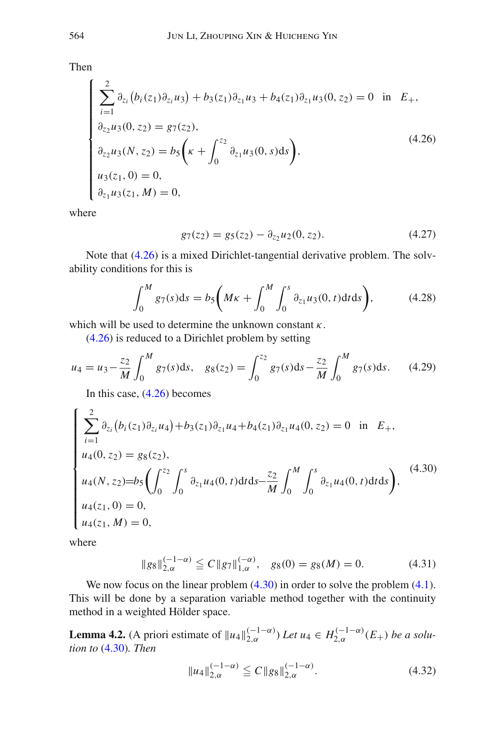<span id="page-31-0"></span>Then

$$
\begin{cases}\n\sum_{i=1}^{2} \partial_{z_i} (b_i(z_1) \partial_{z_i} u_3) + b_3(z_1) \partial_{z_1} u_3 + b_4(z_1) \partial_{z_1} u_3(0, z_2) = 0 \text{ in } E_+, \\
\partial_{z_2} u_3(0, z_2) = g_7(z_2), \\
\partial_{z_2} u_3(N, z_2) = b_5 \left( \kappa + \int_0^{z_2} \partial_{z_1} u_3(0, s) \, ds \right), \\
u_3(z_1, 0) = 0, \\
\partial_{z_1} u_3(z_1, M) = 0,\n\end{cases} \tag{4.26}
$$

where

$$
g_7(z_2) = g_5(z_2) - \partial_{z_2} u_2(0, z_2). \tag{4.27}
$$

Note that [\(4.26\)](#page-31-0) is a mixed Dirichlet-tangential derivative problem. The solvability conditions for this is

$$
\int_0^M g_7(s)ds = b_5 \bigg(M\kappa + \int_0^M \int_0^s \partial_{z_1} u_3(0, t) dt ds\bigg), \tag{4.28}
$$

<span id="page-31-5"></span>which will be used to determine the unknown constant  $\kappa$ .

[\(4.26\)](#page-31-0) is reduced to a Dirichlet problem by setting

<span id="page-31-4"></span>
$$
u_4 = u_3 - \frac{z_2}{M} \int_0^M g_7(s) \, ds, \quad g_8(z_2) = \int_0^{z_2} g_7(s) \, ds - \frac{z_2}{M} \int_0^M g_7(s) \, ds. \tag{4.29}
$$

In this case, [\(4.26\)](#page-31-0) becomes

<span id="page-31-1"></span>
$$
\begin{cases}\n\sum_{i=1}^{2} \partial_{z_i} (b_i(z_1) \partial_{z_i} u_4) + b_3(z_1) \partial_{z_1} u_4 + b_4(z_1) \partial_{z_1} u_4(0, z_2) = 0 \text{ in } E_+, \\
u_4(0, z_2) = g_8(z_2), \\
u_4(N, z_2) = b_5 \left( \int_0^{z_2} \int_0^s \partial_{z_1} u_4(0, t) dt ds - \frac{z_2}{M} \int_0^M \int_0^s \partial_{z_1} u_4(0, t) dt ds \right), \\
u_4(z_1, 0) = 0, \\
u_4(z_1, M) = 0,\n\end{cases} (4.30)
$$

where

$$
||g_8||_{2,\alpha}^{(-1-\alpha)} \le C ||g_7||_{1,\alpha}^{(-\alpha)}, \quad g_8(0) = g_8(M) = 0. \tag{4.31}
$$

<span id="page-31-2"></span>We now focus on the linear problem  $(4.30)$  in order to solve the problem  $(4.1)$ . This will be done by a separation variable method together with the continuity method in a weighted Hölder space.

<span id="page-31-3"></span>**Lemma 4.2.** (A priori estimate of  $||u_4||_{2,\alpha}^{(-1-\alpha)}$ ) *Let*  $u_4 \in H_{2,\alpha}^{(-1-\alpha)}(E_+)$  *be a solution to* [\(4.30\)](#page-31-1)*. Then*

$$
||u_4||_{2,\alpha}^{(-1-\alpha)} \leqq C||g_8||_{2,\alpha}^{(-1-\alpha)}.
$$
\n(4.32)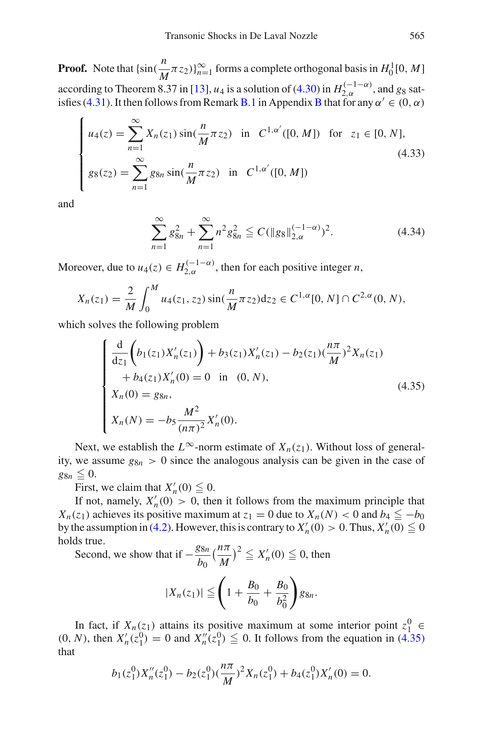**Proof.** Note that  $\{\sin(\frac{n}{M}\pi z_2)\}_{n=1}^{\infty}$  forms a complete orthogonal basis in  $H_0^1[0, M]$ according to Theorem 8.37 in [\[13](#page-47-15)], *u*<sub>4</sub> is a solution of [\(4.30\)](#page-31-1) in  $H_{2,\alpha}^{(-1-\alpha)}$ , and *g*<sub>8</sub> sat-isfies [\(4.31\)](#page-31-2). It then follows from Remark [B.1](#page-46-0) in Appendix [B](#page-43-0) that for any  $\alpha' \in (0, \alpha)$ 

$$
\begin{cases}\n u_4(z) = \sum_{n=1}^{\infty} X_n(z_1) \sin(\frac{n}{M}\pi z_2) & \text{in } C^{1,\alpha'}([0,M]) \text{ for } z_1 \in [0,N], \\
 g_8(z_2) = \sum_{n=1}^{\infty} g_{8n} \sin(\frac{n}{M}\pi z_2) & \text{in } C^{1,\alpha'}([0,M])\n\end{cases}
$$
\n(4.33)

<span id="page-32-2"></span><span id="page-32-1"></span>and

$$
\sum_{n=1}^{\infty} g_{8n}^2 + \sum_{n=1}^{\infty} n^2 g_{8n}^2 \le C(\|g_8\|_{2,\alpha}^{(-1-\alpha)})^2.
$$
 (4.34)

Moreover, due to  $u_4(z) \in H_{2,\alpha}^{(-1-\alpha)}$ , then for each positive integer *n*,

$$
X_n(z_1) = \frac{2}{M} \int_0^M u_4(z_1, z_2) \sin(\frac{n}{M} \pi z_2) dz_2 \in C^{1, \alpha}[0, N] \cap C^{2, \alpha}(0, N),
$$

which solves the following problem

$$
\begin{cases}\n\frac{d}{dz_1} \left( b_1(z_1) X'_n(z_1) \right) + b_3(z_1) X'_n(z_1) - b_2(z_1) (\frac{n\pi}{M})^2 X_n(z_1) \\
+ b_4(z_1) X'_n(0) = 0 \quad \text{in} \quad (0, N), \\
X_n(0) = g_{8n}, \\
X_n(N) = -b_5 \frac{M^2}{(n\pi)^2} X'_n(0).\n\end{cases}
$$
\n(4.35)

<span id="page-32-0"></span>Next, we establish the  $L^{\infty}$ -norm estimate of  $X_n(z_1)$ . Without loss of generality, we assume  $g_{8n} > 0$  since the analogous analysis can be given in the case of  $g_{8n} \leq 0$ .

First, we claim that  $X'_n(0) \leq 0$ .

If not, namely,  $X'_n(0) > 0$ , then it follows from the maximum principle that *X<sub>n</sub>*(*z*<sub>1</sub>) achieves its positive maximum at *z*<sub>1</sub> = 0 due to *X<sub>n</sub>*(*N*) < 0 and *b*<sub>4</sub>  $\leq$  -*b*<sub>0</sub> by the assumption in [\(4.2\)](#page-23-2). However, this is contrary to  $X'_n(0) > 0$ . Thus,  $X'_n(0) \leq 0$ holds true.

Second, we show that if <sup>−</sup>*g*8*<sup>n</sup> b*0  $\left(\frac{n\pi}{M}\right)^2 \leq X'_n(0) \leq 0$ , then

$$
|X_n(z_1)| \leqq \left(1 + \frac{B_0}{b_0} + \frac{B_0}{b_0^2}\right) g_{8n}.
$$

In fact, if  $X_n(z_1)$  attains its positive maximum at some interior point  $z_1^0 \in$  $(0, N)$ , then  $X'_n(z_1^0) = 0$  and  $X''_n(z_1^0) \leq 0$ . It follows from the equation in [\(4.35\)](#page-32-0) that

$$
b_1(z_1^0)X_n''(z_1^0) - b_2(z_1^0) \left(\frac{n\pi}{M}\right)^2 X_n(z_1^0) + b_4(z_1^0)X_n'(0) = 0.
$$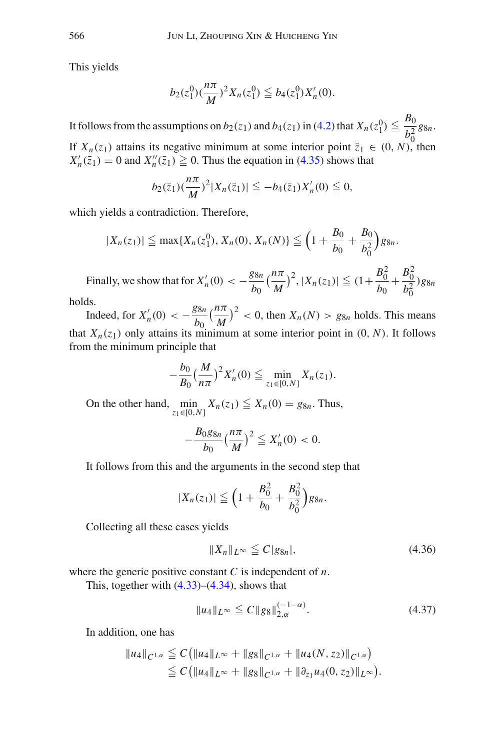This yields

$$
b_2(z_1^0)(\frac{n\pi}{M})^2 X_n(z_1^0) \leqq b_4(z_1^0) X'_n(0).
$$

It follows from the assumptions on  $b_2(z_1)$  and  $b_4(z_1)$  in [\(4.2\)](#page-23-2) that  $X_n(z_1^0) \leq \frac{B_0}{b_0^2} g_{8n}$ . If  $X_n(z_1)$  attains its negative minimum at some interior point  $\bar{z}_1 \in (0, N)$ , then

 $X'_n(\bar{z}_1) = 0$  and  $X''_n(\bar{z}_1) \ge 0$ . Thus the equation in [\(4.35\)](#page-32-0) shows that

$$
b_2(\bar{z}_1)(\frac{n\pi}{M})^2|X_n(\bar{z}_1)| \leq -b_4(\bar{z}_1)X'_n(0) \leq 0,
$$

which yields a contradiction. Therefore,

$$
|X_n(z_1)| \leq \max\{X_n(z_1^0), X_n(0), X_n(N)\} \leq \left(1 + \frac{B_0}{b_0} + \frac{B_0}{b_0^2}\right)g_{8n}.
$$

Finally, we show that for  $X'_n(0) < -\frac{g_{8n}}{b_0}$  $\left(\frac{n\pi}{M}\right)^2$ ,  $|X_n(z_1)| \leq (1+\pi)$  $B_0^2$  $rac{B_0^2}{b_0} + \frac{B_0^2}{b_0^2}$  $b_0^2$ )*g*8*<sup>n</sup>* holds.

Indeed, for  $X'_n(0) < -\frac{g_{8n}}{b_0}$  $\left(\frac{n\pi}{M}\right)^2$  < 0, then *X<sub>n</sub>*(*N*) > *g*<sub>8*n*</sub> holds. This means that  $X_n(z_1)$  only attains its minimum at some interior point in  $(0, N)$ . It follows from the minimum principle that

$$
-\frac{b_0}{B_0}\left(\frac{M}{n\pi}\right)^2 X'_n(0) \leqq \min_{z_1 \in [0,N]} X_n(z_1).
$$

On the other hand,  $\min_{z_1 \in [0, N]} X_n(z_1) \leq X_n(0) = g_{8n}$ . Thus,

$$
-\frac{B_0 g_{8n}}{b_0} \left(\frac{n\pi}{M}\right)^2 \leqq X'_n(0) < 0.
$$

It follows from this and the arguments in the second step that

$$
|X_n(z_1)| \leqq \Big(1 + \frac{B_0^2}{b_0} + \frac{B_0^2}{b_0^2}\Big)g_{8n}.
$$

Collecting all these cases yields

$$
||X_n||_{L^{\infty}} \leqq C|g_{8n}|,\tag{4.36}
$$

where the generic positive constant *C* is independent of *n*.

<span id="page-33-0"></span>This, together with  $(4.33)$ – $(4.34)$ , shows that

$$
||u_4||_{L^{\infty}} \leqq C ||g_8||_{2,\alpha}^{(-1-\alpha)}.
$$
\n(4.37)

In addition, one has

$$
||u_4||_{C^{1,\alpha}} \leq C (||u_4||_{L^{\infty}} + ||g_8||_{C^{1,\alpha}} + ||u_4(N, z_2)||_{C^{1,\alpha}})
$$
  
\n
$$
\leq C (||u_4||_{L^{\infty}} + ||g_8||_{C^{1,\alpha}} + ||\partial_{z_1}u_4(0, z_2)||_{L^{\infty}}).
$$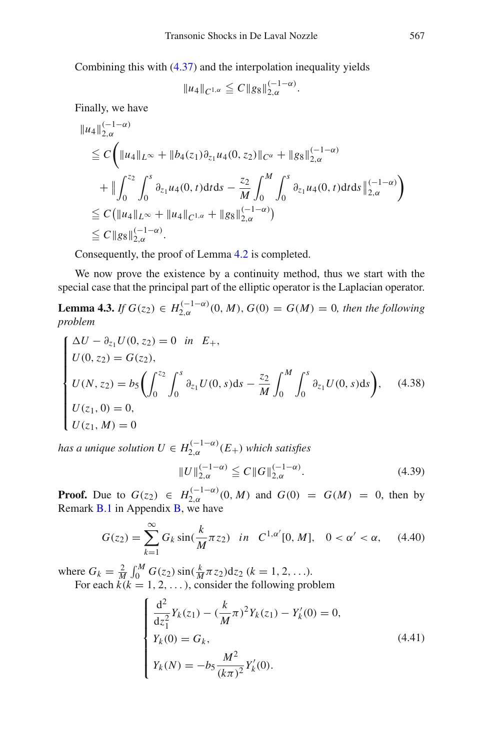Combining this with [\(4.37\)](#page-33-0) and the interpolation inequality yields

$$
||u_4||_{C^{1,\alpha}} \leqq C ||g_8||_{2,\alpha}^{(-1-\alpha)}.
$$

Finally, we have

$$
\|u_4\|_{2,\alpha}^{(-1-\alpha)}
$$
\n
$$
\leq C \Big( \|u_4\|_{L^\infty} + \|b_4(z_1)\partial_{z_1}u_4(0, z_2)\|_{C^\alpha} + \|g_8\|_{2,\alpha}^{(-1-\alpha)}
$$
\n
$$
+ \|\int_0^{z_2} \int_0^s \partial_{z_1}u_4(0, t)dt ds - \frac{z_2}{M} \int_0^M \int_0^s \partial_{z_1}u_4(0, t)dt ds\|_{2,\alpha}^{(-1-\alpha)} \Big)
$$
\n
$$
\leq C \|\|u_4\|_{L^\infty} + \|u_4\|_{C^{1,\alpha}} + \|g_8\|_{2,\alpha}^{(-1-\alpha)} \Big)
$$
\n
$$
\leq C \|g_8\|_{2,\alpha}^{(-1-\alpha)}.
$$

Consequently, the proof of Lemma [4.2](#page-31-3) is completed.

We now prove the existence by a continuity method, thus we start with the special case that the principal part of the elliptic operator is the Laplacian operator.

<span id="page-34-3"></span>**Lemma 4.3.** *If*  $G(z_2) \in H_{2,\alpha}^{(-1-\alpha)}(0,M)$ ,  $G(0) = G(M) = 0$ , then the following *problem*

<span id="page-34-2"></span>
$$
\begin{cases}\n\Delta U - \partial_{z_1} U(0, z_2) = 0 & \text{in } E_+, \\
U(0, z_2) = G(z_2), \\
U(N, z_2) = b_5 \left( \int_0^{z_2} \int_0^s \partial_{z_1} U(0, s) ds - \frac{z_2}{M} \int_0^M \int_0^s \partial_{z_1} U(0, s) ds \right), \\
U(z_1, 0) = 0, \\
U(z_1, M) = 0\n\end{cases}
$$
\n(4.38)

*has a unique solution*  $U \in H_{2,\alpha}^{(-1-\alpha)}(E_{+})$  *which satisfies* 

$$
||U||_{2,\alpha}^{(-1-\alpha)} \leq C||G||_{2,\alpha}^{(-1-\alpha)}.
$$
\n(4.39)

**Proof.** Due to  $G(z_2) \in H_{2,\alpha}^{(-1-\alpha)}(0,M)$  and  $G(0) = G(M) = 0$ , then by Remark [B.1](#page-46-0) in Appendix [B,](#page-43-0) we have

$$
G(z_2) = \sum_{k=1}^{\infty} G_k \sin(\frac{k}{M}\pi z_2) \quad in \quad C^{1,\alpha'}[0,M], \quad 0 < \alpha' < \alpha, \tag{4.40}
$$

<span id="page-34-1"></span><span id="page-34-0"></span>where  $G_k = \frac{2}{M} \int_0^M G(z_2) \sin(\frac{k}{M} \pi z_2) dz_2$  (*k* = 1, 2, ...). For each  $k(k = 1, 2, ...)$ , consider the following problem

$$
\begin{cases}\n\frac{d^2}{dz_1^2} Y_k(z_1) - (\frac{k}{M}\pi)^2 Y_k(z_1) - Y'_k(0) = 0, \\
Y_k(0) = G_k, \\
Y_k(N) = -b_5 \frac{M^2}{(k\pi)^2} Y'_k(0).\n\end{cases}
$$
\n(4.41)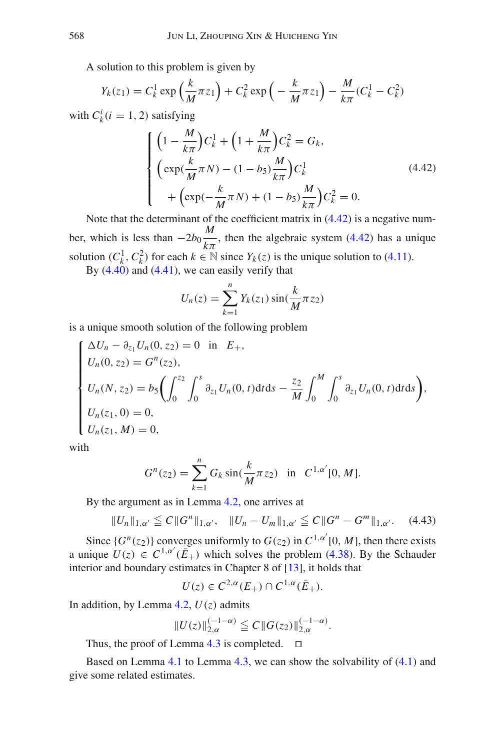A solution to this problem is given by

$$
Y_k(z_1) = C_k^1 \exp\left(\frac{k}{M}\pi z_1\right) + C_k^2 \exp\left(-\frac{k}{M}\pi z_1\right) - \frac{M}{k\pi}(C_k^1 - C_k^2)
$$

<span id="page-35-0"></span>with  $C_k^i$  (*i* = 1, 2) satisfying

$$
\begin{cases}\n\left(1 - \frac{M}{k\pi}\right) C_k^1 + \left(1 + \frac{M}{k\pi}\right) C_k^2 = G_k, \\
\left(\exp\left(\frac{k}{M}\pi N\right) - (1 - b_5)\frac{M}{k\pi}\right) C_k^1 + \left(\exp\left(-\frac{k}{M}\pi N\right) + (1 - b_5)\frac{M}{k\pi}\right) C_k^2 = 0.\n\end{cases} (4.42)
$$

Note that the determinant of the coefficient matrix in [\(4.42\)](#page-35-0) is a negative number, which is less than  $-2b_0 \frac{M}{k\pi}$  $\frac{1}{k\pi}$ , then the algebraic system [\(4.42\)](#page-35-0) has a unique solution  $(C_k^1, C_k^2)$  for each  $k \in \mathbb{N}$  since  $Y_k(z)$  is the unique solution to [\(4.11\)](#page-26-0).

By  $(4.40)$  and  $(4.41)$ , we can easily verify that

$$
U_n(z) = \sum_{k=1}^n Y_k(z_1) \sin(\frac{k}{M}\pi z_2)
$$

is a unique smooth solution of the following problem

$$
\begin{cases}\n\Delta U_n - \partial_{z_1} U_n(0, z_2) = 0 & \text{in } E_+, \\
U_n(0, z_2) = G^n(z_2), \\
U_n(N, z_2) = b_5 \left( \int_0^{z_2} \int_0^s \partial_{z_1} U_n(0, t) dt ds - \frac{z_2}{M} \int_0^M \int_0^s \partial_{z_1} U_n(0, t) dt ds \right), \\
U_n(z_1, 0) = 0, \\
U_n(z_1, M) = 0,\n\end{cases}
$$

with

$$
G^{n}(z_{2}) = \sum_{k=1}^{n} G_{k} \sin(\frac{k}{M}\pi z_{2}) \text{ in } C^{1,\alpha'}[0,M].
$$

By the argument as in Lemma [4.2,](#page-31-3) one arrives at

$$
||U_n||_{1,\alpha'} \leqq C||G^n||_{1,\alpha'}, \quad ||U_n - U_m||_{1,\alpha'} \leqq C||G^n - G^m||_{1,\alpha'}.
$$
 (4.43)

Since  $\{G^n(z_2)\}\)$  converges uniformly to  $G(z_2)$  in  $C^{1,\alpha'}[0,M]$ , then there exists a unique  $U(z) \in C^{1,\alpha'}(\overline{E}_+)$  which solves the problem [\(4.38\)](#page-34-2). By the Schauder interior and boundary estimates in Chapter 8 of [\[13\]](#page-47-15), it holds that

$$
U(z) \in C^{2,\alpha}(E_+) \cap C^{1,\alpha}(\bar{E}_+).
$$

In addition, by Lemma  $4.2$ ,  $U(z)$  admits

$$
||U(z)||_{2,\alpha}^{(-1-\alpha)} \leqq C||G(z_2)||_{2,\alpha}^{(-1-\alpha)}.
$$

Thus, the proof of Lemma [4.3](#page-34-3) is completed.  $\Box$ 

Based on Lemma [4.1](#page-25-5) to Lemma [4.3,](#page-34-3) we can show the solvability of [\(4.1\)](#page-23-0) and give some related estimates.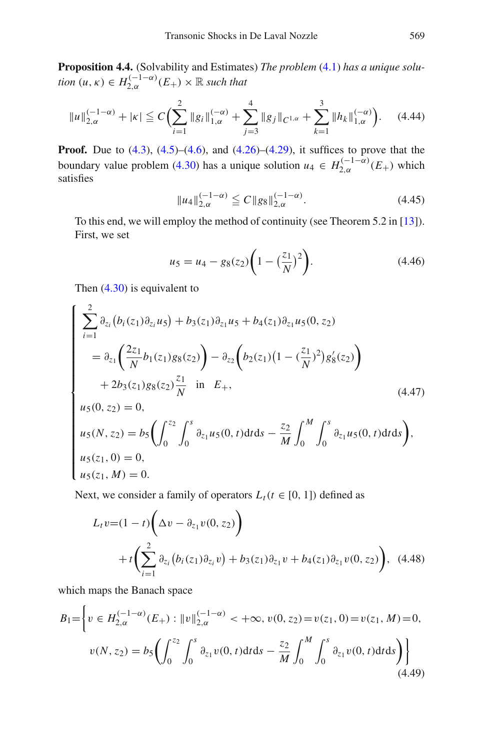<span id="page-36-0"></span>**Proposition 4.4.** (Solvability and Estimates) *The problem* [\(4.1\)](#page-23-0) *has a unique solution*  $(u, \kappa) \in H_{2,\alpha}^{(-1-\alpha)}(E_+) \times \mathbb{R}$  *such that* 

$$
||u||_{2,\alpha}^{(-1-\alpha)} + |\kappa| \le C \Big( \sum_{i=1}^2 ||g_i||_{1,\alpha}^{(-\alpha)} + \sum_{j=3}^4 ||g_j||_{C^{1,\alpha}} + \sum_{k=1}^3 ||h_k||_{1,\alpha}^{(-\alpha)} \Big). \tag{4.44}
$$

**Proof.** Due to  $(4.3)$ ,  $(4.5)$ – $(4.6)$ , and  $(4.26)$ – $(4.29)$ , it suffices to prove that the boundary value problem [\(4.30\)](#page-31-1) has a unique solution  $u_4 \in H_{2,\alpha}^{(-1-\alpha)}(E_+)$  which satisfies

$$
||u_4||_{2,\alpha}^{(-1-\alpha)} \leqq C||g_8||_{2,\alpha}^{(-1-\alpha)}.
$$
\n(4.45)

<span id="page-36-1"></span>To this end, we will employ the method of continuity (see Theorem 5.2 in [\[13](#page-47-15)]). First, we set

$$
u_5 = u_4 - g_8(z_2) \left( 1 - \left(\frac{z_1}{N}\right)^2 \right). \tag{4.46}
$$

Then [\(4.30\)](#page-31-1) is equivalent to

$$
\begin{cases}\n\sum_{i=1}^{2} \partial_{z_i} (b_i(z_1) \partial_{z_i} u_5) + b_3(z_1) \partial_{z_1} u_5 + b_4(z_1) \partial_{z_1} u_5(0, z_2) \\
= \partial_{z_1} \left( \frac{2z_1}{N} b_1(z_1) g_8(z_2) \right) - \partial_{z_2} \left( b_2(z_1) \left( 1 - \left( \frac{z_1}{N} \right)^2 \right) g_8'(z_2) \right) \\
+ 2b_3(z_1) g_8(z_2) \frac{z_1}{N} \text{ in } E_+, \\
u_5(0, z_2) = 0, \\
u_5(N, z_2) = b_5 \left( \int_0^{z_2} \int_0^s \partial_{z_1} u_5(0, t) dt ds - \frac{z_2}{M} \int_0^M \int_0^s \partial_{z_1} u_5(0, t) dt ds \right), \\
u_5(z_1, 0) = 0, \\
u_5(z_1, M) = 0.\n\end{cases} (4.47)
$$

Next, we consider a family of operators  $L_t(t \in [0, 1])$  defined as

$$
L_t v = (1 - t) \left( \Delta v - \partial_{z_1} v(0, z_2) \right)
$$
  
+ 
$$
t \left( \sum_{i=1}^2 \partial_{z_i} \left( b_i(z_1) \partial_{z_i} v \right) + b_3(z_1) \partial_{z_1} v + b_4(z_1) \partial_{z_1} v(0, z_2) \right), \quad (4.48)
$$

which maps the Banach space

$$
B_1 = \left\{ v \in H_{2,\alpha}^{(-1-\alpha)}(E_+) : \|v\|_{2,\alpha}^{(-1-\alpha)} < +\infty, v(0, z_2) = v(z_1, 0) = v(z_1, M) = 0, \right\}
$$
  

$$
v(N, z_2) = b_5 \left( \int_0^{z_2} \int_0^s \partial_{z_1} v(0, t) dt ds - \frac{z_2}{M} \int_0^M \int_0^s \partial_{z_1} v(0, t) dt ds \right) \right\}
$$
(4.49)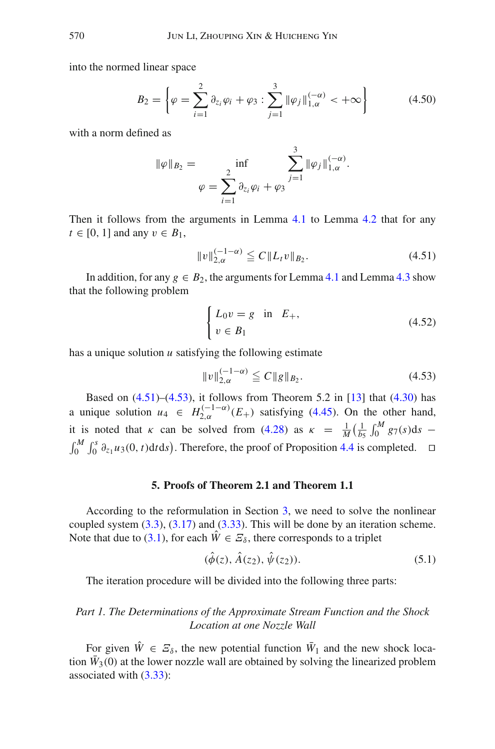into the normed linear space

$$
B_2 = \left\{ \varphi = \sum_{i=1}^2 \partial_{z_i} \varphi_i + \varphi_3 : \sum_{j=1}^3 \|\varphi_j\|_{1,\alpha}^{(-\alpha)} < +\infty \right\}
$$
(4.50)

with a norm defined as

$$
\|\varphi\|_{B_2} = \inf_{\varphi = \sum_{i=1}^2 \partial_{z_i} \varphi_i + \varphi_3} \sum_{j=1}^3 \|\varphi_j\|_{1,\alpha}^{(-\alpha)}.
$$

Then it follows from the arguments in Lemma [4.1](#page-25-5) to Lemma [4.2](#page-31-3) that for any  $t \in [0, 1]$  and any  $v \in B_1$ ,

$$
||v||_{2,\alpha}^{(-1-\alpha)} \leqq C||L_{1}v||_{B_{2}}.
$$
\n(4.51)

<span id="page-37-1"></span>In addition, for any  $g \in B_2$ , the arguments for Lemma [4.1](#page-25-5) and Lemma [4.3](#page-34-3) show that the following problem

$$
\begin{cases}\nL_0 v = g & \text{in } E_+, \\
v \in B_1\n\end{cases}
$$
\n(4.52)

has a unique solution *u* satisfying the following estimate

$$
||v||_{2,\alpha}^{(-1-\alpha)} \leqq C ||g||_{B_2}.
$$
\n(4.53)

<span id="page-37-2"></span>Based on  $(4.51)$ – $(4.53)$ , it follows from Theorem 5.2 in [\[13](#page-47-15)] that  $(4.30)$  has a unique solution  $u_4 \in H_{2,\alpha}^{(-1-\alpha)}(E_+)$  satisfying [\(4.45\)](#page-36-1). On the other hand, it is noted that  $\kappa$  can be solved from [\(4.28\)](#page-31-5) as  $\kappa = \frac{1}{M} \left( \frac{1}{b_5} \int_0^M g_7(s) ds \int_0^M \int_0^s \partial_{z_1} u_3(0, t) dt ds$ . Therefore, the proof of Proposition [4.4](#page-36-0) is completed.  $\Box$ 

#### **5. Proofs of Theorem 2.1 and Theorem 1.1**

<span id="page-37-0"></span>According to the reformulation in Section [3,](#page-14-1) we need to solve the nonlinear coupled system  $(3.3)$ ,  $(3.17)$  and  $(3.33)$ . This will be done by an iteration scheme. Note that due to [\(3.1\)](#page-14-2), for each  $\hat{W} \in \mathcal{Z}_{\delta}$ , there corresponds to a triplet

$$
(\hat{\phi}(z), \hat{A}(z_2), \hat{\psi}(z_2)).
$$
 (5.1)

<span id="page-37-3"></span>The iteration procedure will be divided into the following three parts:

## *Part 1. The Determinations of the Approximate Stream Function and the Shock Location at one Nozzle Wall*

For given  $\hat{W} \in \mathcal{Z}_{\delta}$ , the new potential function  $\bar{W}_1$  and the new shock location  $W_3(0)$  at the lower nozzle wall are obtained by solving the linearized problem associated with  $(3.33)$ :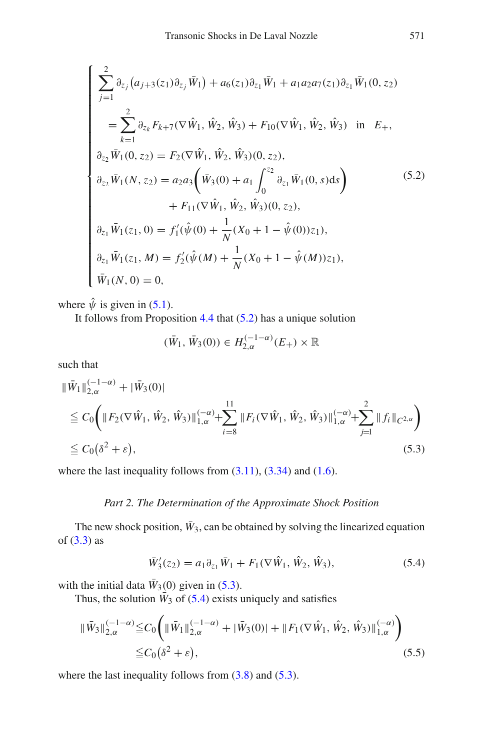<span id="page-38-0"></span>
$$
\begin{cases}\n\sum_{j=1}^{2} \partial_{z_j} (a_{j+3}(z_1) \partial_{z_j} \bar{W}_1) + a_6(z_1) \partial_{z_1} \bar{W}_1 + a_1 a_2 a_7(z_1) \partial_{z_1} \bar{W}_1(0, z_2) \\
= \sum_{k=1}^{2} \partial_{z_k} F_{k+7} (\nabla \hat{W}_1, \hat{W}_2, \hat{W}_3) + F_{10} (\nabla \hat{W}_1, \hat{W}_2, \hat{W}_3) \text{ in } E_+, \\
\partial_{z_2} \bar{W}_1(0, z_2) = F_2 (\nabla \hat{W}_1, \hat{W}_2, \hat{W}_3)(0, z_2), \\
\partial_{z_2} \bar{W}_1(N, z_2) = a_2 a_3 \left( \bar{W}_3(0) + a_1 \int_0^{z_2} \partial_{z_1} \bar{W}_1(0, s) ds \right) \\
+ F_{11} (\nabla \hat{W}_1, \hat{W}_2, \hat{W}_3)(0, z_2), \\
\partial_{z_1} \bar{W}_1(z_1, 0) = f'_1(\hat{\psi}(0) + \frac{1}{N} (X_0 + 1 - \hat{\psi}(0)) z_1), \\
\partial_{z_1} \bar{W}_1(z_1, M) = f'_2(\hat{\psi}(M) + \frac{1}{N} (X_0 + 1 - \hat{\psi}(M)) z_1), \\
\bar{W}_1(N, 0) = 0,\n\end{cases} (5.2)
$$

where  $\hat{\psi}$  is given in [\(5.1\)](#page-37-3).

It follows from Proposition [4.4](#page-36-0) that [\(5.2\)](#page-38-0) has a unique solution

$$
(\bar{W}_1, \bar{W}_3(0)) \in H_{2,\alpha}^{(-1-\alpha)}(E_+) \times \mathbb{R}
$$

such that

<span id="page-38-1"></span>
$$
\begin{split} \|\bar{W}_{1}\|_{2,\alpha}^{(-1-\alpha)} + |\bar{W}_{3}(0)| \\ &\leq C_{0} \bigg( \|F_{2}(\nabla \hat{W}_{1}, \hat{W}_{2}, \hat{W}_{3})\|_{1,\alpha}^{(-\alpha)} + \sum_{i=8}^{11} \|F_{i}(\nabla \hat{W}_{1}, \hat{W}_{2}, \hat{W}_{3})\|_{1,\alpha}^{(-\alpha)} + \sum_{j=1}^{2} \|f_{i}\|_{C^{2,\alpha}} \bigg) \\ &\leq C_{0} \big(\delta^{2} + \varepsilon \big), \end{split} \tag{5.3}
$$

where the last inequality follows from  $(3.11)$ ,  $(3.34)$  and  $(1.6)$ .

#### *Part 2. The Determination of the Approximate Shock Position*

The new shock position,  $\bar{W}_3$ , can be obtained by solving the linearized equation of  $(3.3)$  as

$$
\bar{W}'_3(z_2) = a_1 \partial_{z_1} \bar{W}_1 + F_1(\nabla \hat{W}_1, \hat{W}_2, \hat{W}_3),
$$
\n(5.4)

<span id="page-38-3"></span><span id="page-38-2"></span>with the initial data  $\bar{W}_3(0)$  given in [\(5.3\)](#page-38-1).

Thus, the solution  $\bar{W}_3$  of [\(5.4\)](#page-38-2) exists uniquely and satisfies

$$
\begin{split} \|\bar{W}_{3}\|_{2,\alpha}^{(-1-\alpha)} &\leq & C_{0} \bigg( \|\bar{W}_{1}\|_{2,\alpha}^{(-1-\alpha)} + |\bar{W}_{3}(0)| + \|F_{1}(\nabla \hat{W}_{1}, \hat{W}_{2}, \hat{W}_{3})\|_{1,\alpha}^{(-\alpha)} \bigg) \\ &\leq & C_{0} \big(\delta^{2} + \varepsilon \big), \end{split} \tag{5.5}
$$

where the last inequality follows from  $(3.8)$  and  $(5.3)$ .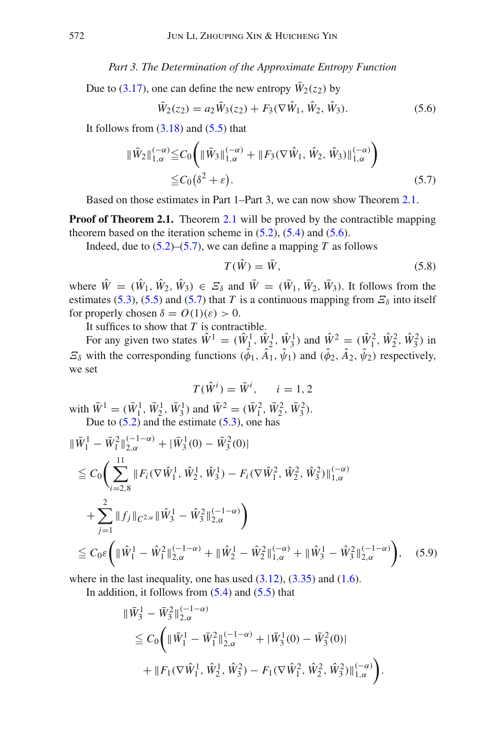#### *Part 3. The Determination of the Approximate Entropy Function*

<span id="page-39-0"></span>Due to [\(3.17\)](#page-18-2), one can define the new entropy  $\bar{W}_2(z_2)$  by

$$
\bar{W}_2(z_2) = a_2 \bar{W}_3(z_2) + F_3(\nabla \hat{W}_1, \hat{W}_2, \hat{W}_3). \tag{5.6}
$$

<span id="page-39-1"></span>It follows from  $(3.18)$  and  $(5.5)$  that

$$
\begin{split} \|\bar{W}_2\|_{1,\alpha}^{(-\alpha)} &\leq C_0 \bigg( \|\bar{W}_3\|_{1,\alpha}^{(-\alpha)} + \|F_3(\nabla \hat{W}_1, \hat{W}_2, \hat{W}_3)\|_{1,\alpha}^{(-\alpha)} \bigg) \\ &\leq C_0 (\delta^2 + \varepsilon). \end{split} \tag{5.7}
$$

Based on those estimates in Part 1–Part 3, we can now show Theorem [2.1.](#page-13-0)

**Proof of Theorem [2.1](#page-13-0).** Theorem 2.1 will be proved by the contractible mapping theorem based on the iteration scheme in  $(5.2)$ ,  $(5.4)$  and  $(5.6)$ .

Indeed, due to  $(5.2)$ – $(5.7)$ , we can define a mapping *T* as follows

$$
T(\hat{W}) = \bar{W},\tag{5.8}
$$

where  $\hat{W} = (\hat{W}_1, \hat{W}_2, \hat{W}_3) \in \mathcal{Z}_\delta$  and  $\bar{W} = (\bar{W}_1, \bar{W}_2, \bar{W}_3)$ . It follows from the estimates [\(5.3\)](#page-38-1), [\(5.5\)](#page-38-3) and [\(5.7\)](#page-39-1) that *T* is a continuous mapping from  $\mathcal{Z}_{\delta}$  into itself for properly chosen  $\delta = O(1)(\varepsilon) > 0$ .

It suffices to show that *T* is contractible.

For any given two states  $\hat{W}^1 = (\hat{W}_1^1, \hat{W}_2^1, \hat{W}_3^1)$  and  $\hat{W}^2 = (\hat{W}_1^2, \hat{W}_2^2, \hat{W}_3^2)$  in  $\mathcal{Z}_{\delta}$  with the corresponding functions  $(\hat{\phi}_1, \hat{A}_1, \hat{\psi}_1)$  and  $(\hat{\phi}_2, \hat{A}_2, \hat{\psi}_2)$  respectively, we set

$$
T(\hat{W}^i) = \bar{W}^i, \quad i = 1, 2
$$

with  $\bar{W}^1 = (\bar{W}_1^1, \bar{W}_2^1, \bar{W}_3^1)$  and  $\bar{W}^2 = (\bar{W}_1^2, \bar{W}_2^2, \bar{W}_3^2)$ . Due to  $(5.2)$  and the estimate  $(5.3)$ , one has

<span id="page-39-2"></span>
$$
\begin{split}\n\|\bar{W}_{1}^{1} - \bar{W}_{1}^{2}\|_{2,\alpha}^{(-1-\alpha)} + |\bar{W}_{3}^{1}(0) - \bar{W}_{3}^{2}(0)| \\
&\leq C_{0} \bigg(\sum_{i=2,8}^{11} \|F_{i}(\nabla \hat{W}_{1}^{1}, \hat{W}_{2}^{1}, \hat{W}_{3}^{1}) - F_{i}(\nabla \hat{W}_{1}^{2}, \hat{W}_{2}^{2}, \hat{W}_{3}^{2})\|_{1,\alpha}^{(-\alpha)} \\
&+ \sum_{j=1}^{2} \|f_{j}\|_{C^{2,\alpha}} \|\hat{W}_{3}^{1} - \hat{W}_{3}^{2}\|_{2,\alpha}^{(-1-\alpha)}\bigg) \\
&\leq C_{0}\varepsilon \bigg(\|\hat{W}_{1}^{1} - \hat{W}_{1}^{2}\|_{2,\alpha}^{(-1-\alpha)} + \|\hat{W}_{2}^{1} - \hat{W}_{2}^{2}\|_{1,\alpha}^{(-\alpha)} + \|\hat{W}_{3}^{1} - \hat{W}_{3}^{2}\|_{2,\alpha}^{(-1-\alpha)}\bigg),\n\end{split} \tag{5.9}
$$

where in the last inequality, one has used  $(3.12)$ ,  $(3.35)$  and  $(1.6)$ .

In addition, it follows from  $(5.4)$  and  $(5.5)$  that

$$
\begin{split} \|\bar{W}_{3}^{1}-\bar{W}_{3}^{2}\|_{2,\alpha}^{(-1-\alpha)}\\ &\leq C_{0}\bigg(\|\bar{W}_{1}^{1}-\bar{W}_{1}^{2}\|_{2,\alpha}^{(-1-\alpha)}+|\bar{W}_{3}^{1}(0)-\bar{W}_{3}^{2}(0)|\\ &+\|F_{1}(\nabla \hat{W}_{1}^{1},\hat{W}_{2}^{1},\hat{W}_{3}^{2})-F_{1}(\nabla \hat{W}_{1}^{2},\hat{W}_{2}^{2},\hat{W}_{3}^{2})\|_{1,\alpha}^{(-\alpha)}\bigg). \end{split}
$$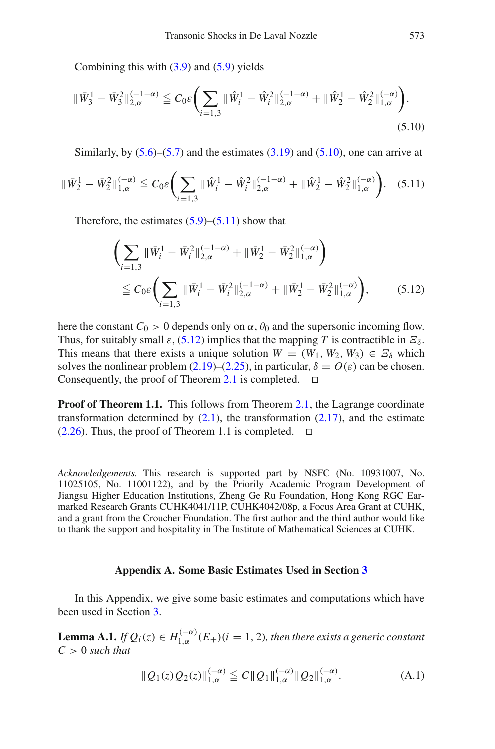Combining this with  $(3.9)$  and  $(5.9)$  yields

<span id="page-40-2"></span>
$$
\|\bar{W}_{3}^{1} - \bar{W}_{3}^{2}\|_{2,\alpha}^{(-1-\alpha)} \leq C_{0}\varepsilon \left( \sum_{i=1,3} \|\hat{W}_{i}^{1} - \hat{W}_{i}^{2}\|_{2,\alpha}^{(-1-\alpha)} + \|\hat{W}_{2}^{1} - \hat{W}_{2}^{2}\|_{1,\alpha}^{(-\alpha)} \right).
$$
\n(5.10)

Similarly, by  $(5.6)$ – $(5.7)$  and the estimates  $(3.19)$  and  $(5.10)$ , one can arrive at

<span id="page-40-3"></span>
$$
\|\bar{W}_2^1 - \bar{W}_2^2\|_{1,\alpha}^{(-\alpha)} \le C_0 \varepsilon \left( \sum_{i=1,3} \|\hat{W}_i^1 - \hat{W}_i^2\|_{2,\alpha}^{(-1-\alpha)} + \|\hat{W}_2^1 - \hat{W}_2^2\|_{1,\alpha}^{(-\alpha)} \right). \tag{5.11}
$$

<span id="page-40-4"></span>Therefore, the estimates  $(5.9)$ – $(5.11)$  show that

$$
\left(\sum_{i=1,3} \|\bar{W}_i^1 - \bar{W}_i^2\|_{2,\alpha}^{(-1-\alpha)} + \|\bar{W}_2^1 - \bar{W}_2^2\|_{1,\alpha}^{(-\alpha)}\right) \leq C_0 \varepsilon \left(\sum_{i=1,3} \|\bar{W}_i^1 - \bar{W}_i^2\|_{2,\alpha}^{(-1-\alpha)} + \|\bar{W}_2^1 - \bar{W}_2^2\|_{1,\alpha}^{(-\alpha)}\right),
$$
(5.12)

here the constant  $C_0 > 0$  depends only on  $\alpha$ ,  $\theta_0$  and the supersonic incoming flow. Thus, for suitably small  $\varepsilon$ , [\(5.12\)](#page-40-4) implies that the mapping *T* is contractible in  $\mathcal{Z}_{\delta}$ . This means that there exists a unique solution  $W = (W_1, W_2, W_3) \in \mathcal{Z}_\delta$  which solves the nonlinear problem [\(2.19\)](#page-11-0)–[\(2.25\)](#page-12-0), in particular,  $\delta = O(\varepsilon)$  can be chosen. Consequently, the proof of Theorem [2.1](#page-13-0) is completed.  $\square$ 

**Proof of Theorem 1.1.** This follows from Theorem [2.1,](#page-13-0) the Lagrange coordinate transformation determined by  $(2.1)$ , the transformation  $(2.17)$ , and the estimate  $(2.26)$ . Thus, the proof of Theorem 1.1 is completed.  $\Box$ 

*Acknowledgements.* This research is supported part by NSFC (No. 10931007, No. 11025105, No. 11001122), and by the Priorily Academic Program Development of Jiangsu Higher Education Institutions, Zheng Ge Ru Foundation, Hong Kong RGC Earmarked Research Grants CUHK4041/11P, CUHK4042/08p, a Focus Area Grant at CUHK, and a grant from the Croucher Foundation. The first author and the third author would like to thank the support and hospitality in The Institute of Mathematical Sciences at CUHK.

#### **Appendix A. Some Basic Estimates Used in Section [3](#page-14-1)**

<span id="page-40-1"></span><span id="page-40-0"></span>In this Appendix, we give some basic estimates and computations which have been used in Section [3.](#page-14-1)

**Lemma A.1.** *If*  $Q_i(z) \in H_{1,\alpha}^{(-\alpha)}(E_+)(i = 1, 2)$ *, then there exists a generic constant C* > 0 *such that*

$$
||Q_1(z)Q_2(z)||_{1,\alpha}^{(-\alpha)} \leq C ||Q_1||_{1,\alpha}^{(-\alpha)} ||Q_2||_{1,\alpha}^{(-\alpha)}.
$$
 (A.1)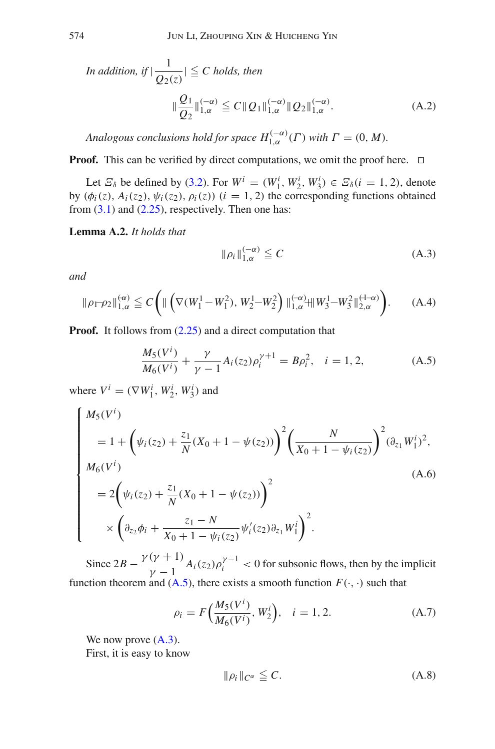In addition, if 
$$
|\frac{1}{Q_2(z)}| \le C
$$
 holds, then  

$$
\|\frac{Q_1}{Q_2}\|_{1,\alpha}^{(-\alpha)} \le C \|Q_1\|_{1,\alpha}^{(-\alpha)} \|Q_2\|_{1,\alpha}^{(-\alpha)}.
$$
(A.2)

*Analogous conclusions hold for space*  $H_{1,\alpha}^{(-\alpha)}(\Gamma)$  *with*  $\Gamma = (0, M)$ *.* 

**Proof.** This can be verified by direct computations, we omit the proof here.  $\Box$ 

Let  $\mathcal{Z}_{\delta}$  be defined by [\(3.2\)](#page-14-3). For  $W^i = (W_1^i, W_2^i, W_3^i) \in \mathcal{Z}_{\delta}(i = 1, 2)$ , denote by  $(\phi_i(z), A_i(z_2), \psi_i(z_2), \rho_i(z))$   $(i = 1, 2)$  the corresponding functions obtained from  $(3.1)$  and  $(2.25)$ , respectively. Then one has:

<span id="page-41-2"></span>**Lemma A.2.** *It holds that*

$$
\|\rho_i\|_{1,\alpha}^{(-\alpha)} \leqq C \tag{A.3}
$$

<span id="page-41-1"></span>*and*

<span id="page-41-0"></span>
$$
\|\rho_{\Gamma}\rho_{2}\|_{1,\alpha}^{(\alpha)} \le C \Big( \|\left(\nabla (W_{1}^{1} - W_{1}^{2}), W_{2}^{1} - W_{2}^{2}\right)\|_{1,\alpha}^{(-\alpha)} + \|W_{3}^{1} - W_{3}^{2}\|_{2,\alpha}^{(1-\alpha)} \Big). \tag{A.4}
$$

<span id="page-41-3"></span>**Proof.** It follows from  $(2.25)$  and a direct computation that

$$
\frac{M_5(V^i)}{M_6(V^i)} + \frac{\gamma}{\gamma - 1} A_i(z_2) \rho_i^{\gamma + 1} = B \rho_i^2, \quad i = 1, 2,
$$
 (A.5)

where  $V^i = (\nabla W_1^i, W_2^i, W_3^i)$  and

$$
\begin{cases}\nM_5(V^i) \\
= 1 + \left(\psi_i(z_2) + \frac{z_1}{N}(X_0 + 1 - \psi(z_2))\right)^2 \left(\frac{N}{X_0 + 1 - \psi_i(z_2)}\right)^2 (\partial_{z_1} W_1^i)^2, \\
M_6(V^i) \\
= 2\left(\psi_i(z_2) + \frac{z_1}{N}(X_0 + 1 - \psi(z_2))\right)^2 \\
\times \left(\partial_{z_2}\phi_i + \frac{z_1 - N}{X_0 + 1 - \psi_i(z_2)}\psi_i'(z_2)\partial_{z_1} W_1^i\right)^2.\n\end{cases} \tag{A.6}
$$

Since  $2B - \frac{\gamma(\gamma + 1)}{\gamma - 1} A_i(z_2) \rho_i^{\gamma - 1} < 0$  for subsonic flows, then by the implicit function theorem and  $(A.5)$ , there exists a smooth function  $F(\cdot, \cdot)$  such that

$$
\rho_i = F\Big(\frac{M_5(V^i)}{M_6(V^i)}, W_2^i\Big), \quad i = 1, 2. \tag{A.7}
$$

<span id="page-41-4"></span>We now prove  $(A.3)$ . First, it is easy to know

$$
\|\rho_i\|_{C^{\alpha}} \leqq C. \tag{A.8}
$$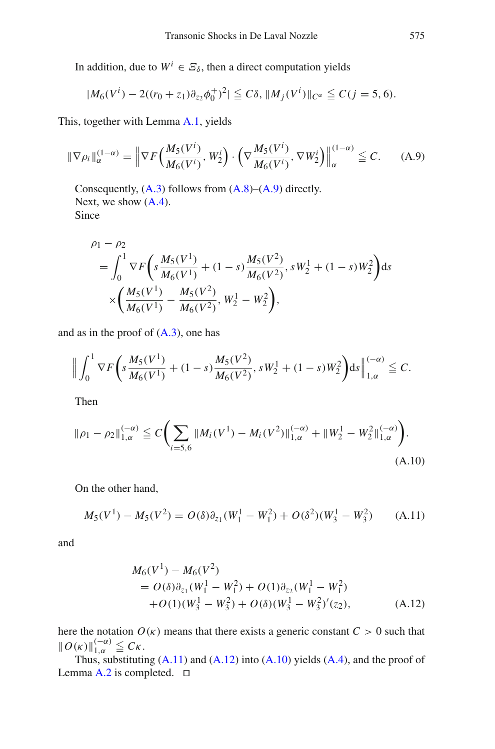In addition, due to  $W^i \in \mathcal{Z}_\delta$ , then a direct computation yields

$$
|M_6(V^i) - 2((r_0 + z_1)\partial_{z_2}\phi_0^+)^2| \leqq C\delta, ||M_j(V^i)||_{C^{\alpha}} \leqq C(j = 5, 6).
$$

<span id="page-42-1"></span>This, together with Lemma [A.1,](#page-40-1) yields

$$
\|\nabla \rho_i\|_{\alpha}^{(1-\alpha)} = \left\|\nabla F\left(\frac{M_5(V^i)}{M_6(V^i)}, W_2^i\right) \cdot \left(\nabla \frac{M_5(V^i)}{M_6(V^i)}, \nabla W_2^i\right)\right\|_{\alpha}^{(1-\alpha)} \leq C. \tag{A.9}
$$

Consequently,  $(A.3)$  follows from  $(A.8)$ – $(A.9)$  directly. Next, we show  $(A.4)$ . Since

$$
\rho_1 - \rho_2
$$
  
=  $\int_0^1 \nabla F \left( s \frac{M_5(V^1)}{M_6(V^1)} + (1 - s) \frac{M_5(V^2)}{M_6(V^2)}, sW_2^1 + (1 - s)W_2^2 \right) ds$   
 $\times \left( \frac{M_5(V^1)}{M_6(V^1)} - \frac{M_5(V^2)}{M_6(V^2)}, W_2^1 - W_2^2 \right),$ 

and as in the proof of  $(A.3)$ , one has

$$
\Big\| \int_0^1 \nabla F \bigg( s \frac{M_5(V^1)}{M_6(V^1)} + (1-s) \frac{M_5(V^2)}{M_6(V^2)}, s W_2^1 + (1-s) W_2^2 \bigg) ds \Big\|_{1,\alpha}^{(-\alpha)} \leq C.
$$

Then

<span id="page-42-4"></span>
$$
\|\rho_1 - \rho_2\|_{1,\alpha}^{(-\alpha)} \le C \Biggl( \sum_{i=5,6} \|M_i(V^1) - M_i(V^2)\|_{1,\alpha}^{(-\alpha)} + \|W_2^1 - W_2^2\|_{1,\alpha}^{(-\alpha)} \Biggr). \tag{A.10}
$$

On the other hand,

$$
M_5(V^1) - M_5(V^2) = O(\delta)\partial_{z_1}(W_1^1 - W_1^2) + O(\delta^2)(W_3^1 - W_3^2)
$$
 (A.11)

<span id="page-42-3"></span><span id="page-42-2"></span>and

$$
M_6(V^1) - M_6(V^2)
$$
  
=  $O(\delta)\partial_{z_1}(W_1^1 - W_1^2) + O(1)\partial_{z_2}(W_1^1 - W_1^2)$   
+  $O(1)(W_3^1 - W_3^2) + O(\delta)(W_3^1 - W_3^2)'(z_2)$ , (A.12)

here the notation  $O(\kappa)$  means that there exists a generic constant  $C > 0$  such that  $\|O(\kappa)\|_{1,\alpha}^{(-\alpha)} \leqq C\kappa.$ 

<span id="page-42-0"></span>Thus, substituting  $(A.11)$  and  $(A.12)$  into  $(A.10)$  yields  $(A.4)$ , and the proof of Lemma [A.2](#page-41-2) is completed.  $\square$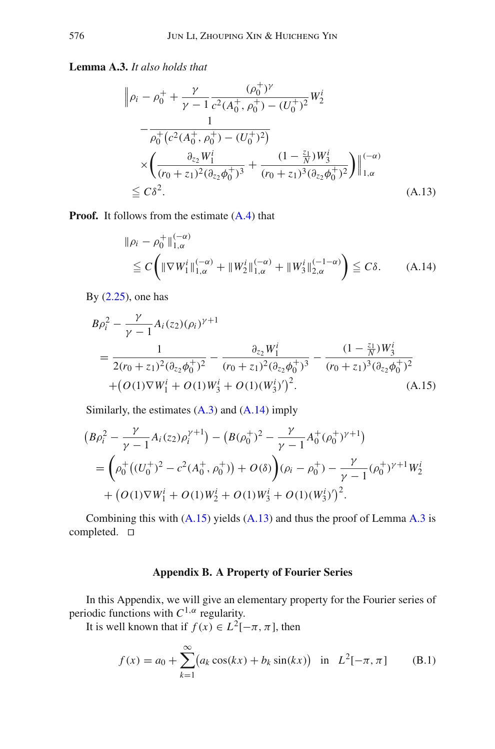<span id="page-43-1"></span>**Lemma A.3.** *It also holds that*

$$
\|\rho_i - \rho_0^+ + \frac{\gamma}{\gamma - 1} \frac{(\rho_0^+)^\gamma}{c^2 (A_0^+, \rho_0^+) - (U_0^+)^2} W_2^i
$$
  

$$
- \frac{1}{\rho_0^+ (c^2 (A_0^+, \rho_0^+) - (U_0^+)^2)}
$$
  

$$
\times \left( \frac{\partial_{z_2} W_1^i}{(r_0 + z_1)^2 (\partial_{z_2} \phi_0^+)^3} + \frac{(1 - \frac{z_1}{N}) W_3^i}{(r_0 + z_1)^3 (\partial_{z_2} \phi_0^+)^2} \right) \Big\|_{1,\alpha}^{(-\alpha)}
$$
  

$$
\leq C \delta^2.
$$
 (A.13)

<span id="page-43-2"></span>**Proof.** It follows from the estimate  $(A.4)$  that

$$
\|\rho_i - \rho_0^+\|_{1,\alpha}^{(-\alpha)} \n\leq C \bigg(\|\nabla W_1^i\|_{1,\alpha}^{(-\alpha)} + \|W_2^i\|_{1,\alpha}^{(-\alpha)} + \|W_3^i\|_{2,\alpha}^{(-1-\alpha)}\bigg) \leq C\delta.
$$
\n(A.14)

<span id="page-43-3"></span>By  $(2.25)$ , one has

$$
B\rho_i^2 - \frac{\gamma}{\gamma - 1} A_i(z_2) (\rho_i)^{\gamma + 1}
$$
  
= 
$$
\frac{1}{2(r_0 + z_1)^2 (\partial_{z_2} \phi_0^+)^2} - \frac{\partial_{z_2} W_1^i}{(r_0 + z_1)^2 (\partial_{z_2} \phi_0^+)^3} - \frac{(1 - \frac{z_1}{N}) W_3^i}{(r_0 + z_1)^3 (\partial_{z_2} \phi_0^+)^2}
$$
  
+ 
$$
(O(1)\nabla W_1^i + O(1)W_3^i + O(1)({W_3^i})')^2.
$$
 (A.15)

Similarly, the estimates [\(A.3\)](#page-41-0) and [\(A.14\)](#page-43-2) imply

$$
(B\rho_i^2 - \frac{\gamma}{\gamma - 1} A_i(z_2) \rho_i^{\gamma + 1}) - (B(\rho_0^+)^2 - \frac{\gamma}{\gamma - 1} A_0^+(\rho_0^+)^{\gamma + 1})
$$
  
=  $\left(\rho_0^+((U_0^+)^2 - c^2(A_0^+, \rho_0^+)) + O(\delta)\right) (\rho_i - \rho_0^+) - \frac{\gamma}{\gamma - 1} (\rho_0^+)^{\gamma + 1} W_2^i$   
+  $(O(1)\nabla W_1^i + O(1)W_2^i + O(1)W_3^i + O(1)(W_3^i)')^2.$ 

Combining this with  $(A.15)$  yields  $(A.13)$  and thus the proof of Lemma [A.3](#page-42-0) is completed.  $\square$ 

## **Appendix B. A Property of Fourier Series**

<span id="page-43-0"></span>In this Appendix, we will give an elementary property for the Fourier series of periodic functions with  $C^{1,\alpha}$  regularity.

<span id="page-43-4"></span>It is well known that if  $f(x) \in L^2[-\pi, \pi]$ , then

$$
f(x) = a_0 + \sum_{k=1}^{\infty} (a_k \cos(kx) + b_k \sin(kx)) \text{ in } L^2[-\pi, \pi]
$$
 (B.1)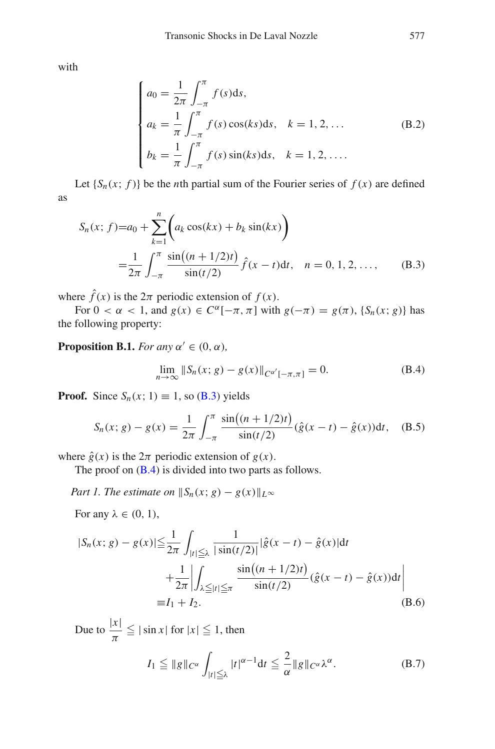<span id="page-44-5"></span>with

$$
\begin{cases}\na_0 = \frac{1}{2\pi} \int_{-\pi}^{\pi} f(s) ds, \\
a_k = \frac{1}{\pi} \int_{-\pi}^{\pi} f(s) \cos(ks) ds, \quad k = 1, 2, \dots \\
b_k = \frac{1}{\pi} \int_{-\pi}^{\pi} f(s) \sin(ks) ds, \quad k = 1, 2, \dots\n\end{cases}
$$
\n(B.2)

<span id="page-44-0"></span>Let  $\{S_n(x; f)\}\$  be the *n*th partial sum of the Fourier series of  $f(x)$  are defined as

$$
S_n(x; f) = a_0 + \sum_{k=1}^n \left( a_k \cos(kx) + b_k \sin(kx) \right)
$$
  
= 
$$
\frac{1}{2\pi} \int_{-\pi}^{\pi} \frac{\sin((n+1/2)t)}{\sin(t/2)} \hat{f}(x-t) dt, \quad n = 0, 1, 2, ..., \quad (B.3)
$$

where  $\hat{f}(x)$  is the  $2\pi$  periodic extension of  $f(x)$ .

For  $0 < \alpha < 1$ , and  $g(x) \in C^{\alpha}[-\pi, \pi]$  with  $g(-\pi) = g(\pi)$ ,  $\{S_n(x; g)\}\)$  has the following property:

<span id="page-44-1"></span>**Proposition B.1.** *For any*  $\alpha' \in (0, \alpha)$ *,* 

$$
\lim_{n \to \infty} \|S_n(x; g) - g(x)\|_{C^{\alpha'}[-\pi, \pi]} = 0.
$$
 (B.4)

<span id="page-44-3"></span>**Proof.** Since  $S_n(x; 1) \equiv 1$ , so [\(B.3\)](#page-44-0) yields

$$
S_n(x; g) - g(x) = \frac{1}{2\pi} \int_{-\pi}^{\pi} \frac{\sin\big((n+1/2)t\big)}{\sin(t/2)} (\hat{g}(x-t) - \hat{g}(x)) \mathrm{d}t, \quad (B.5)
$$

where  $\hat{g}(x)$  is the  $2\pi$  periodic extension of  $g(x)$ .

The proof on  $(B.4)$  is divided into two parts as follows.

*Part 1. The estimate on*  $||S_n(x; g) - g(x)||_{L^{\infty}}$ 

<span id="page-44-2"></span>For any  $\lambda \in (0, 1)$ ,

$$
|S_n(x; g) - g(x)| \le \frac{1}{2\pi} \int_{|t| \le \lambda} \frac{1}{|\sin(t/2)|} |\hat{g}(x - t) - \hat{g}(x)| dt
$$
  
+ 
$$
\frac{1}{2\pi} \left| \int_{\lambda \le |t| \le \pi} \frac{\sin((n + 1/2)t)}{\sin(t/2)} (\hat{g}(x - t) - \hat{g}(x)) dt \right|
$$
  
=  $I_1 + I_2.$  (B.6)

<span id="page-44-4"></span>Due to  $\frac{|x|}{\pi} \leq |\sin x|$  for  $|x| \leq 1$ , then

$$
I_1 \leqq \|g\|_{C^{\alpha}} \int_{|t| \leqq \lambda} |t|^{\alpha-1} dt \leqq \frac{2}{\alpha} \|g\|_{C^{\alpha}} \lambda^{\alpha}.
$$
 (B.7)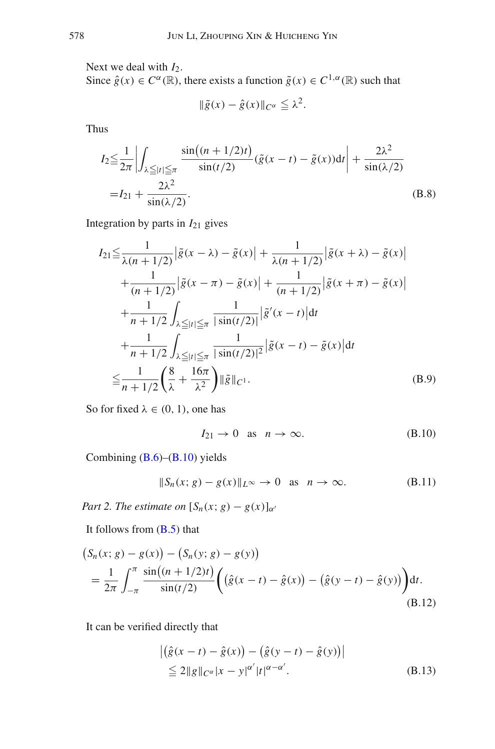Next we deal with  $I_2$ .

Since  $\hat{g}(x) \in C^{\alpha}(\mathbb{R})$ , there exists a function  $\tilde{g}(x) \in C^{1,\alpha}(\mathbb{R})$  such that

$$
\|\tilde{g}(x) - \hat{g}(x)\|_{C^{\alpha}} \leq \lambda^2.
$$

Thus

$$
I_2 \leq \frac{1}{2\pi} \left| \int_{\lambda \leq |t| \leq \pi} \frac{\sin((n+1/2)t)}{\sin(t/2)} (\tilde{g}(x-t) - \tilde{g}(x)) dt \right| + \frac{2\lambda^2}{\sin(\lambda/2)}
$$
  
=  $I_{21} + \frac{2\lambda^2}{\sin(\lambda/2)}$ . (B.8)

<span id="page-45-2"></span>Integration by parts in  $I_{21}$  gives

$$
I_{21} \leq \frac{1}{\lambda(n+1/2)} |\tilde{g}(x-\lambda) - \tilde{g}(x)| + \frac{1}{\lambda(n+1/2)} |\tilde{g}(x+\lambda) - \tilde{g}(x)|
$$
  
+ 
$$
\frac{1}{(n+1/2)} |\tilde{g}(x-\pi) - \tilde{g}(x)| + \frac{1}{(n+1/2)} |\tilde{g}(x+\pi) - \tilde{g}(x)|
$$
  
+ 
$$
\frac{1}{n+1/2} \int_{\lambda \leq |t| \leq \pi} \frac{1}{|\sin(t/2)|} |\tilde{g}'(x-t)| dt
$$
  
+ 
$$
\frac{1}{n+1/2} \int_{\lambda \leq |t| \leq \pi} \frac{1}{|\sin(t/2)|^2} |\tilde{g}(x-t) - \tilde{g}(x)| dt
$$
  

$$
\leq \frac{1}{n+1/2} \left( \frac{8}{\lambda} + \frac{16\pi}{\lambda^2} \right) ||\tilde{g}||_{C^1}.
$$
 (B.9)

<span id="page-45-0"></span>So for fixed  $\lambda \in (0, 1)$ , one has

$$
I_{21} \to 0 \quad \text{as} \quad n \to \infty. \tag{B.10}
$$

Combining [\(B.6\)](#page-44-2)–[\(B.10\)](#page-45-0) yields

$$
||S_n(x; g) - g(x)||_{L^{\infty}} \to 0 \text{ as } n \to \infty.
$$
 (B.11)

<span id="page-45-3"></span>*Part 2. The estimate on*  $[S_n(x; g) - g(x)]_{\alpha'}$ 

It follows from [\(B.5\)](#page-44-3) that

$$
(S_n(x; g) - g(x)) - (S_n(y; g) - g(y))
$$
  
=  $\frac{1}{2\pi} \int_{-\pi}^{\pi} \frac{\sin((n + 1/2)t)}{\sin(t/2)} ((\hat{g}(x - t) - \hat{g}(x)) - (\hat{g}(y - t) - \hat{g}(y))) dt.$   
(B.12)

<span id="page-45-1"></span>It can be verified directly that

$$
\left| \left( \hat{g}(x - t) - \hat{g}(x) \right) - \left( \hat{g}(y - t) - \hat{g}(y) \right) \right| \right|
$$
  
\n
$$
\leq 2 \|g\|_{C^{\alpha}} |x - y|^{\alpha'} |t|^{\alpha - \alpha'}.
$$
 (B.13)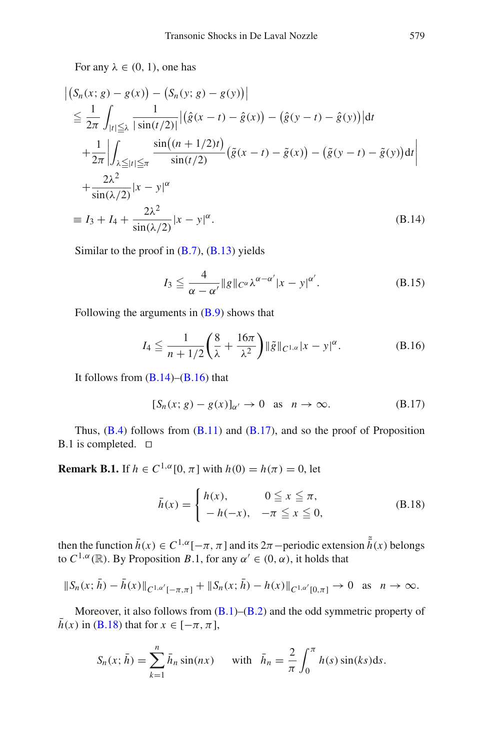For any  $\lambda \in (0, 1)$ , one has

<span id="page-46-1"></span>
$$
\begin{split}\n&\left| \left( S_n(x; g) - g(x) \right) - \left( S_n(y; g) - g(y) \right) \right| \\
&\leq \frac{1}{2\pi} \int_{|t| \leq \lambda} \frac{1}{|\sin(t/2)|} \left| \left( \hat{g}(x - t) - \hat{g}(x) \right) - \left( \hat{g}(y - t) - \hat{g}(y) \right) \right| dt \\
&+ \frac{1}{2\pi} \left| \int_{\lambda \leq |t| \leq \pi} \frac{\sin((n + 1/2)t)}{\sin(t/2)} \left( \tilde{g}(x - t) - \tilde{g}(x) \right) - \left( \tilde{g}(y - t) - \tilde{g}(y) \right) dt \right| \\
&+ \frac{2\lambda^2}{\sin(\lambda/2)} |x - y|^{\alpha} \\
&\equiv I_3 + I_4 + \frac{2\lambda^2}{\sin(\lambda/2)} |x - y|^{\alpha}.\n\end{split}
$$
\n(B.14)

Similar to the proof in  $(B.7)$ ,  $(B.13)$  yields

$$
I_3 \leqq \frac{4}{\alpha - \alpha'} \|g\|_{C^{\alpha}} \lambda^{\alpha - \alpha'} |x - y|^{\alpha'}.
$$
 (B.15)

<span id="page-46-2"></span>Following the arguments in  $(B.9)$  shows that

$$
I_4 \leq \frac{1}{n+1/2} \left(\frac{8}{\lambda} + \frac{16\pi}{\lambda^2}\right) \|\tilde{g}\|_{C^{1,\alpha}} |x-y|^{\alpha}.
$$
 (B.16)

<span id="page-46-3"></span>It follows from  $(B.14)$ – $(B.16)$  that

$$
[S_n(x; g) - g(x)]_{\alpha'} \to 0 \quad \text{as} \quad n \to \infty. \tag{B.17}
$$

Thus,  $(B.4)$  follows from  $(B.11)$  and  $(B.17)$ , and so the proof of Proposition B.1 is completed.  $\square$ 

<span id="page-46-0"></span>**Remark B.1.** If  $h \in C^{1,\alpha}[0, \pi]$  with  $h(0) = h(\pi) = 0$ , let

$$
\bar{h}(x) = \begin{cases} h(x), & 0 \le x \le \pi, \\ -h(-x), & -\pi \le x \le 0, \end{cases}
$$
 (B.18)

<span id="page-46-4"></span>then the function  $\bar{h}(x) \in C^{1,\alpha}[-\pi,\pi]$  and its  $2\pi$  –periodic extension  $\tilde{\bar{h}}(x)$  belongs to  $C^{1,\alpha}(\mathbb{R})$ . By Proposition *B*.1, for any  $\alpha' \in (0, \alpha)$ , it holds that

$$
\|S_n(x;\bar{h}) - \bar{h}(x)\|_{C^{1,\alpha'}[-\pi,\pi]} + \|S_n(x;\bar{h}) - h(x)\|_{C^{1,\alpha'}[0,\pi]} \to 0 \text{ as } n \to \infty.
$$

Moreover, it also follows from  $(B.1)$ – $(B.2)$  and the odd symmetric property of  $\bar{h}(x)$  in [\(B.18\)](#page-46-4) that for  $x \in [-\pi, \pi]$ ,

$$
S_n(x; \bar{h}) = \sum_{k=1}^n \bar{h}_n \sin(nx) \quad \text{with} \quad \bar{h}_n = \frac{2}{\pi} \int_0^{\pi} h(s) \sin(ks) \, \mathrm{d}s.
$$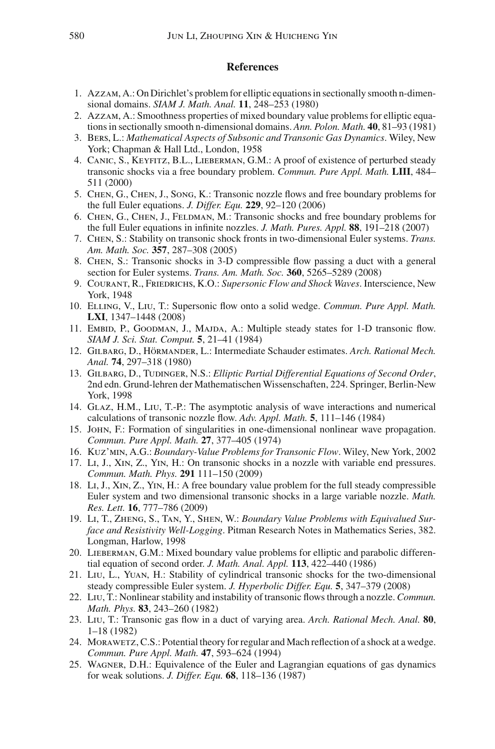#### **References**

- <span id="page-47-17"></span>1. Azzam, A.: On Dirichlet's problem for elliptic equations in sectionally smooth n-dimensional domains. *SIAM J. Math. Anal.* **11**, 248–253 (1980)
- <span id="page-47-18"></span>2. Azzam, A.: Smoothness properties of mixed boundary value problems for elliptic equations in sectionally smooth n-dimensional domains. *Ann. Polon. Math.* **40**, 81–93 (1981)
- <span id="page-47-6"></span>3. Bers, L.: *Mathematical Aspects of Subsonic and Transonic Gas Dynamics*. Wiley, New York; Chapman & Hall Ltd., London, 1958
- 4. Canic, S., Keyfitz, B.L., Lieberman, G.M.: A proof of existence of perturbed steady transonic shocks via a free boundary problem. *Commun. Pure Appl. Math.* **LIII**, 484– 511 (2000)
- <span id="page-47-2"></span>5. Chen, G., Chen, J., Song, K.: Transonic nozzle flows and free boundary problems for the full Euler equations. *J. Differ. Equ.* **229**, 92–120 (2006)
- 6. Chen, G., Chen, J., Feldman, M.: Transonic shocks and free boundary problems for the full Euler equations in infinite nozzles. *J. Math. Pures. Appl.* **88**, 191–218 (2007)
- 7. Chen, S.: Stability on transonic shock fronts in two-dimensional Euler systems. *Trans. Am. Math. Soc.* **357**, 287–308 (2005)
- <span id="page-47-3"></span>8. Chen, S.: Transonic shocks in 3-D compressible flow passing a duct with a general section for Euler systems. *Trans. Am. Math. Soc.* **360**, 5265–5289 (2008)
- <span id="page-47-0"></span>9. Courant, R., Friedrichs, K.O.: *Supersonic Flow and Shock Waves*. Interscience, New York, 1948
- 10. Elling, V., Liu, T.: Supersonic flow onto a solid wedge. *Commun. Pure Appl. Math.* **LXI**, 1347–1448 (2008)
- <span id="page-47-7"></span>11. EMBID, P., GOODMAN, J., MAJDA, A.: Multiple steady states for 1-D transonic flow. *SIAM J. Sci. Stat. Comput.* **5**, 21–41 (1984)
- <span id="page-47-14"></span>12. Gilbarg, D., Hörmander, L.: Intermediate Schauder estimates. *Arch. Rational Mech. Anal.* **74**, 297–318 (1980)
- <span id="page-47-15"></span>13. Gilbarg, D., Tudinger, N.S.: *Elliptic Partial Differential Equations of Second Order*, 2nd edn. Grund-lehren der Mathematischen Wissenschaften, 224. Springer, Berlin-New York, 1998
- <span id="page-47-8"></span>14. Glaz, H.M., Liu, T.-P.: The asymptotic analysis of wave interactions and numerical calculations of transonic nozzle flow. *Adv. Appl. Math.* **5**, 111–146 (1984)
- <span id="page-47-1"></span>15. John, F.: Formation of singularities in one-dimensional nonlinear wave propagation. *Commun. Pure Appl. Math.* **27**, 377–405 (1974)
- <span id="page-47-9"></span>16. Kuz'min, A.G.: *Boundary-Value Problems for Transonic Flow*. Wiley, New York, 2002
- <span id="page-47-4"></span>17. Li, J., Xin, Z., Yin, H.: On transonic shocks in a nozzle with variable end pressures. *Commun. Math. Phys.* **291** 111–150 (2009)
- <span id="page-47-5"></span>18. Li, J., Xin, Z., Yin, H.: A free boundary value problem for the full steady compressible Euler system and two dimensional transonic shocks in a large variable nozzle. *Math. Res. Lett.* **16**, 777–786 (2009)
- <span id="page-47-12"></span>19. Li, T., Zheng, S., Tan, Y., Shen, W.: *Boundary Value Problems with Equivalued Surface and Resistivity Well-Logging*. Pitman Research Notes in Mathematics Series, 382. Longman, Harlow, 1998
- <span id="page-47-16"></span>20. LIEBERMAN, G.M.: Mixed boundary value problems for elliptic and parabolic differential equation of second order. *J. Math. Anal. Appl.* **113**, 422–440 (1986)
- <span id="page-47-10"></span>21. Liu, L., Yuan, H.: Stability of cylindrical transonic shocks for the two-dimensional steady compressible Euler system. *J. Hyperbolic Differ. Equ.* **5**, 347–379 (2008)
- 22. Liu, T.: Nonlinear stability and instability of transonic flows through a nozzle. *Commun. Math. Phys.* **83**, 243–260 (1982)
- 23. Liu, T.: Transonic gas flow in a duct of varying area. *Arch. Rational Mech. Anal.* **80**, 1–18 (1982)
- <span id="page-47-11"></span>24. MORAWETZ, C.S.: Potential theory for regular and Mach reflection of a shock at a wedge. *Commun. Pure Appl. Math.* **47**, 593–624 (1994)
- <span id="page-47-13"></span>25. Wagner, D.H.: Equivalence of the Euler and Lagrangian equations of gas dynamics for weak solutions. *J. Differ. Equ.* **68**, 118–136 (1987)